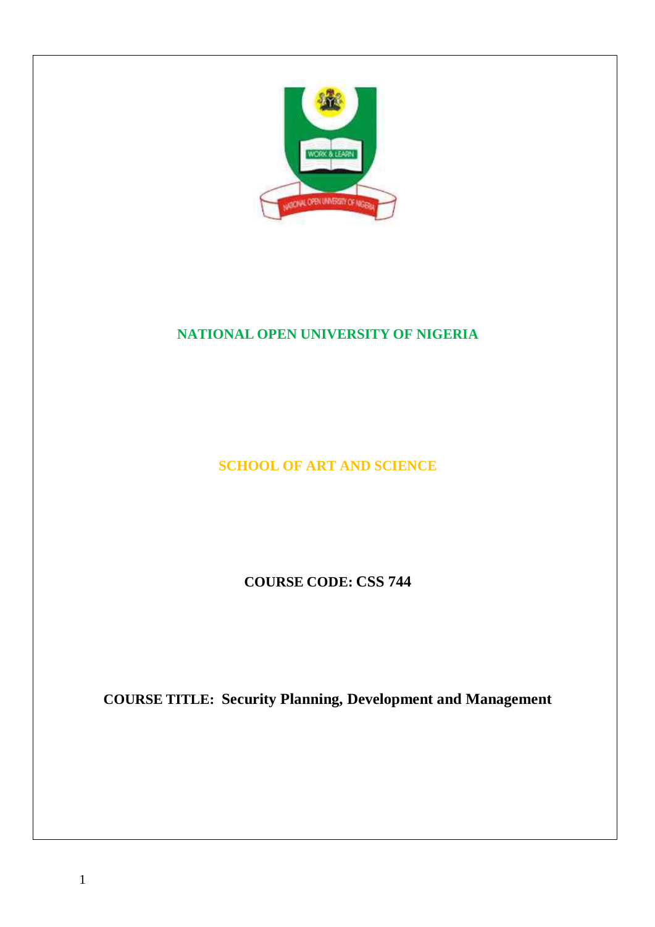

# **NATIONAL OPEN UNIVERSITY OF NIGERIA**

**SCHOOL OF ART AND SCIENCE**

**COURSE CODE: CSS 744**

**COURSE TITLE: Security Planning, Development and Management**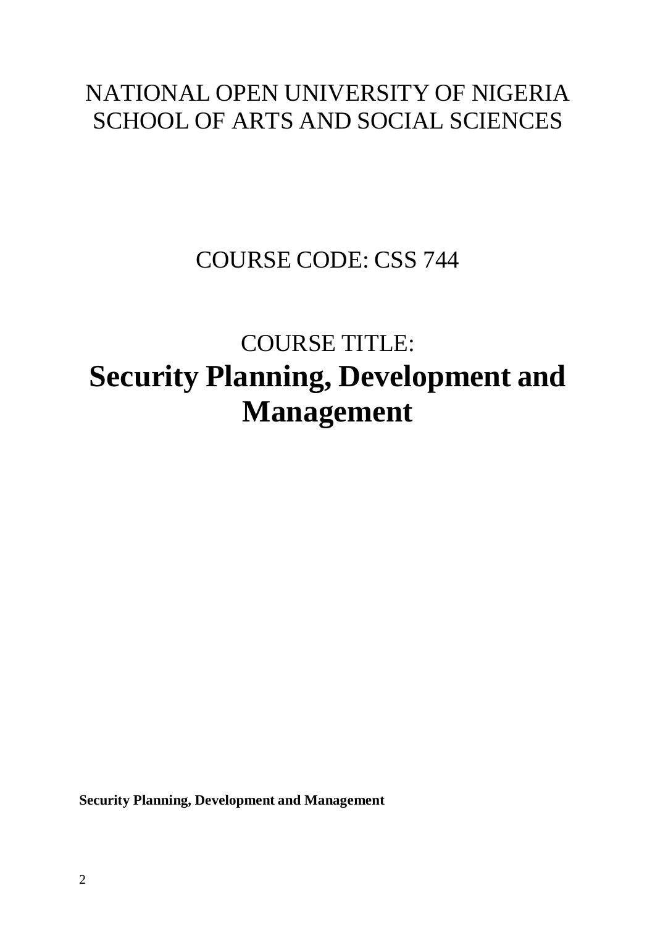# NATIONAL OPEN UNIVERSITY OF NIGERIA SCHOOL OF ARTS AND SOCIAL SCIENCES

COURSE CODE: CSS 744

# COURSE TITLE: **Security Planning, Development and Management**

**Security Planning, Development and Management**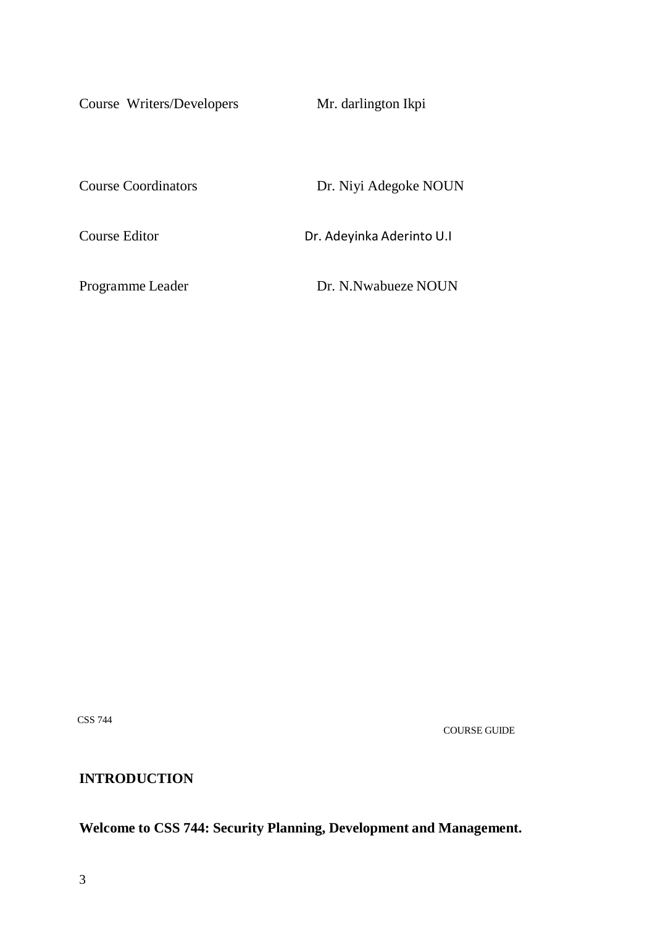Course Writers/Developers Mr. darlington Ikpi

| <b>Course Coordinators</b> | Dr. Niyi Adegoke NOUN     |  |  |
|----------------------------|---------------------------|--|--|
| Course Editor              | Dr. Adeyinka Aderinto U.I |  |  |
| Programme Leader           | Dr. N. Nwabueze NOUN      |  |  |

CSS 744

COURSE GUIDE

#### **INTRODUCTION**

**Welcome to CSS 744: Security Planning, Development and Management.**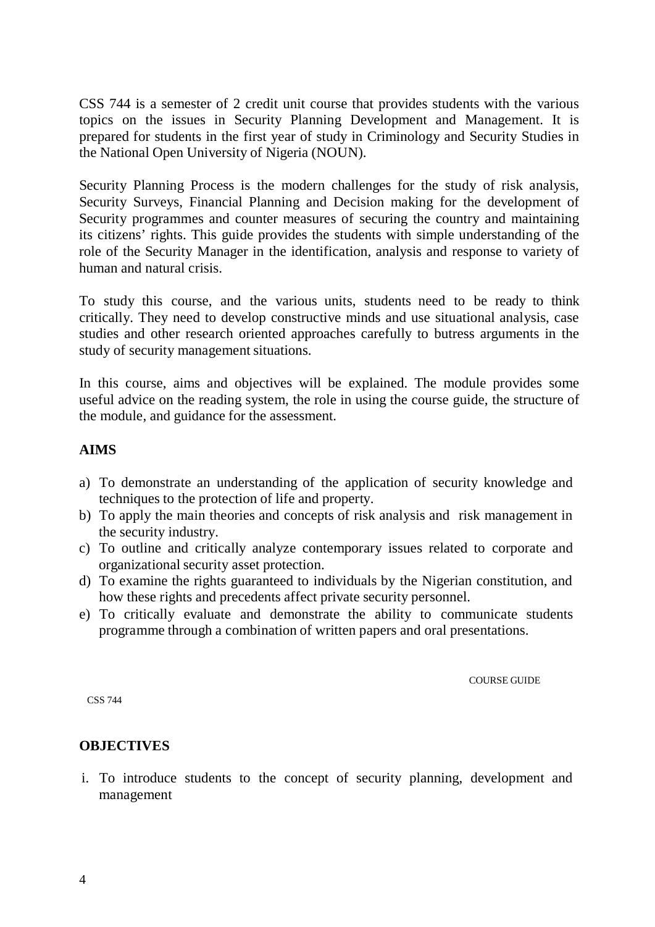CSS 744 is a semester of 2 credit unit course that provides students with the various topics on the issues in Security Planning Development and Management. It is prepared for students in the first year of study in Criminology and Security Studies in the National Open University of Nigeria (NOUN).

Security Planning Process is the modern challenges for the study of risk analysis, Security Surveys, Financial Planning and Decision making for the development of Security programmes and counter measures of securing the country and maintaining its citizens' rights. This guide provides the students with simple understanding of the role of the Security Manager in the identification, analysis and response to variety of human and natural crisis.

To study this course, and the various units, students need to be ready to think critically. They need to develop constructive minds and use situational analysis, case studies and other research oriented approaches carefully to butress arguments in the study of security management situations.

In this course, aims and objectives will be explained. The module provides some useful advice on the reading system, the role in using the course guide, the structure of the module, and guidance for the assessment.

#### **AIMS**

- a) To demonstrate an understanding of the application of security knowledge and techniques to the protection of life and property.
- b) To apply the main theories and concepts of risk analysis and risk management in the security industry.
- c) To outline and critically analyze contemporary issues related to corporate and organizational security asset protection.
- d) To examine the rights guaranteed to individuals by the Nigerian constitution, and how these rights and precedents affect private security personnel.
- e) To critically evaluate and demonstrate the ability to communicate students programme through a combination of written papers and oral presentations.

COURSE GUIDE

CSS 744

#### **OBJECTIVES**

i. To introduce students to the concept of security planning, development and management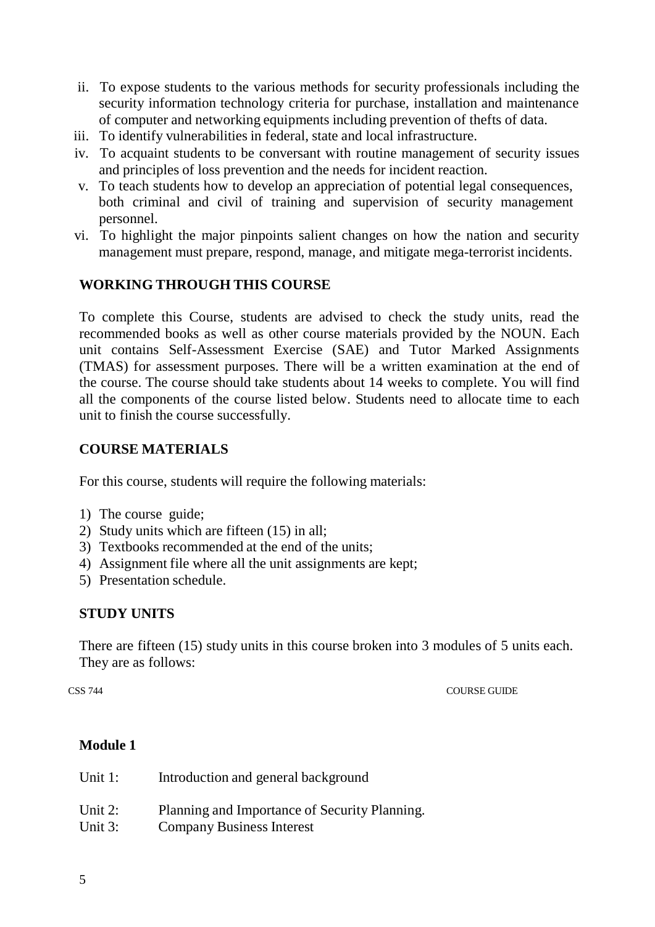- ii. To expose students to the various methods for security professionals including the security information technology criteria for purchase, installation and maintenance of computer and networking equipments including prevention of thefts of data.
- iii. To identify vulnerabilities in federal, state and local infrastructure.
- iv. To acquaint students to be conversant with routine management of security issues and principles of loss prevention and the needs for incident reaction.
- v. To teach students how to develop an appreciation of potential legal consequences, both criminal and civil of training and supervision of security management personnel.
- vi. To highlight the major pinpoints salient changes on how the nation and security management must prepare, respond, manage, and mitigate mega-terrorist incidents.

#### **WORKING THROUGH THIS COURSE**

To complete this Course, students are advised to check the study units, read the recommended books as well as other course materials provided by the NOUN. Each unit contains Self-Assessment Exercise (SAE) and Tutor Marked Assignments (TMAS) for assessment purposes. There will be a written examination at the end of the course. The course should take students about 14 weeks to complete. You will find all the components of the course listed below. Students need to allocate time to each unit to finish the course successfully.

#### **COURSE MATERIALS**

For this course, students will require the following materials:

- 1) The course guide;
- 2) Study units which are fifteen (15) in all;
- 3) Textbooks recommended at the end of the units;
- 4) Assignment file where all the unit assignments are kept;
- 5) Presentation schedule.

#### **STUDY UNITS**

There are fifteen (15) study units in this course broken into 3 modules of 5 units each. They are as follows:

CSS 744 COURSE GUIDE

#### **Module 1**

| Unit $1$ : | Introduction and general background           |
|------------|-----------------------------------------------|
| Unit $2$ : | Planning and Importance of Security Planning. |
| Unit $3$ : | <b>Company Business Interest</b>              |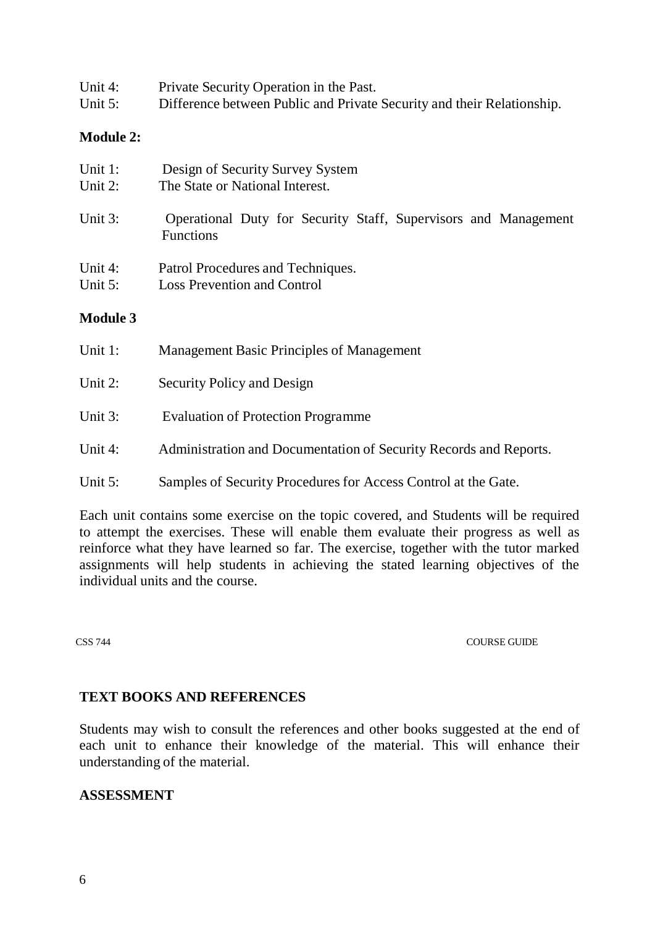| Unit $5$ :               | Thraw Decarny Operation in the Past.<br>Difference between Public and Private Security and their Relationship. |  |
|--------------------------|----------------------------------------------------------------------------------------------------------------|--|
| <b>Module 2:</b>         |                                                                                                                |  |
| Unit 1:<br>Unit 2:       | Design of Security Survey System<br>The State or National Interest.                                            |  |
| Unit 3:                  | Operational Duty for Security Staff, Supervisors and Management<br><b>Functions</b>                            |  |
| Unit $4$ :<br>Unit $5$ : | Patrol Procedures and Techniques.<br><b>Loss Prevention and Control</b>                                        |  |
| <b>Module 3</b>          |                                                                                                                |  |
| Unit 1:                  | Management Basic Principles of Management                                                                      |  |
| Unit 2:                  | Security Policy and Design                                                                                     |  |
| Unit 3:                  | <b>Evaluation of Protection Programme</b>                                                                      |  |

Unit 4: Administration and Documentation of Security Records and Reports.

Unit  $4$  Private Security Operation in the Past.

Unit 5: Samples of Security Procedures for Access Control at the Gate.

Each unit contains some exercise on the topic covered, and Students will be required to attempt the exercises. These will enable them evaluate their progress as well as reinforce what they have learned so far. The exercise, together with the tutor marked assignments will help students in achieving the stated learning objectives of the individual units and the course.

CSS 744 COURSE GUIDE

#### **TEXT BOOKS AND REFERENCES**

Students may wish to consult the references and other books suggested at the end of each unit to enhance their knowledge of the material. This will enhance their understanding of the material.

#### **ASSESSMENT**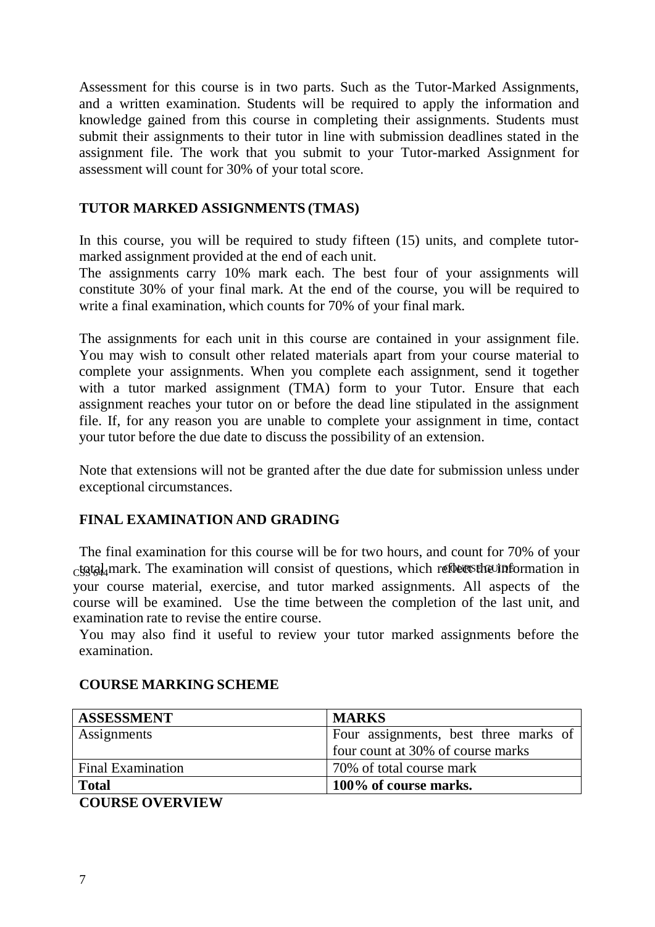Assessment for this course is in two parts. Such as the Tutor-Marked Assignments, and a written examination. Students will be required to apply the information and knowledge gained from this course in completing their assignments. Students must submit their assignments to their tutor in line with submission deadlines stated in the assignment file. The work that you submit to your Tutor-marked Assignment for assessment will count for 30% of your total score.

#### **TUTOR MARKED ASSIGNMENTS (TMAS)**

In this course, you will be required to study fifteen (15) units, and complete tutormarked assignment provided at the end of each unit.

The assignments carry 10% mark each. The best four of your assignments will constitute 30% of your final mark. At the end of the course, you will be required to write a final examination, which counts for 70% of your final mark.

The assignments for each unit in this course are contained in your assignment file. You may wish to consult other related materials apart from your course material to complete your assignments. When you complete each assignment, send it together with a tutor marked assignment (TMA) form to your Tutor. Ensure that each assignment reaches your tutor on or before the dead line stipulated in the assignment file. If, for any reason you are unable to complete your assignment in time, contact your tutor before the due date to discuss the possibility of an extension.

Note that extensions will not be granted after the due date for submission unless under exceptional circumstances.

#### **FINAL EXAMINATION AND GRADING**

The final examination for this course will be for two hours, and count for 70% of your cts tal<sub>4</sub> mark. The examination will consist of questions, which reformation in your course material, exercise, and tutor marked assignments. All aspects of the course will be examined. Use the time between the completion of the last unit, and examination rate to revise the entire course.

You may also find it useful to review your tutor marked assignments before the examination.

| <b>ASSESSMENT</b>        | <b>MARKS</b>                          |  |
|--------------------------|---------------------------------------|--|
| Assignments              | Four assignments, best three marks of |  |
|                          | four count at 30% of course marks     |  |
| <b>Final Examination</b> | 70% of total course mark              |  |
| <b>Total</b>             | 100% of course marks.                 |  |
| CAUDOR AURILIUM          |                                       |  |

#### **COURSE MARKING SCHEME**

**COURSE OVERVIEW**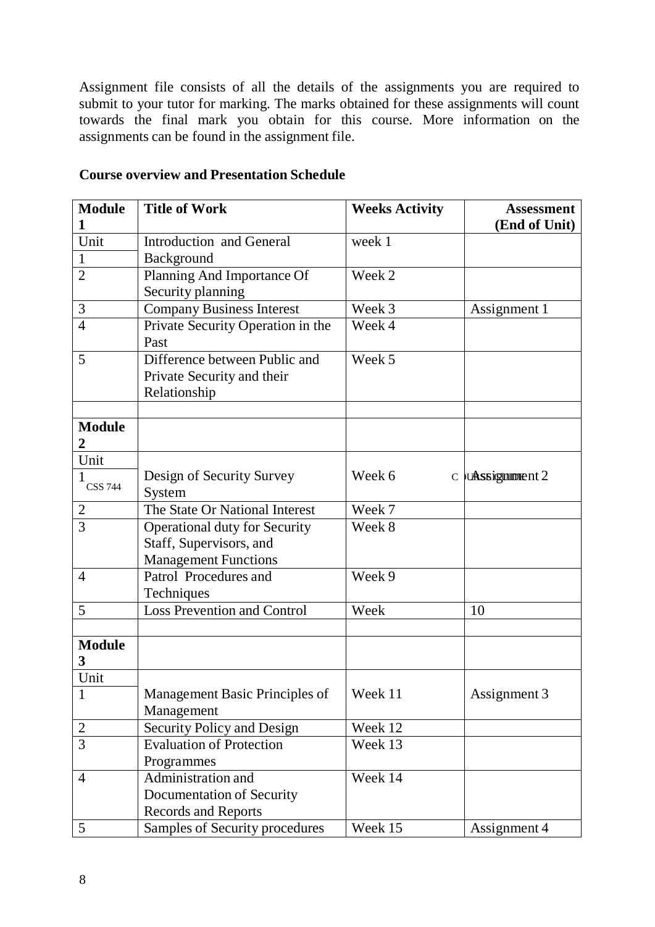Assignment file consists of all the details of the assignments you are required to submit to your tutor for marking. The marks obtained for these assignments will count towards the final mark you obtain for this course. More information on the assignments can be found in the assignment file.

| <b>Module</b>       | <b>Title of Work</b>                     | <b>Weeks Activity</b>   | <b>Assessment</b>     |
|---------------------|------------------------------------------|-------------------------|-----------------------|
| 1                   |                                          |                         | (End of Unit)         |
| Unit                | Introduction and General                 | week 1                  |                       |
| $\mathbf{1}$        | Background                               |                         |                       |
| $\overline{2}$      | Planning And Importance Of               | Week 2                  |                       |
|                     | Security planning                        |                         |                       |
| 3                   | <b>Company Business Interest</b>         | Week 3                  | Assignment 1          |
| $\overline{4}$      | Private Security Operation in the        | Week 4                  |                       |
|                     | Past                                     |                         |                       |
| 5                   | Difference between Public and            | Week 5                  |                       |
|                     | Private Security and their               |                         |                       |
|                     | Relationship                             |                         |                       |
|                     |                                          |                         |                       |
| <b>Module</b>       |                                          |                         |                       |
| $\mathbf{2}$        |                                          |                         |                       |
| Unit                |                                          |                         |                       |
| 1<br><b>CSS 744</b> | Design of Security Survey                | Week 6<br>$\mathcal{C}$ | <b>UASBigundent</b> 2 |
|                     | System                                   |                         |                       |
| $\overline{2}$      | The State Or National Interest           | Week 7                  |                       |
| 3                   | <b>Operational duty for Security</b>     | Week 8                  |                       |
|                     | Staff, Supervisors, and                  |                         |                       |
|                     | <b>Management Functions</b>              |                         |                       |
| $\overline{4}$      | Patrol Procedures and                    | Week 9                  |                       |
|                     | Techniques                               |                         |                       |
| 5                   | <b>Loss Prevention and Control</b>       | Week                    | 10                    |
|                     |                                          |                         |                       |
| <b>Module</b>       |                                          |                         |                       |
| 3                   |                                          |                         |                       |
| Unit                |                                          |                         |                       |
| 1                   | Management Basic Principles of   Week 11 |                         | Assignment 3          |
|                     | Management                               |                         |                       |
| $\overline{2}$      | Security Policy and Design               | Week 12                 |                       |
| 3                   | <b>Evaluation of Protection</b>          | Week 13                 |                       |
|                     | Programmes                               |                         |                       |
| $\overline{4}$      | Administration and                       | Week 14                 |                       |
|                     | Documentation of Security                |                         |                       |
|                     | <b>Records and Reports</b>               |                         |                       |
| 5                   | Samples of Security procedures           | Week 15                 | Assignment 4          |

#### **Course overview and Presentation Schedule**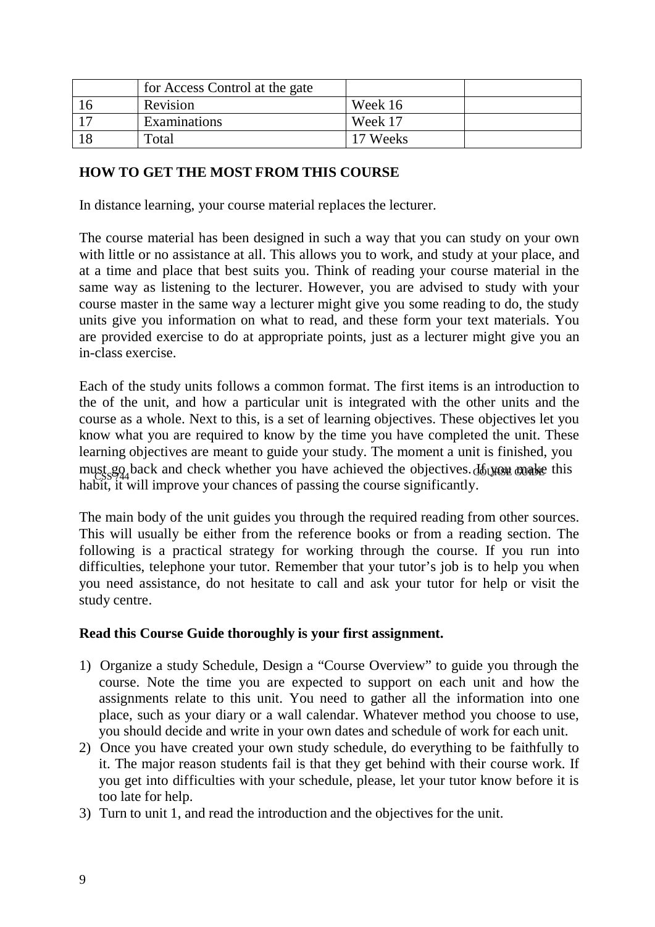| for Access Control at the gate |          |  |
|--------------------------------|----------|--|
| Revision                       | Week 16  |  |
| <b>Examinations</b>            | Week 17  |  |
| Total                          | 17 Weeks |  |

#### **HOW TO GET THE MOST FROM THIS COURSE**

In distance learning, your course material replaces the lecturer.

The course material has been designed in such a way that you can study on your own with little or no assistance at all. This allows you to work, and study at your place, and at a time and place that best suits you. Think of reading your course material in the same way as listening to the lecturer. However, you are advised to study with your course master in the same way a lecturer might give you some reading to do, the study units give you information on what to read, and these form your text materials. You are provided exercise to do at appropriate points, just as a lecturer might give you an in-class exercise.

must go back and check whether you have achieved the objectives. Just make this habit, it will improve your chances of passing the course significantly. Each of the study units follows a common format. The first items is an introduction to the of the unit, and how a particular unit is integrated with the other units and the course as a whole. Next to this, is a set of learning objectives. These objectives let you know what you are required to know by the time you have completed the unit. These learning objectives are meant to guide your study. The moment a unit is finished, you

The main body of the unit guides you through the required reading from other sources. This will usually be either from the reference books or from a reading section. The following is a practical strategy for working through the course. If you run into difficulties, telephone your tutor. Remember that your tutor's job is to help you when you need assistance, do not hesitate to call and ask your tutor for help or visit the study centre.

#### **Read this Course Guide thoroughly is your first assignment.**

- 1) Organize a study Schedule, Design a "Course Overview" to guide you through the course. Note the time you are expected to support on each unit and how the assignments relate to this unit. You need to gather all the information into one place, such as your diary or a wall calendar. Whatever method you choose to use, you should decide and write in your own dates and schedule of work for each unit.
- 2) Once you have created your own study schedule, do everything to be faithfully to it. The major reason students fail is that they get behind with their course work. If you get into difficulties with your schedule, please, let your tutor know before it is too late for help.
- 3) Turn to unit 1, and read the introduction and the objectives for the unit.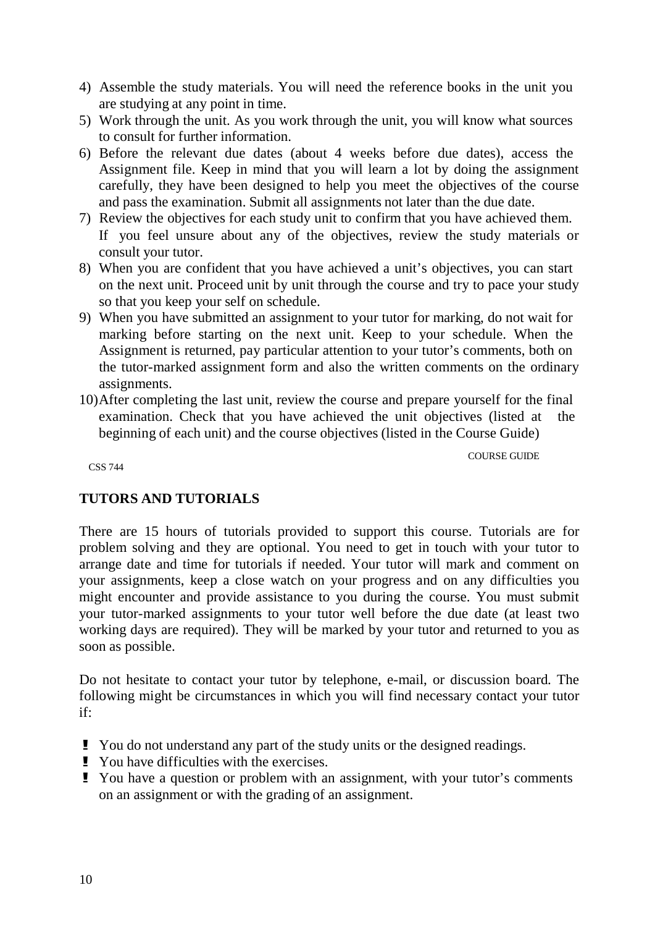- 4) Assemble the study materials. You will need the reference books in the unit you are studying at any point in time.
- 5) Work through the unit. As you work through the unit, you will know what sources to consult for further information.
- 6) Before the relevant due dates (about 4 weeks before due dates), access the Assignment file. Keep in mind that you will learn a lot by doing the assignment carefully, they have been designed to help you meet the objectives of the course and pass the examination. Submit all assignments not later than the due date.
- 7) Review the objectives for each study unit to confirm that you have achieved them. If you feel unsure about any of the objectives, review the study materials or consult your tutor.
- 8) When you are confident that you have achieved a unit's objectives, you can start on the next unit. Proceed unit by unit through the course and try to pace your study so that you keep your self on schedule.
- 9) When you have submitted an assignment to your tutor for marking, do not wait for marking before starting on the next unit. Keep to your schedule. When the Assignment is returned, pay particular attention to your tutor's comments, both on the tutor-marked assignment form and also the written comments on the ordinary assignments.
- 10)After completing the last unit, review the course and prepare yourself for the final examination. Check that you have achieved the unit objectives (listed at the beginning of each unit) and the course objectives (listed in the Course Guide)

COURSE GUIDE

CSS 744

#### **TUTORS AND TUTORIALS**

There are 15 hours of tutorials provided to support this course. Tutorials are for problem solving and they are optional. You need to get in touch with your tutor to arrange date and time for tutorials if needed. Your tutor will mark and comment on your assignments, keep a close watch on your progress and on any difficulties you might encounter and provide assistance to you during the course. You must submit your tutor-marked assignments to your tutor well before the due date (at least two working days are required). They will be marked by your tutor and returned to you as soon as possible.

Do not hesitate to contact your tutor by telephone, e-mail, or discussion board. The following might be circumstances in which you will find necessary contact your tutor if:

- ! You do not understand any part of the study units or the designed readings.<br>■ You have difficulties with the averaises
- <p>✓ You do not understand any part of the st</p>\n<p>✓ You have difficulties with the exercises.</p>\n<p>✓ You have a question or problem with a
- I You have difficulties with the exercises.<br>I You have a question or problem with an assignment, with your tutor's comments on an assignment or with the grading of an assignment.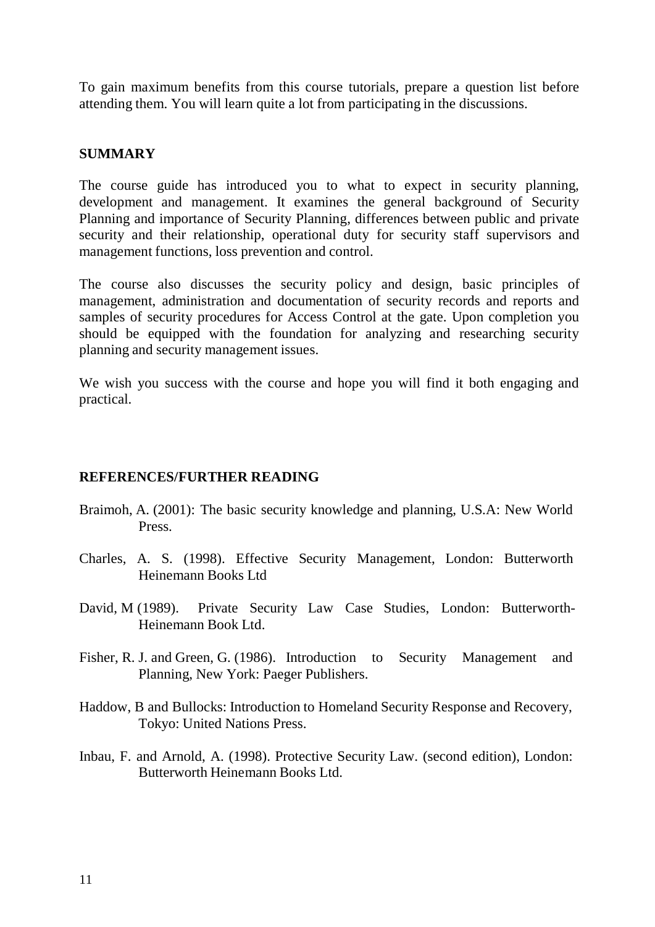To gain maximum benefits from this course tutorials, prepare a question list before attending them. You will learn quite a lot from participating in the discussions.

#### **SUMMARY**

The course guide has introduced you to what to expect in security planning, development and management. It examines the general background of Security Planning and importance of Security Planning, differences between public and private security and their relationship, operational duty for security staff supervisors and management functions, loss prevention and control.

The course also discusses the security policy and design, basic principles of management, administration and documentation of security records and reports and samples of security procedures for Access Control at the gate. Upon completion you should be equipped with the foundation for analyzing and researching security planning and security management issues.

We wish you success with the course and hope you will find it both engaging and practical.

#### **REFERENCES/FURTHER READING**

- Braimoh, A. (2001): The basic security knowledge and planning, U.S.A: New World Press.
- Charles, A. S. (1998). Effective Security Management, London: Butterworth Heinemann Books Ltd
- David, M (1989). Private Security Law Case Studies, London: Butterworth-Heinemann Book Ltd.
- Fisher, R. J. and Green, G. (1986). Introduction to Security Management and Planning, New York: Paeger Publishers.
- Haddow, B and Bullocks: Introduction to Homeland Security Response and Recovery, Tokyo: United Nations Press.
- Inbau, F. and Arnold, A. (1998). Protective Security Law. (second edition), London: Butterworth Heinemann Books Ltd.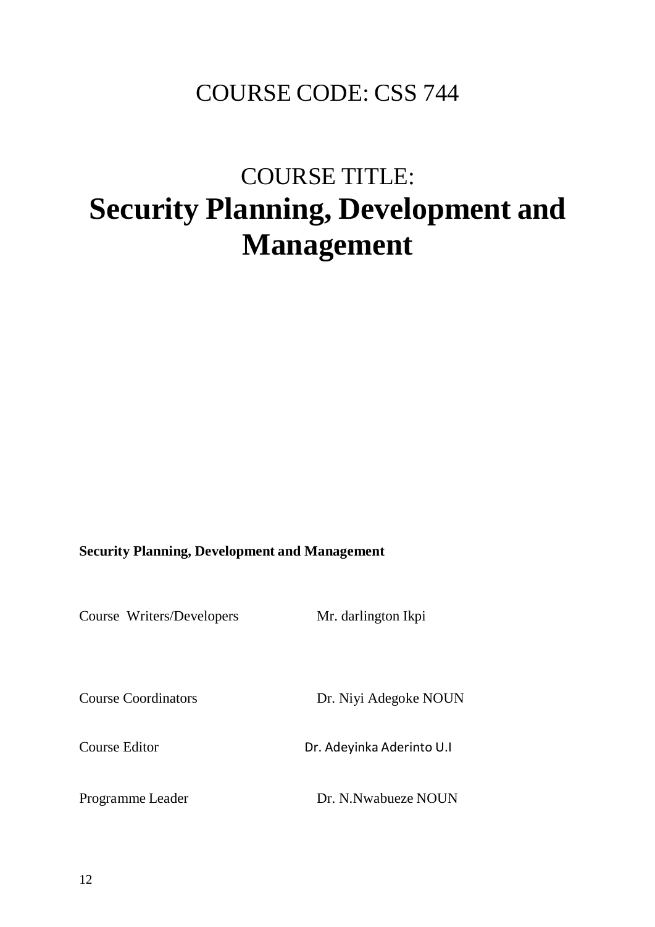# COURSE CODE: CSS 744

# COURSE TITLE: **Security Planning, Development and Management**

**Security Planning, Development and Management**

Course Writers/Developers Mr. darlington Ikpi

Course Coordinators Dr. Niyi Adegoke NOUN

Course Editor **Dr. Adeyinka Aderinto U.I** 

Programme Leader Dr. N.Nwabueze NOUN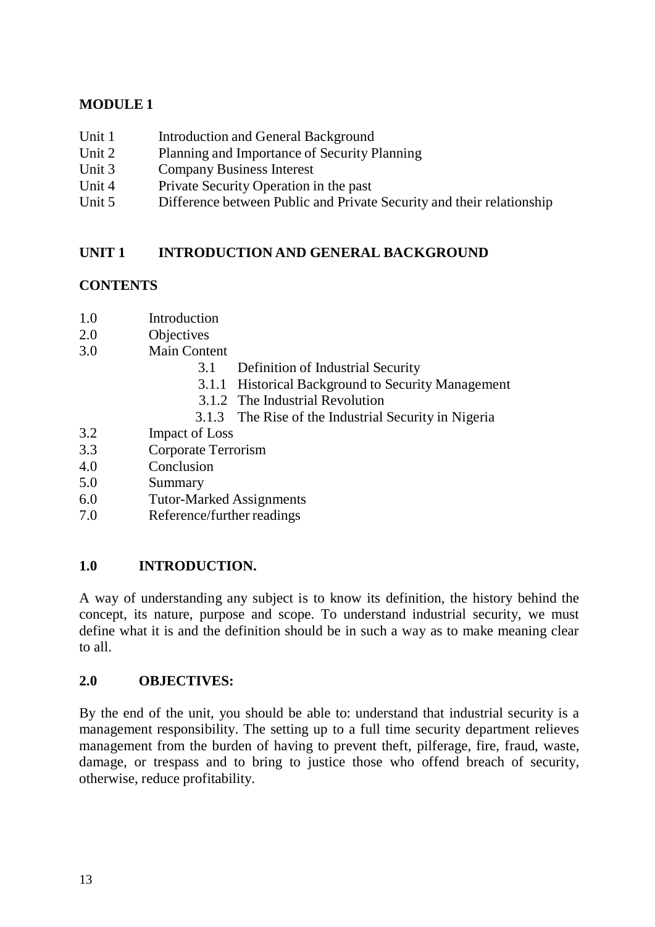# **MODULE 1**

- Unit 1 Introduction and General Background
- Unit 2 Planning and Importance of Security Planning
- Unit 3 Company Business Interest
- Unit 4 Private Security Operation in the past
- Unit 5 Difference between Public and Private Security and their relationship

# **UNIT 1 INTRODUCTION AND GENERAL BACKGROUND**

#### **CONTENTS**

- 1.0 Introduction
- 2.0 Objectives
- 3.0 Main Content
	- 3.1 Definition of Industrial Security
	- 3.1.1 Historical Background to Security Management
		- 3.1.2 The Industrial Revolution
	- 3.1.3 The Rise of the Industrial Security in Nigeria
- 3.2 Impact of Loss
- 3.3 Corporate Terrorism
- 4.0 Conclusion
- 5.0 Summary
- 6.0 Tutor-Marked Assignments
- 7.0 Reference/further readings

#### **1.0 INTRODUCTION.**

A way of understanding any subject is to know its definition, the history behind the concept, its nature, purpose and scope. To understand industrial security, we must define what it is and the definition should be in such a way as to make meaning clear to all.

#### **2.0 OBJECTIVES:**

By the end of the unit, you should be able to: understand that industrial security is a management responsibility. The setting up to a full time security department relieves management from the burden of having to prevent theft, pilferage, fire, fraud, waste, damage, or trespass and to bring to justice those who offend breach of security, otherwise, reduce profitability.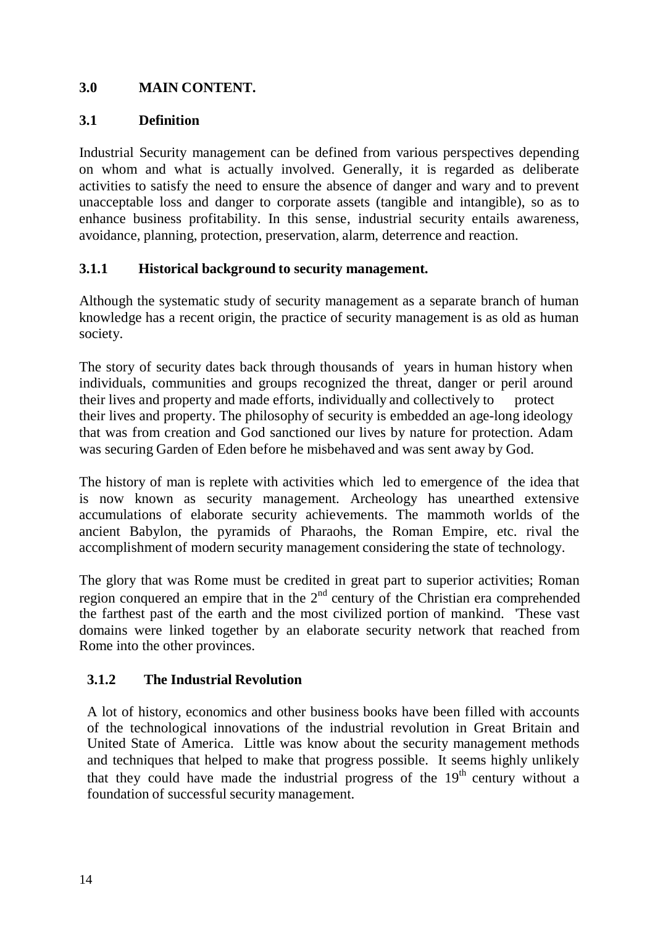#### **3.0 MAIN CONTENT.**

#### **3.1 Definition**

Industrial Security management can be defined from various perspectives depending on whom and what is actually involved. Generally, it is regarded as deliberate activities to satisfy the need to ensure the absence of danger and wary and to prevent unacceptable loss and danger to corporate assets (tangible and intangible), so as to enhance business profitability. In this sense, industrial security entails awareness, avoidance, planning, protection, preservation, alarm, deterrence and reaction.

#### **3.1.1 Historical background to security management.**

Although the systematic study of security management as a separate branch of human knowledge has a recent origin, the practice of security management is as old as human society.

The story of security dates back through thousands of years in human history when individuals, communities and groups recognized the threat, danger or peril around their lives and property and made efforts, individually and collectively to protect their lives and property. The philosophy of security is embedded an age-long ideology that was from creation and God sanctioned our lives by nature for protection. Adam was securing Garden of Eden before he misbehaved and was sent away by God.

The history of man is replete with activities which led to emergence of the idea that is now known as security management. Archeology has unearthed extensive accumulations of elaborate security achievements. The mammoth worlds of the ancient Babylon, the pyramids of Pharaohs, the Roman Empire, etc. rival the accomplishment of modern security management considering the state of technology.

The glory that was Rome must be credited in great part to superior activities; Roman region conquered an empire that in the  $2<sup>nd</sup>$  century of the Christian era comprehended the farthest past of the earth and the most civilized portion of mankind. 'These vast domains were linked together by an elaborate security network that reached from Rome into the other provinces.

#### **3.1.2 The Industrial Revolution**

A lot of history, economics and other business books have been filled with accounts of the technological innovations of the industrial revolution in Great Britain and United State of America. Little was know about the security management methods and techniques that helped to make that progress possible. It seems highly unlikely that they could have made the industrial progress of the  $19<sup>th</sup>$  century without a foundation of successful security management.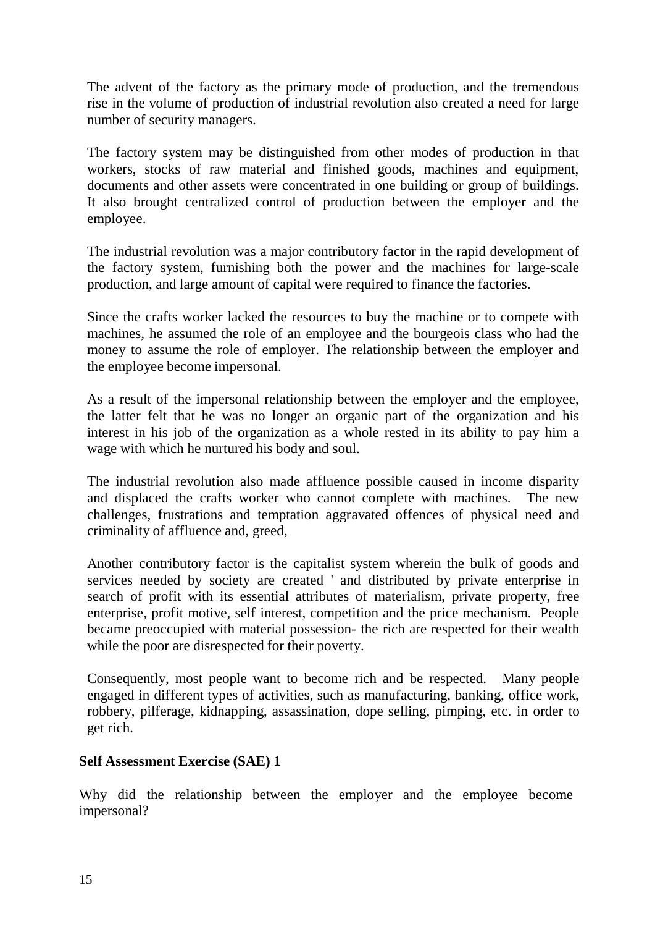The advent of the factory as the primary mode of production, and the tremendous rise in the volume of production of industrial revolution also created a need for large number of security managers.

The factory system may be distinguished from other modes of production in that workers, stocks of raw material and finished goods, machines and equipment, documents and other assets were concentrated in one building or group of buildings. It also brought centralized control of production between the employer and the employee.

The industrial revolution was a major contributory factor in the rapid development of the factory system, furnishing both the power and the machines for large-scale production, and large amount of capital were required to finance the factories.

Since the crafts worker lacked the resources to buy the machine or to compete with machines, he assumed the role of an employee and the bourgeois class who had the money to assume the role of employer. The relationship between the employer and the employee become impersonal.

As a result of the impersonal relationship between the employer and the employee, the latter felt that he was no longer an organic part of the organization and his interest in his job of the organization as a whole rested in its ability to pay him a wage with which he nurtured his body and soul.

The industrial revolution also made affluence possible caused in income disparity and displaced the crafts worker who cannot complete with machines. The new challenges, frustrations and temptation aggravated offences of physical need and criminality of affluence and, greed,

Another contributory factor is the capitalist system wherein the bulk of goods and services needed by society are created ' and distributed by private enterprise in search of profit with its essential attributes of materialism, private property, free enterprise, profit motive, self interest, competition and the price mechanism. People became preoccupied with material possession- the rich are respected for their wealth while the poor are disrespected for their poverty.

Consequently, most people want to become rich and be respected. Many people engaged in different types of activities, such as manufacturing, banking, office work, robbery, pilferage, kidnapping, assassination, dope selling, pimping, etc. in order to get rich.

#### **Self Assessment Exercise (SAE) 1**

Why did the relationship between the employer and the employee become impersonal?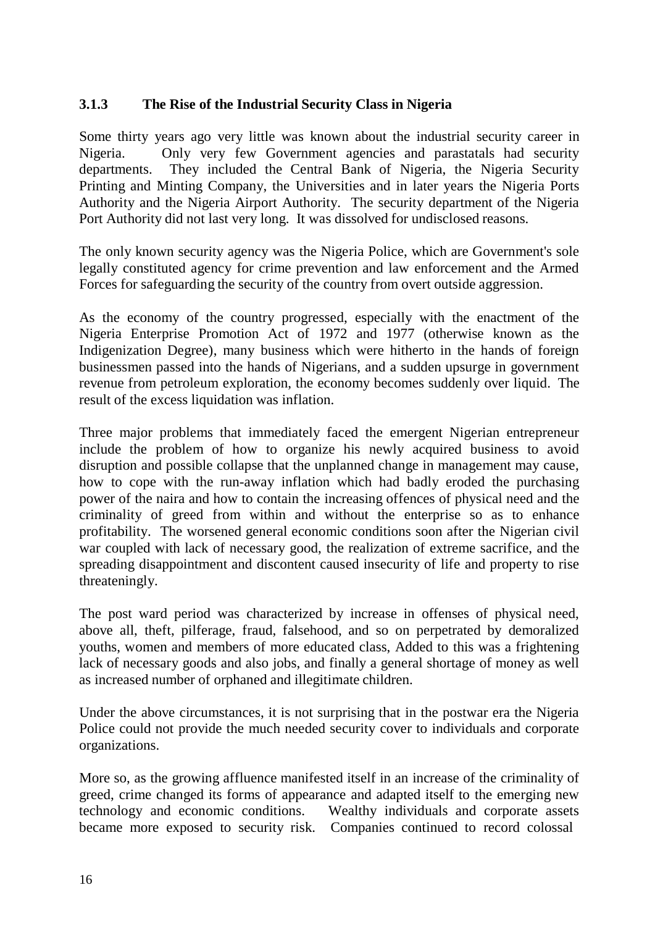#### **3.1.3 The Rise of the Industrial Security Class in Nigeria**

Some thirty years ago very little was known about the industrial security career in Nigeria. Only very few Government agencies and parastatals had security departments. They included the Central Bank of Nigeria, the Nigeria Security Printing and Minting Company, the Universities and in later years the Nigeria Ports Authority and the Nigeria Airport Authority. The security department of the Nigeria Port Authority did not last very long. It was dissolved for undisclosed reasons.

The only known security agency was the Nigeria Police, which are Government's sole legally constituted agency for crime prevention and law enforcement and the Armed Forces for safeguarding the security of the country from overt outside aggression.

As the economy of the country progressed, especially with the enactment of the Nigeria Enterprise Promotion Act of 1972 and 1977 (otherwise known as the Indigenization Degree), many business which were hitherto in the hands of foreign businessmen passed into the hands of Nigerians, and a sudden upsurge in government revenue from petroleum exploration, the economy becomes suddenly over liquid. The result of the excess liquidation was inflation.

Three major problems that immediately faced the emergent Nigerian entrepreneur include the problem of how to organize his newly acquired business to avoid disruption and possible collapse that the unplanned change in management may cause, how to cope with the run-away inflation which had badly eroded the purchasing power of the naira and how to contain the increasing offences of physical need and the criminality of greed from within and without the enterprise so as to enhance profitability. The worsened general economic conditions soon after the Nigerian civil war coupled with lack of necessary good, the realization of extreme sacrifice, and the spreading disappointment and discontent caused insecurity of life and property to rise threateningly.

The post ward period was characterized by increase in offenses of physical need, above all, theft, pilferage, fraud, falsehood, and so on perpetrated by demoralized youths, women and members of more educated class, Added to this was a frightening lack of necessary goods and also jobs, and finally a general shortage of money as well as increased number of orphaned and illegitimate children.

Under the above circumstances, it is not surprising that in the postwar era the Nigeria Police could not provide the much needed security cover to individuals and corporate organizations.

More so, as the growing affluence manifested itself in an increase of the criminality of greed, crime changed its forms of appearance and adapted itself to the emerging new technology and economic conditions. Wealthy individuals and corporate assets became more exposed to security risk. Companies continued to record colossal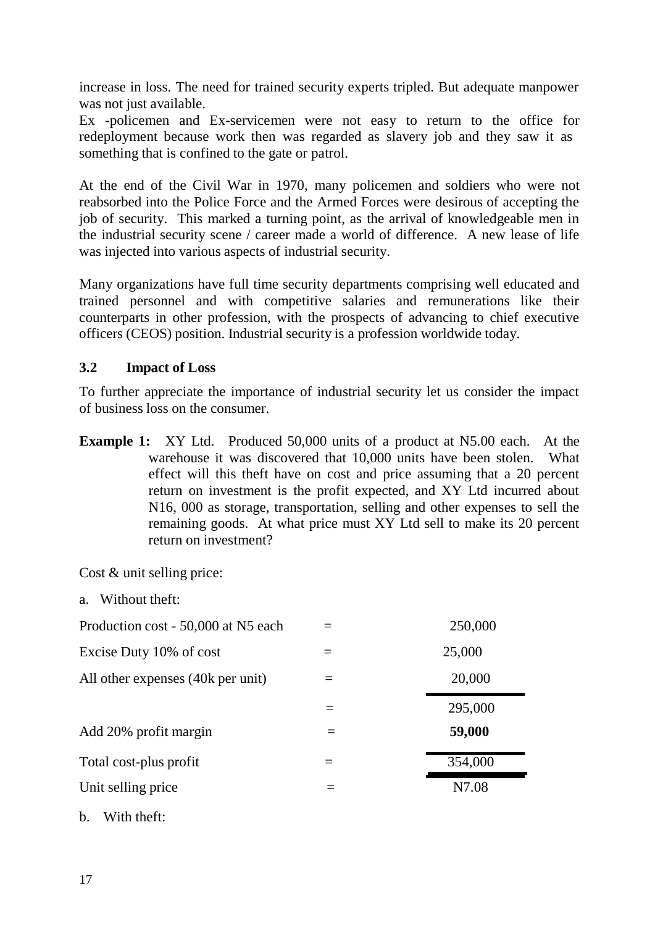increase in loss. The need for trained security experts tripled. But adequate manpower was not just available.

Ex -policemen and Ex-servicemen were not easy to return to the office for redeployment because work then was regarded as slavery job and they saw it as something that is confined to the gate or patrol.

At the end of the Civil War in 1970, many policemen and soldiers who were not reabsorbed into the Police Force and the Armed Forces were desirous of accepting the job of security. This marked a turning point, as the arrival of knowledgeable men in the industrial security scene / career made a world of difference. A new lease of life was injected into various aspects of industrial security.

Many organizations have full time security departments comprising well educated and trained personnel and with competitive salaries and remunerations like their counterparts in other profession, with the prospects of advancing to chief executive officers (CEOS) position. Industrial security is a profession worldwide today.

#### **3.2 Impact of Loss**

To further appreciate the importance of industrial security let us consider the impact of business loss on the consumer.

**Example 1:** XY Ltd. Produced 50,000 units of a product at N5.00 each. At the warehouse it was discovered that 10,000 units have been stolen. What effect will this theft have on cost and price assuming that a 20 percent return on investment is the profit expected, and XY Ltd incurred about N16, 000 as storage, transportation, selling and other expenses to sell the remaining goods. At what price must XY Ltd sell to make its 20 percent return on investment?

Cost & unit selling price:

| Without theft:<br>a <sub>z</sub>    |          |         |
|-------------------------------------|----------|---------|
| Production cost - 50,000 at N5 each |          | 250,000 |
| Excise Duty 10% of cost             | $=$      | 25,000  |
| All other expenses (40k per unit)   | $=$      | 20,000  |
|                                     | $\equiv$ | 295,000 |
| Add 20% profit margin               | $\equiv$ | 59,000  |
| Total cost-plus profit              | $\equiv$ | 354,000 |
| Unit selling price                  |          | N7.08   |

b. With theft: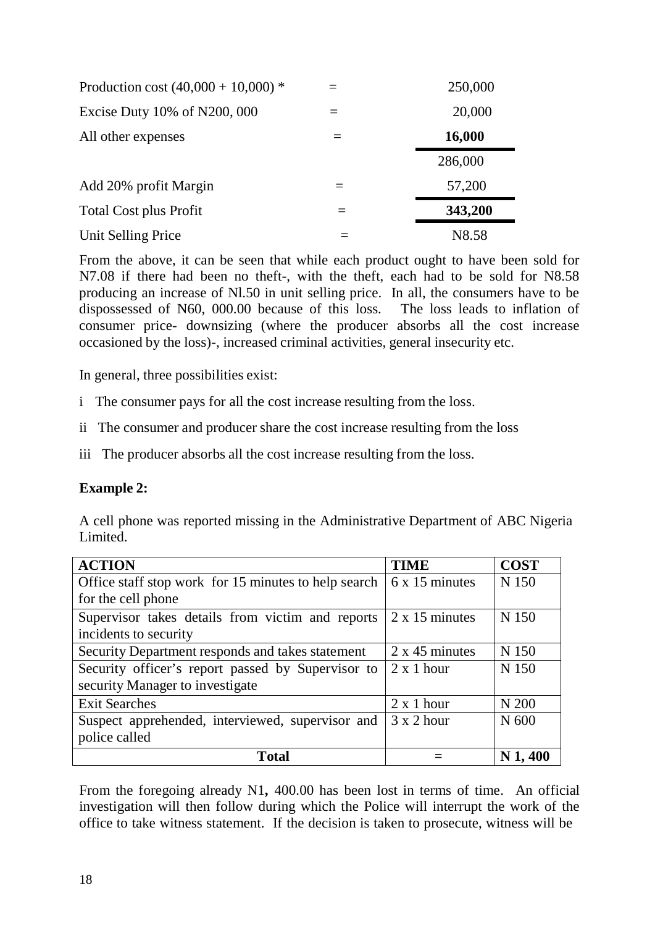| Production cost $(40,000 + 10,000)$ * |   | 250,000 |
|---------------------------------------|---|---------|
| Excise Duty 10% of N200, 000          |   | 20,000  |
| All other expenses                    | Ξ | 16,000  |
|                                       |   | 286,000 |
| Add 20% profit Margin                 |   | 57,200  |
| <b>Total Cost plus Profit</b>         |   | 343,200 |
| Unit Selling Price                    |   | N8.58   |

From the above, it can be seen that while each product ought to have been sold for N7.08 if there had been no theft-, with the theft, each had to be sold for N8.58 producing an increase of Nl.50 in unit selling price. In all, the consumers have to be dispossessed of N60, 000.00 because of this loss. The loss leads to inflation of consumer price- downsizing (where the producer absorbs all the cost increase occasioned by the loss)-, increased criminal activities, general insecurity etc.

In general, three possibilities exist:

- i The consumer pays for all the cost increase resulting from the loss.
- ii The consumer and producer share the cost increase resulting from the loss
- iii The producer absorbs all the cost increase resulting from the loss.

#### **Example 2:**

A cell phone was reported missing in the Administrative Department of ABC Nigeria Limited.

| <b>ACTION</b>                                        | <b>TIME</b>           | <b>COST</b> |
|------------------------------------------------------|-----------------------|-------------|
| Office staff stop work for 15 minutes to help search | 6 x 15 minutes        | N 150       |
| for the cell phone                                   |                       |             |
| Supervisor takes details from victim and reports     | $2 \times 15$ minutes | N 150       |
| incidents to security                                |                       |             |
| Security Department responds and takes statement     | 2 x 45 minutes        | N 150       |
| Security officer's report passed by Supervisor to    | $2 \times 1$ hour     | N 150       |
| security Manager to investigate                      |                       |             |
| <b>Exit Searches</b>                                 | $2 \times 1$ hour     | N 200       |
| Suspect apprehended, interviewed, supervisor and     | $3 \times 2$ hour     | N 600       |
| police called                                        |                       |             |
| <b>Total</b>                                         |                       | N 1,400     |

From the foregoing already N1**,** 400.00 has been lost in terms of time. An official investigation will then follow during which the Police will interrupt the work of the office to take witness statement. If the decision is taken to prosecute, witness will be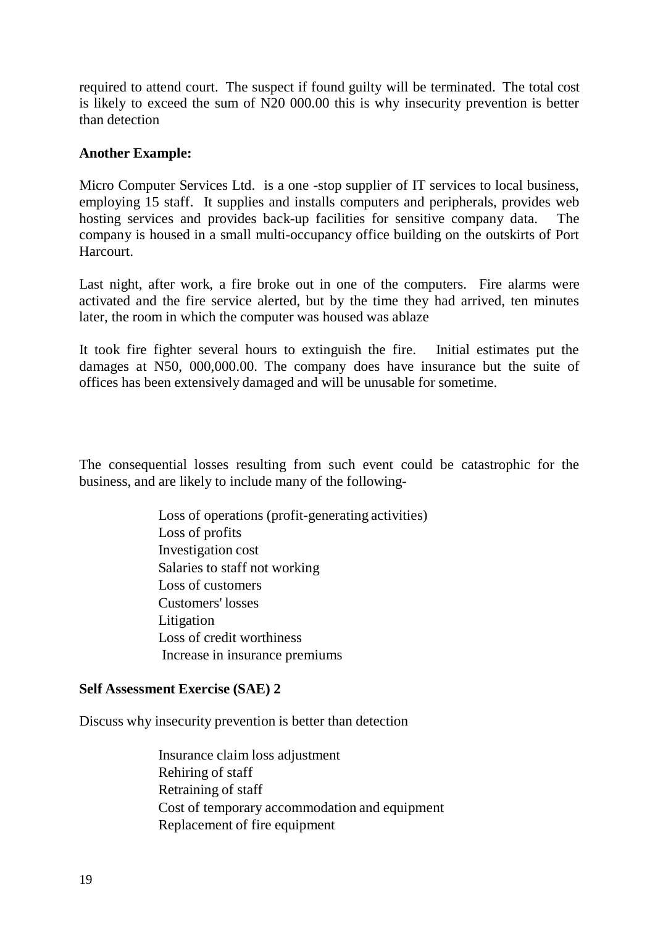required to attend court. The suspect if found guilty will be terminated. The total cost is likely to exceed the sum of N20 000.00 this is why insecurity prevention is better than detection

#### **Another Example:**

Micro Computer Services Ltd. is a one -stop supplier of IT services to local business, employing 15 staff. It supplies and installs computers and peripherals, provides web hosting services and provides back-up facilities for sensitive company data. The company is housed in a small multi-occupancy office building on the outskirts of Port Harcourt.

Last night, after work, a fire broke out in one of the computers. Fire alarms were activated and the fire service alerted, but by the time they had arrived, ten minutes later, the room in which the computer was housed was ablaze

It took fire fighter several hours to extinguish the fire. Initial estimates put the damages at N50, 000,000.00. The company does have insurance but the suite of offices has been extensively damaged and will be unusable for sometime.

The consequential losses resulting from such event could be catastrophic for the business, and are likely to include many of the following-

> Loss of operations (profit-generating activities) Loss of profits Investigation cost Salaries to staff not working Loss of customers Customers' losses Litigation Loss of credit worthiness Increase in insurance premiums

#### **Self Assessment Exercise (SAE) 2**

Discuss why insecurity prevention is better than detection

Insurance claim loss adjustment Rehiring of staff Retraining of staff Cost of temporary accommodation and equipment Replacement of fire equipment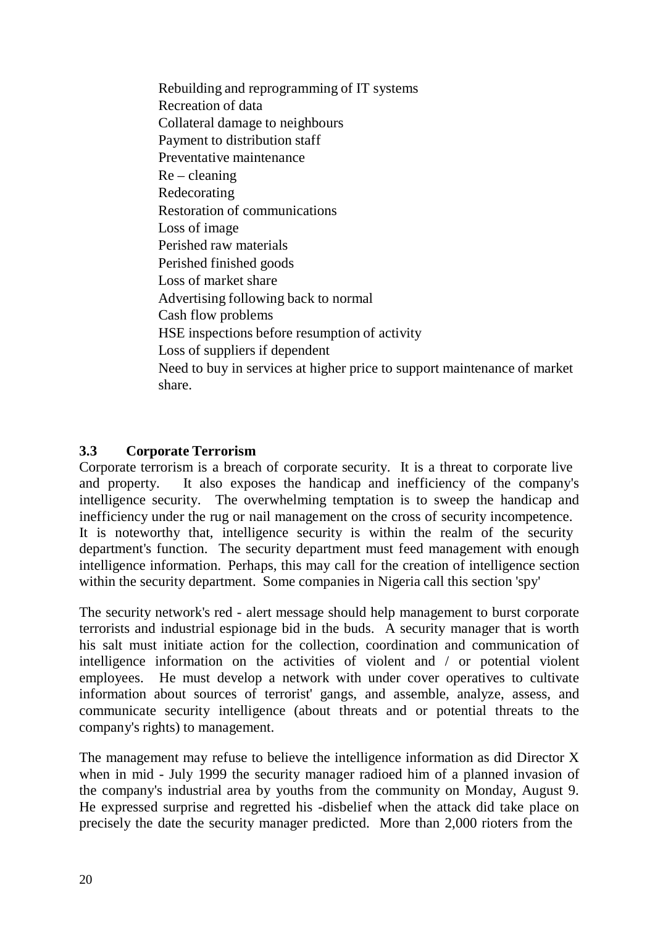Rebuilding and reprogramming of IT systems Recreation of data Collateral damage to neighbours Payment to distribution staff Preventative maintenance Re – cleaning Redecorating Restoration of communications Loss of image Perished raw materials Perished finished goods Loss of market share Advertising following back to normal Cash flow problems HSE inspections before resumption of activity Loss of suppliers if dependent Need to buy in services at higher price to support maintenance of market share.

#### **3.3 Corporate Terrorism**

Corporate terrorism is a breach of corporate security. It is a threat to corporate live and property. It also exposes the handicap and inefficiency of the company's intelligence security. The overwhelming temptation is to sweep the handicap and inefficiency under the rug or nail management on the cross of security incompetence. It is noteworthy that, intelligence security is within the realm of the security department's function. The security department must feed management with enough intelligence information. Perhaps, this may call for the creation of intelligence section within the security department. Some companies in Nigeria call this section 'spy'

The security network's red - alert message should help management to burst corporate terrorists and industrial espionage bid in the buds. A security manager that is worth his salt must initiate action for the collection, coordination and communication of intelligence information on the activities of violent and / or potential violent employees. He must develop a network with under cover operatives to cultivate information about sources of terrorist' gangs, and assemble, analyze, assess, and communicate security intelligence (about threats and or potential threats to the company's rights) to management.

The management may refuse to believe the intelligence information as did Director X when in mid - July 1999 the security manager radioed him of a planned invasion of the company's industrial area by youths from the community on Monday, August 9. He expressed surprise and regretted his -disbelief when the attack did take place on precisely the date the security manager predicted. More than 2,000 rioters from the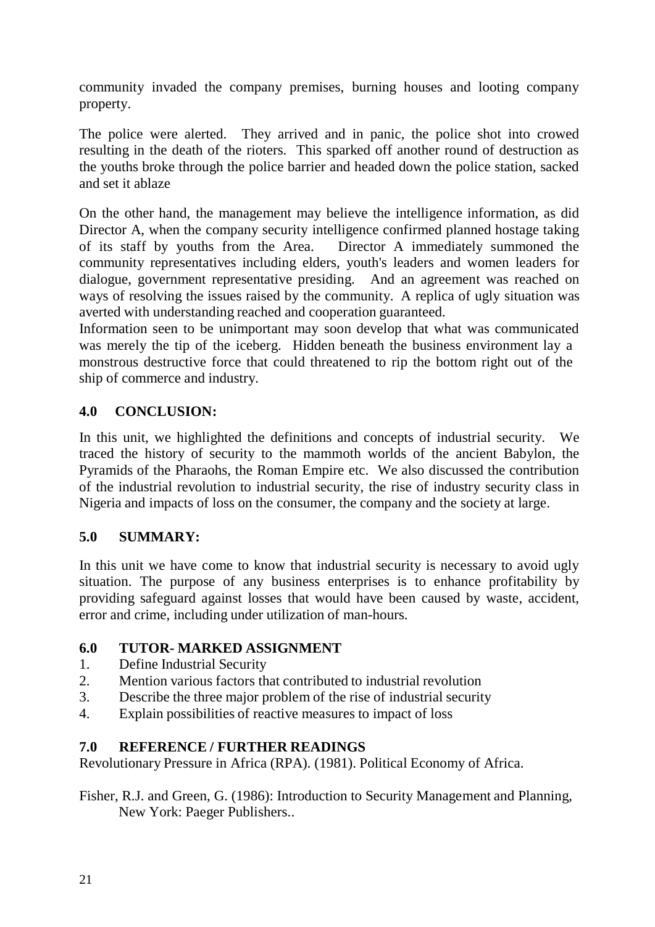community invaded the company premises, burning houses and looting company property.

The police were alerted. They arrived and in panic, the police shot into crowed resulting in the death of the rioters. This sparked off another round of destruction as the youths broke through the police barrier and headed down the police station, sacked and set it ablaze

On the other hand, the management may believe the intelligence information, as did Director A, when the company security intelligence confirmed planned hostage taking of its staff by youths from the Area. Director A immediately summoned the Director A immediately summoned the community representatives including elders, youth's leaders and women leaders for dialogue, government representative presiding. And an agreement was reached on ways of resolving the issues raised by the community. A replica of ugly situation was averted with understanding reached and cooperation guaranteed.

Information seen to be unimportant may soon develop that what was communicated was merely the tip of the iceberg. Hidden beneath the business environment lay a monstrous destructive force that could threatened to rip the bottom right out of the ship of commerce and industry.

# **4.0 CONCLUSION:**

In this unit, we highlighted the definitions and concepts of industrial security. We traced the history of security to the mammoth worlds of the ancient Babylon, the Pyramids of the Pharaohs, the Roman Empire etc. We also discussed the contribution of the industrial revolution to industrial security, the rise of industry security class in Nigeria and impacts of loss on the consumer, the company and the society at large.

#### **5.0 SUMMARY:**

In this unit we have come to know that industrial security is necessary to avoid ugly situation. The purpose of any business enterprises is to enhance profitability by providing safeguard against losses that would have been caused by waste, accident, error and crime, including under utilization of man-hours.

#### **6.0 TUTOR- MARKED ASSIGNMENT**

- 1. Define Industrial Security
- 2. Mention various factors that contributed to industrial revolution
- 3. Describe the three major problem of the rise of industrial security
- 4. Explain possibilities of reactive measures to impact of loss

# **7.0 REFERENCE / FURTHER READINGS**

Revolutionary Pressure in Africa (RPA). (1981). Political Economy of Africa.

Fisher, R.J. and Green, G. (1986): Introduction to Security Management and Planning, New York: Paeger Publishers..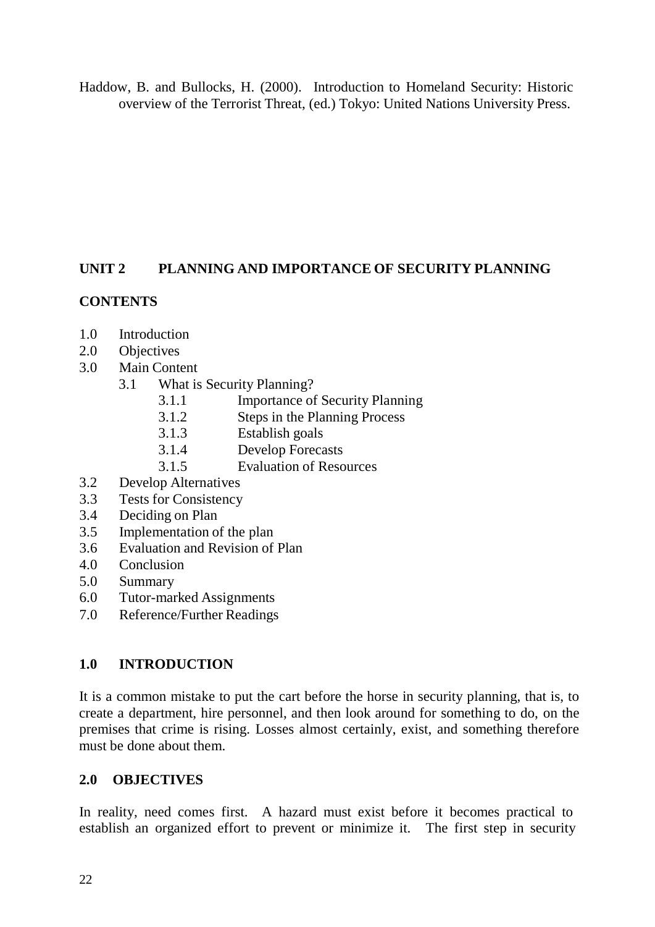Haddow, B. and Bullocks, H. (2000). Introduction to Homeland Security: Historic overview of the Terrorist Threat, (ed.) Tokyo: United Nations University Press.

# **UNIT 2 PLANNING AND IMPORTANCE OF SECURITY PLANNING**

#### **CONTENTS**

- 1.0 Introduction
- 2.0 Objectives
- 3.0 Main Content
	- 3.1 What is Security Planning?
		- 3.1.1 Importance of Security Planning
		- 3.1.2 Steps in the Planning Process<br>3.1.3 Establish goals
		- Establish goals
		- 3.1.4 Develop Forecasts
		- 3.1.5 Evaluation of Resources
- 3.2 Develop Alternatives
- 3.3 Tests for Consistency
- 3.4 Deciding on Plan
- 3.5 Implementation of the plan
- 3.6 Evaluation and Revision of Plan
- 4.0 Conclusion
- 5.0 Summary
- 6.0 Tutor-marked Assignments
- 7.0 Reference/Further Readings

#### **1.0 INTRODUCTION**

It is a common mistake to put the cart before the horse in security planning, that is, to create a department, hire personnel, and then look around for something to do, on the premises that crime is rising. Losses almost certainly, exist, and something therefore must be done about them.

#### **2.0 OBJECTIVES**

In reality, need comes first. A hazard must exist before it becomes practical to establish an organized effort to prevent or minimize it. The first step in security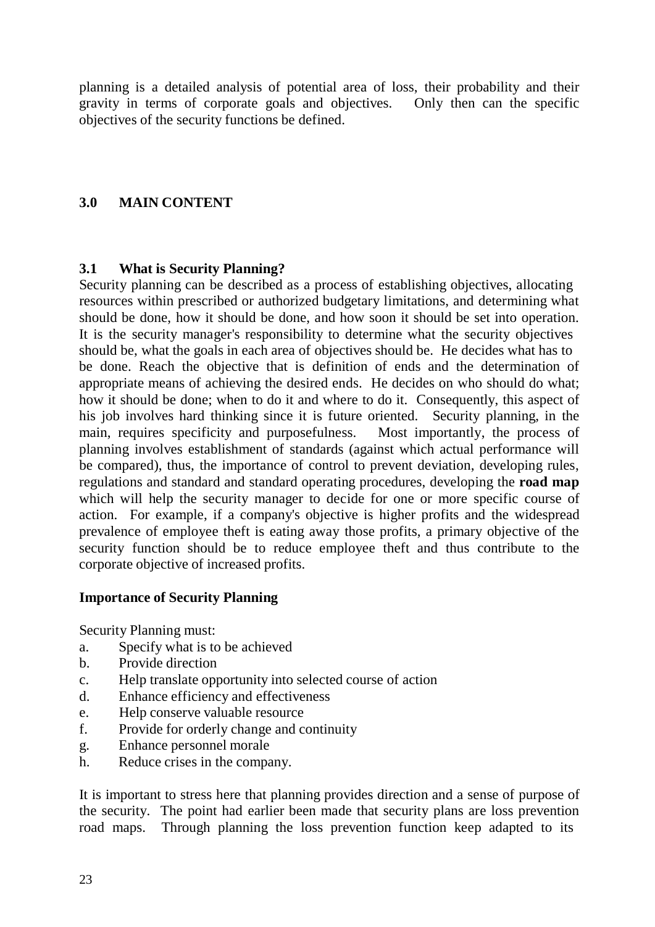planning is a detailed analysis of potential area of loss, their probability and their gravity in terms of corporate goals and objectives. Only then can the specific objectives of the security functions be defined.

#### **3.0 MAIN CONTENT**

#### **3.1 What is Security Planning?**

Security planning can be described as a process of establishing objectives, allocating resources within prescribed or authorized budgetary limitations, and determining what should be done, how it should be done, and how soon it should be set into operation. It is the security manager's responsibility to determine what the security objectives should be, what the goals in each area of objectives should be. He decides what has to be done. Reach the objective that is definition of ends and the determination of appropriate means of achieving the desired ends. He decides on who should do what; how it should be done; when to do it and where to do it. Consequently, this aspect of his job involves hard thinking since it is future oriented. Security planning, in the main, requires specificity and purposefulness. Most importantly, the process of planning involves establishment of standards (against which actual performance will be compared), thus, the importance of control to prevent deviation, developing rules, regulations and standard and standard operating procedures, developing the **road map**  which will help the security manager to decide for one or more specific course of action. For example, if a company's objective is higher profits and the widespread prevalence of employee theft is eating away those profits, a primary objective of the security function should be to reduce employee theft and thus contribute to the corporate objective of increased profits.

#### **Importance of Security Planning**

Security Planning must:

- a. Specify what is to be achieved
- b. Provide direction
- c. Help translate opportunity into selected course of action
- d. Enhance efficiency and effectiveness
- e. Help conserve valuable resource
- f. Provide for orderly change and continuity
- g. Enhance personnel morale
- h. Reduce crises in the company.

It is important to stress here that planning provides direction and a sense of purpose of the security. The point had earlier been made that security plans are loss prevention road maps. Through planning the loss prevention function keep adapted to its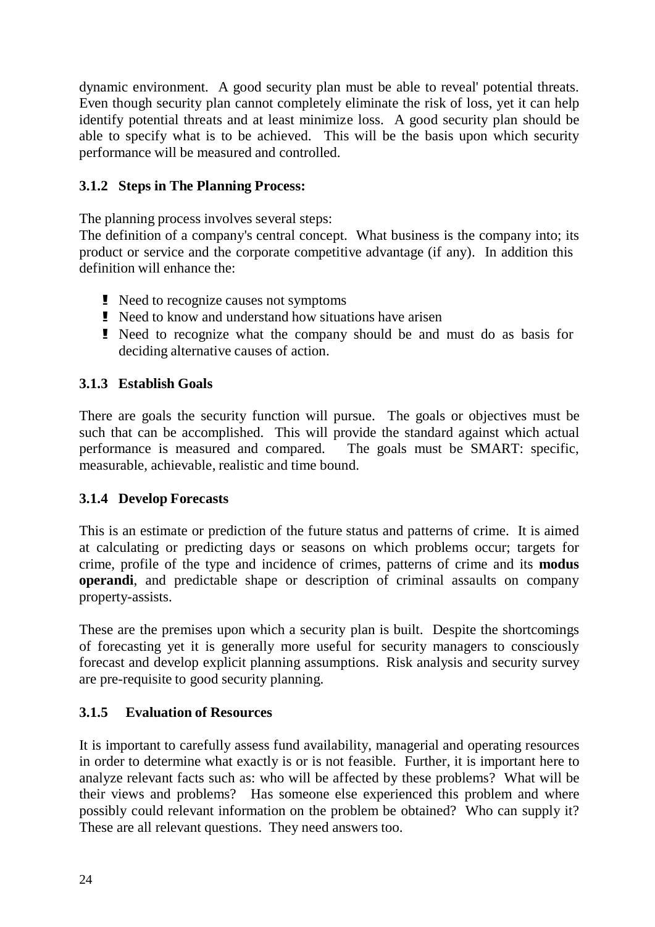dynamic environment. A good security plan must be able to reveal' potential threats. Even though security plan cannot completely eliminate the risk of loss, yet it can help identify potential threats and at least minimize loss. A good security plan should be able to specify what is to be achieved. This will be the basis upon which security performance will be measured and controlled.

#### **3.1.2 Steps in The Planning Process:**

The planning process involves several steps:

The definition of a company's central concept. What business is the company into; its product or service and the corporate competitive advantage (if any). In addition this definition will enhance the:

- ! Need to recognize causes not symptoms
- ! Need to know and understand how situations have arisen
- ! Need to recognize what the company should be and must do as basis for deciding alternative causes of action.

#### **3.1.3 Establish Goals**

There are goals the security function will pursue. The goals or objectives must be such that can be accomplished. This will provide the standard against which actual performance is measured and compared. The goals must be SMART: specific. performance is measured and compared. measurable, achievable, realistic and time bound.

#### **3.1.4 Develop Forecasts**

This is an estimate or prediction of the future status and patterns of crime. It is aimed at calculating or predicting days or seasons on which problems occur; targets for crime, profile of the type and incidence of crimes, patterns of crime and its **modus operandi**, and predictable shape or description of criminal assaults on company property-assists.

These are the premises upon which a security plan is built. Despite the shortcomings of forecasting yet it is generally more useful for security managers to consciously forecast and develop explicit planning assumptions. Risk analysis and security survey are pre-requisite to good security planning.

#### **3.1.5 Evaluation of Resources**

It is important to carefully assess fund availability, managerial and operating resources in order to determine what exactly is or is not feasible. Further, it is important here to analyze relevant facts such as: who will be affected by these problems? What will be their views and problems? Has someone else experienced this problem and where possibly could relevant information on the problem be obtained? Who can supply it? These are all relevant questions. They need answers too.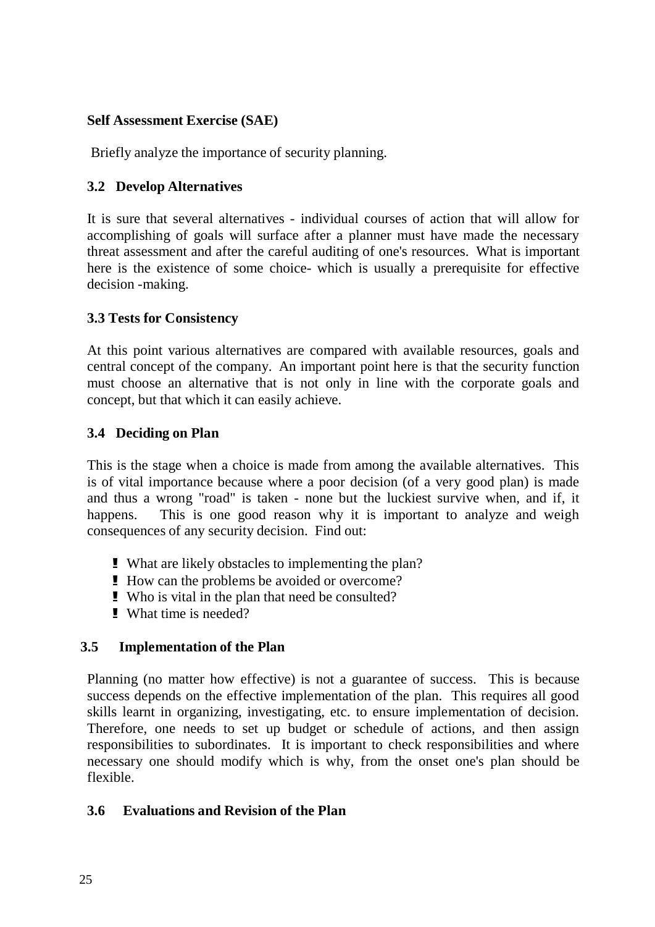#### **Self Assessment Exercise (SAE)**

Briefly analyze the importance of security planning.

#### **3.2 Develop Alternatives**

It is sure that several alternatives - individual courses of action that will allow for accomplishing of goals will surface after a planner must have made the necessary threat assessment and after the careful auditing of one's resources. What is important here is the existence of some choice- which is usually a prerequisite for effective decision -making.

#### **3.3 Tests for Consistency**

At this point various alternatives are compared with available resources, goals and central concept of the company. An important point here is that the security function must choose an alternative that is not only in line with the corporate goals and concept, but that which it can easily achieve.

#### **3.4 Deciding on Plan**

This is the stage when a choice is made from among the available alternatives. This is of vital importance because where a poor decision (of a very good plan) is made and thus a wrong "road" is taken - none but the luckiest survive when, and if, it happens. This is one good reason why it is important to analyze and weigh consequences of any security decision. Find out:

- ! What are likely obstacles to implementing the plan?
- <p>■ What are likely obstacles to implementing the pl</p>\n<p>■ How can the problems be avoided or overcome?</p>\n<p>■ What is a right of the left of the left of the right. The right is a right of the right of the right. The right is a right of the right. The right is a right of the right. The right is a right of the right. The right is a right of the right. The right is a right of the right. The right is a right of the right. The right is a right of the right. The right is a right of the right. The right is a right of the right. The right is a right of the right. The right is a right of the right. The right is a right of the right. The right is a right of the right. The right is a right of the right. The right is a right of the right. The right is a right of the right. The right is a right of the right. The right is a right of the right.
- How can the problems be avoided or overcome<br>■ Who is vital in the plan that need be consulted? **■** Who is vital in the plan that need be consulted?<br>■ What time is needed?
- 

#### **3.5 Implementation of the Plan**

Planning (no matter how effective) is not a guarantee of success. This is because success depends on the effective implementation of the plan. This requires all good skills learnt in organizing, investigating, etc. to ensure implementation of decision. Therefore, one needs to set up budget or schedule of actions, and then assign responsibilities to subordinates. It is important to check responsibilities and where necessary one should modify which is why, from the onset one's plan should be flexible.

#### **3.6 Evaluations and Revision of the Plan**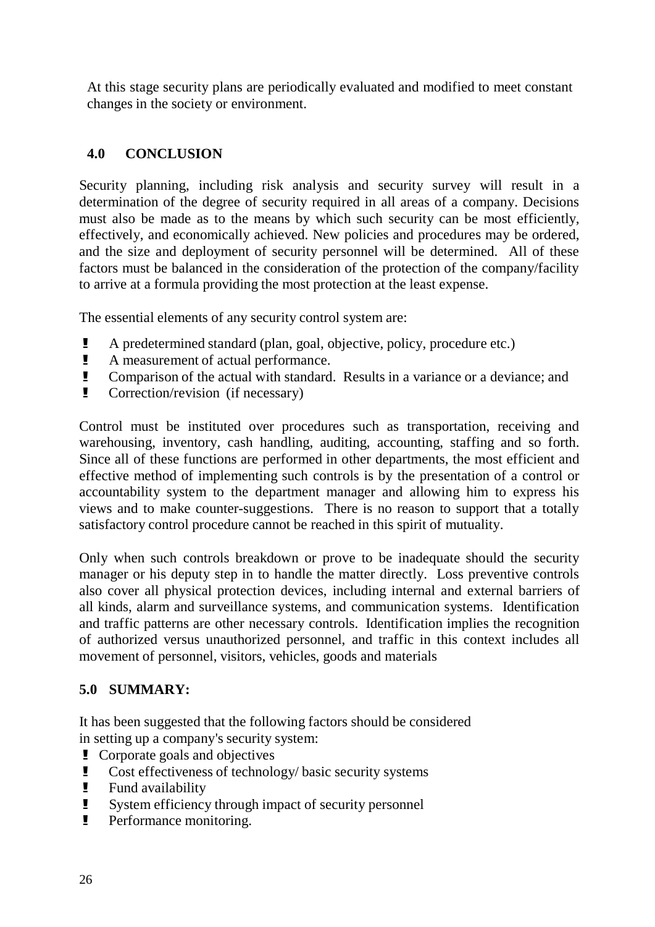At this stage security plans are periodically evaluated and modified to meet constant changes in the society or environment.

# **4.0 CONCLUSION**

Security planning, including risk analysis and security survey will result in a determination of the degree of security required in all areas of a company. Decisions must also be made as to the means by which such security can be most efficiently, effectively, and economically achieved. New policies and procedures may be ordered, and the size and deployment of security personnel will be determined. All of these factors must be balanced in the consideration of the protection of the company/facility to arrive at a formula providing the most protection at the least expense.

The essential elements of any security control system are:

- The essential elements of any security control system are:<br>
A predetermined standard (plan, goal, objective, policy, procedure etc.) I A predetermined standard (plan, goal, c<br>A measurement of actual performance.
- 
- I A measurement of actual performance.<br>
Comparison of the actual with standard. Results in a variance or a deviance; and<br>
Correction/revision (if necessary) **EXECUTE:** Comparison of the actual with star<br>Correction/revision (if necessary)
- 

Control must be instituted over procedures such as transportation, receiving and warehousing, inventory, cash handling, auditing, accounting, staffing and so forth. Since all of these functions are performed in other departments, the most efficient and effective method of implementing such controls is by the presentation of a control or accountability system to the department manager and allowing him to express his views and to make counter-suggestions. There is no reason to support that a totally satisfactory control procedure cannot be reached in this spirit of mutuality.

Only when such controls breakdown or prove to be inadequate should the security manager or his deputy step in to handle the matter directly. Loss preventive controls also cover all physical protection devices, including internal and external barriers of all kinds, alarm and surveillance systems, and communication systems. Identification and traffic patterns are other necessary controls. Identification implies the recognition of authorized versus unauthorized personnel, and traffic in this context includes all movement of personnel, visitors, vehicles, goods and materials

# **5.0 SUMMARY:**

It has been suggested that the following factors should be considered in setting up a company's security system: ! Corporate goals and objectives

- 
- **Example 19 Security system:**<br>
Corporate goals and objectives<br>
Cost effectiveness of technology/ basic security systems<br>
Final qualibility. Proceeding Cost effectivenes
- 
- <ul>\n<li>■ Cost effectiveness of technology/ basic security systems</li>\n<li>■ Fund availability</li>\n<li>■ System efficiency through impact of security personnel</li>\n<li>■ Performance monitoring</li>\n</ul>
- Performance monitoring.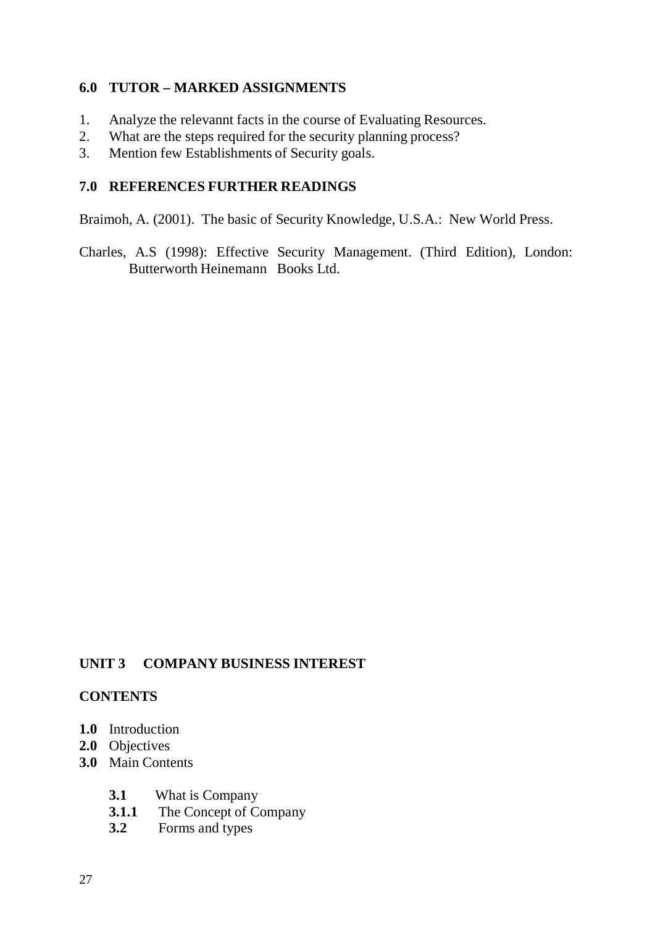#### **6.0 TUTOR – MARKED ASSIGNMENTS**

- 1. Analyze the relevannt facts in the course of Evaluating Resources.
- 2. What are the steps required for the security planning process?
- 3. Mention few Establishments of Security goals.

#### **7.0 REFERENCES FURTHER READINGS**

Braimoh, A. (2001). The basic of Security Knowledge, U.S.A.: New World Press.

Charles, A.S (1998): Effective Security Management. (Third Edition), London: Butterworth Heinemann Books Ltd.

#### **UNIT 3 COMPANY BUSINESS INTEREST**

#### **CONTENTS**

- **1.0** Introduction
- **2.0** Objectives
- **3.0** Main Contents
	- **3.1** What is Company
	- **3.1.1** The Concept of Company
	- **3.2** Forms and types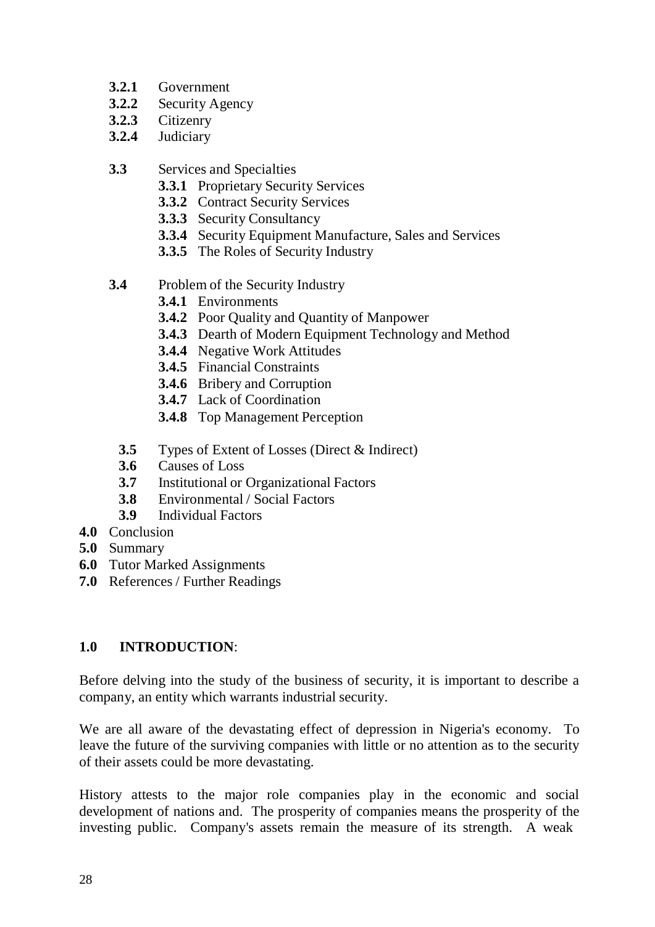- **3.2.1** Government
- **3.2.2** Security Agency
- **3.2.3** Citizenry<br>**3.2.4** Judiciary
- **3.2.4** Judiciary
- **3.3** Services and Specialties
	- **3.3.1** Proprietary Security Services
	- **3.3.2** Contract Security Services
	- **3.3.3** Security Consultancy
	- **3.3.4** Security Equipment Manufacture, Sales and Services
	- **3.3.5** The Roles of Security Industry
- **3.4** Problem of the Security Industry
	- **3.4.1** Environments
	- **3.4.2** Poor Quality and Quantity of Manpower
	- **3.4.3** Dearth of Modern Equipment Technology and Method
	- **3.4.4** Negative Work Attitudes
	- **3.4.5** Financial Constraints
	- **3.4.6** Bribery and Corruption
	- **3.4.7** Lack of Coordination
	- **3.4.8** Top Management Perception
	- **3.5** Types of Extent of Losses (Direct & Indirect)
	- **3.6** Causes of Loss
	- **3.7** Institutional or Organizational Factors
	- **3.8** Environmental / Social Factors
	- **3.9** Individual Factors
- **4.0** Conclusion
- **5.0** Summary
- **6.0** Tutor Marked Assignments
- **7.0** References / Further Readings

#### **1.0 INTRODUCTION**:

Before delving into the study of the business of security, it is important to describe a company, an entity which warrants industrial security.

We are all aware of the devastating effect of depression in Nigeria's economy. To leave the future of the surviving companies with little or no attention as to the security of their assets could be more devastating.

History attests to the major role companies play in the economic and social development of nations and. The prosperity of companies means the prosperity of the investing public. Company's assets remain the measure of its strength. A weak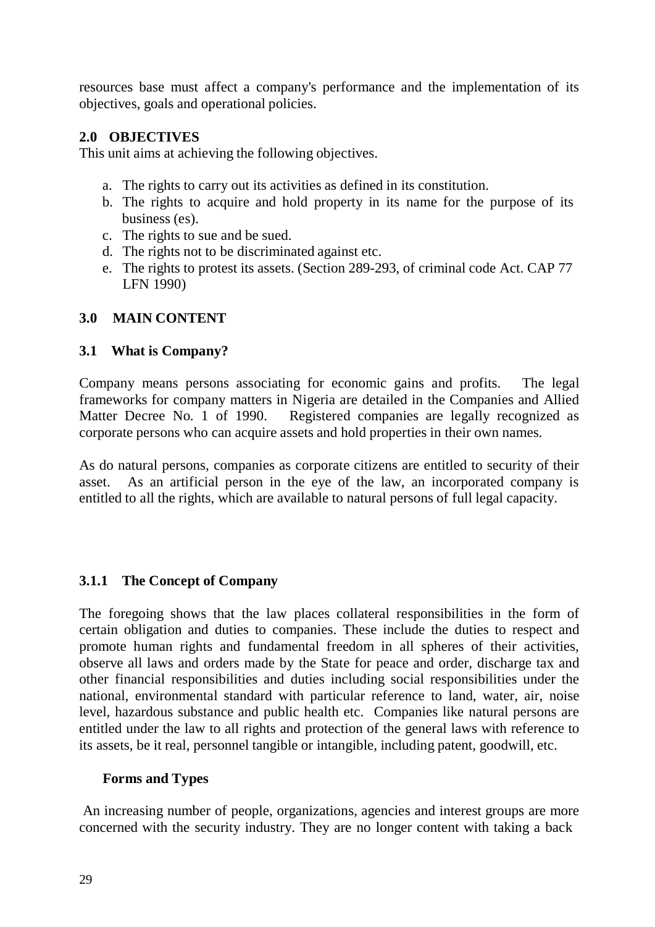resources base must affect a company's performance and the implementation of its objectives, goals and operational policies.

#### **2.0 OBJECTIVES**

This unit aims at achieving the following objectives.

- a. The rights to carry out its activities as defined in its constitution.
- b. The rights to acquire and hold property in its name for the purpose of its business (es).
- c. The rights to sue and be sued.
- d. The rights not to be discriminated against etc.
- e. The rights to protest its assets. (Section 289-293, of criminal code Act. CAP 77 LFN 1990)

#### **3.0 MAIN CONTENT**

#### **3.1 What is Company?**

Company means persons associating for economic gains and profits. The legal frameworks for company matters in Nigeria are detailed in the Companies and Allied Matter Decree No. 1 of 1990. Registered companies are legally recognized as corporate persons who can acquire assets and hold properties in their own names.

As do natural persons, companies as corporate citizens are entitled to security of their asset. As an artificial person in the eye of the law, an incorporated company is entitled to all the rights, which are available to natural persons of full legal capacity.

#### **3.1.1 The Concept of Company**

The foregoing shows that the law places collateral responsibilities in the form of certain obligation and duties to companies. These include the duties to respect and promote human rights and fundamental freedom in all spheres of their activities, observe all laws and orders made by the State for peace and order, discharge tax and other financial responsibilities and duties including social responsibilities under the national, environmental standard with particular reference to land, water, air, noise level, hazardous substance and public health etc. Companies like natural persons are entitled under the law to all rights and protection of the general laws with reference to its assets, be it real, personnel tangible or intangible, including patent, goodwill, etc.

#### **Forms and Types**

An increasing number of people, organizations, agencies and interest groups are more concerned with the security industry. They are no longer content with taking a back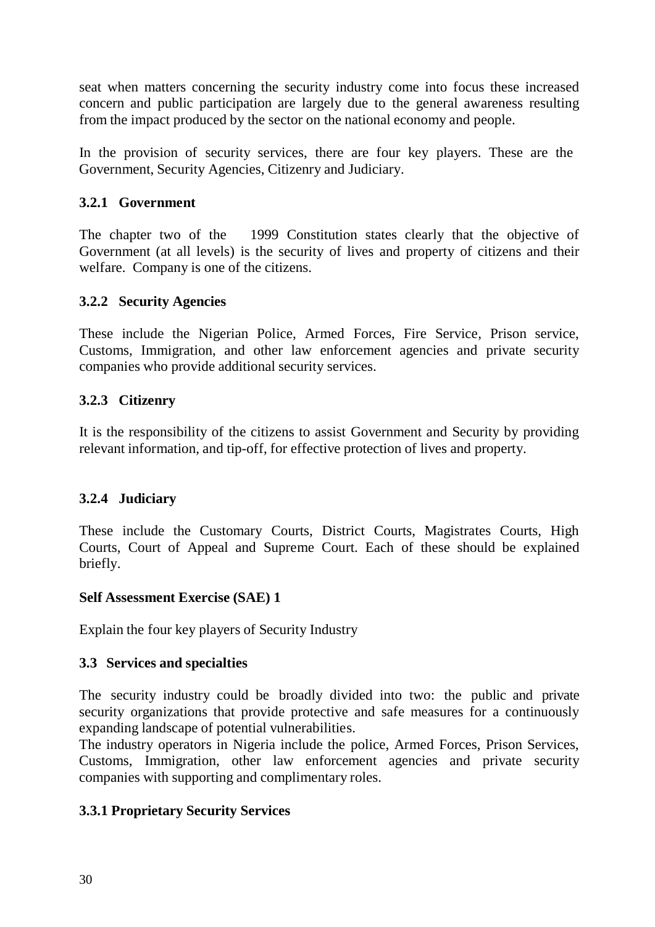seat when matters concerning the security industry come into focus these increased concern and public participation are largely due to the general awareness resulting from the impact produced by the sector on the national economy and people.

In the provision of security services, there are four key players. These are the Government, Security Agencies, Citizenry and Judiciary.

#### **3.2.1 Government**

The chapter two of the 1999 Constitution states clearly that the objective of Government (at all levels) is the security of lives and property of citizens and their welfare. Company is one of the citizens.

#### **3.2.2 Security Agencies**

These include the Nigerian Police, Armed Forces, Fire Service, Prison service, Customs, Immigration, and other law enforcement agencies and private security companies who provide additional security services.

#### **3.2.3 Citizenry**

It is the responsibility of the citizens to assist Government and Security by providing relevant information, and tip-off, for effective protection of lives and property.

#### **3.2.4 Judiciary**

These include the Customary Courts, District Courts, Magistrates Courts, High Courts, Court of Appeal and Supreme Court. Each of these should be explained briefly.

#### **Self Assessment Exercise (SAE) 1**

Explain the four key players of Security Industry

#### **3.3 Services and specialties**

The security industry could be broadly divided into two: the public and private security organizations that provide protective and safe measures for a continuously expanding landscape of potential vulnerabilities.

The industry operators in Nigeria include the police, Armed Forces, Prison Services, Customs, Immigration, other law enforcement agencies and private security companies with supporting and complimentary roles.

#### **3.3.1 Proprietary Security Services**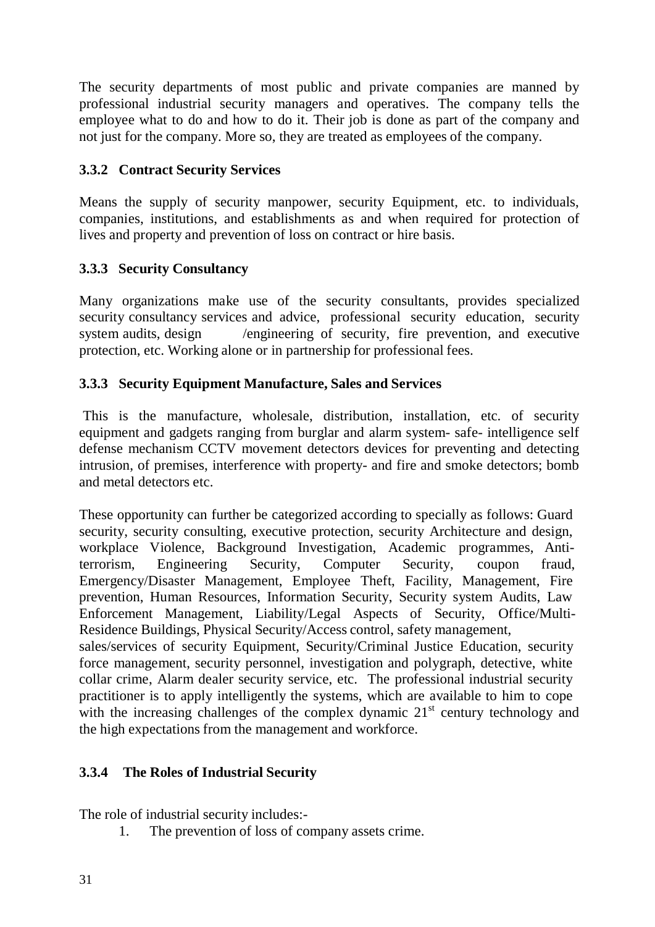The security departments of most public and private companies are manned by professional industrial security managers and operatives. The company tells the employee what to do and how to do it. Their job is done as part of the company and not just for the company. More so, they are treated as employees of the company.

### **3.3.2 Contract Security Services**

Means the supply of security manpower, security Equipment, etc. to individuals, companies, institutions, and establishments as and when required for protection of lives and property and prevention of loss on contract or hire basis.

#### **3.3.3 Security Consultancy**

Many organizations make use of the security consultants, provides specialized security consultancy services and advice, professional security education, security system audits, design /engineering of security, fire prevention, and executive protection, etc. Working alone or in partnership for professional fees.

# **3.3.3 Security Equipment Manufacture, Sales and Services**

This is the manufacture, wholesale, distribution, installation, etc. of security equipment and gadgets ranging from burglar and alarm system- safe- intelligence self defense mechanism CCTV movement detectors devices for preventing and detecting intrusion, of premises, interference with property- and fire and smoke detectors; bomb and metal detectors etc.

These opportunity can further be categorized according to specially as follows: Guard security, security consulting, executive protection, security Architecture and design, workplace Violence, Background Investigation, Academic programmes, Antiterrorism, Engineering Security, Computer Security, coupon fraud, Emergency/Disaster Management, Employee Theft, Facility, Management, Fire prevention, Human Resources, Information Security, Security system Audits, Law Enforcement Management, Liability/Legal Aspects of Security, Office/Multi-Residence Buildings, Physical Security/Access control, safety management, sales/services of security Equipment, Security/Criminal Justice Education, security force management, security personnel, investigation and polygraph, detective, white collar crime, Alarm dealer security service, etc. The professional industrial security practitioner is to apply intelligently the systems, which are available to him to cope with the increasing challenges of the complex dynamic  $21<sup>st</sup>$  century technology and the high expectations from the management and workforce.

# **3.3.4 The Roles of Industrial Security**

The role of industrial security includes:-

1. The prevention of loss of company assets crime.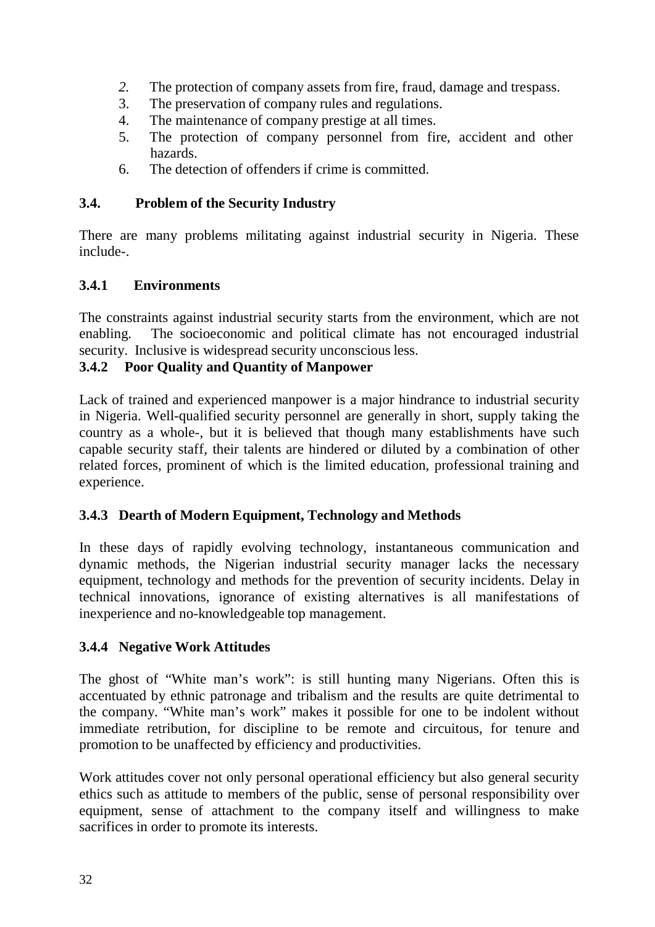- *2.* The protection of company assets from fire, fraud, damage and trespass.
- 3. The preservation of company rules and regulations.
- 4. The maintenance of company prestige at all times.
- 5. The protection of company personnel from fire, accident and other hazards.
- 6. The detection of offenders if crime is committed.

### **3.4. Problem of the Security Industry**

There are many problems militating against industrial security in Nigeria. These include-.

# **3.4.1 Environments**

The constraints against industrial security starts from the environment, which are not enabling. The socioeconomic and political climate has not encouraged industrial security. Inclusive is widespread security unconscious less.

# **3.4.2 Poor Quality and Quantity of Manpower**

Lack of trained and experienced manpower is a major hindrance to industrial security in Nigeria. Well-qualified security personnel are generally in short, supply taking the country as a whole-, but it is believed that though many establishments have such capable security staff, their talents are hindered or diluted by a combination of other related forces, prominent of which is the limited education, professional training and experience.

#### **3.4.3 Dearth of Modern Equipment, Technology and Methods**

In these days of rapidly evolving technology, instantaneous communication and dynamic methods, the Nigerian industrial security manager lacks the necessary equipment, technology and methods for the prevention of security incidents. Delay in technical innovations, ignorance of existing alternatives is all manifestations of inexperience and no-knowledgeable top management.

# **3.4.4 Negative Work Attitudes**

The ghost of "White man's work": is still hunting many Nigerians. Often this is accentuated by ethnic patronage and tribalism and the results are quite detrimental to the company. "White man's work" makes it possible for one to be indolent without immediate retribution, for discipline to be remote and circuitous, for tenure and promotion to be unaffected by efficiency and productivities.

Work attitudes cover not only personal operational efficiency but also general security ethics such as attitude to members of the public, sense of personal responsibility over equipment, sense of attachment to the company itself and willingness to make sacrifices in order to promote its interests.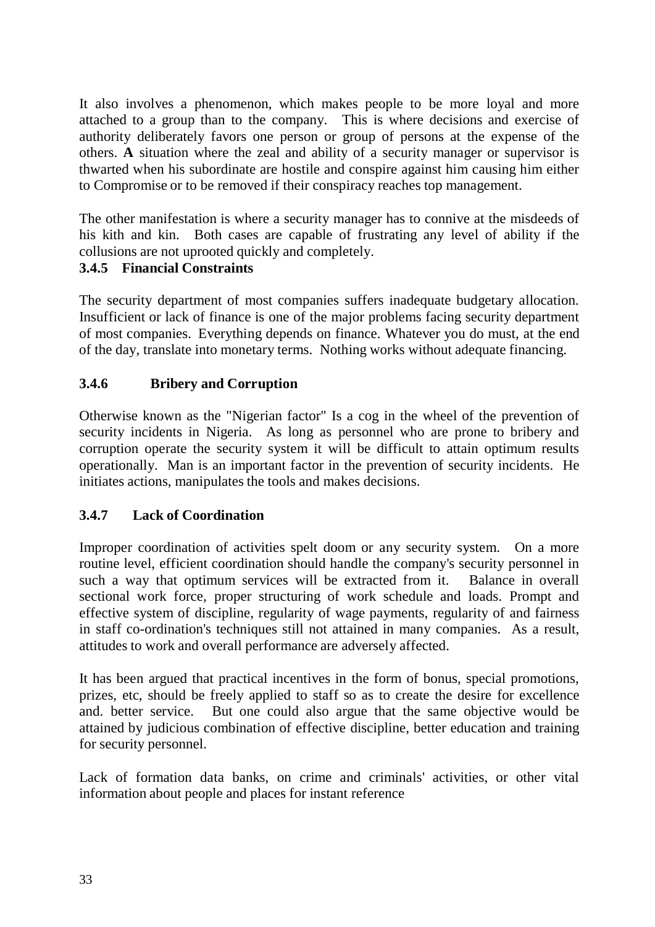It also involves a phenomenon, which makes people to be more loyal and more attached to a group than to the company. This is where decisions and exercise of authority deliberately favors one person or group of persons at the expense of the others. **A** situation where the zeal and ability of a security manager or supervisor is thwarted when his subordinate are hostile and conspire against him causing him either to Compromise or to be removed if their conspiracy reaches top management.

The other manifestation is where a security manager has to connive at the misdeeds of his kith and kin. Both cases are capable of frustrating any level of ability if the collusions are not uprooted quickly and completely.

#### **3.4.5 Financial Constraints**

The security department of most companies suffers inadequate budgetary allocation. Insufficient or lack of finance is one of the major problems facing security department of most companies. Everything depends on finance. Whatever you do must, at the end of the day, translate into monetary terms. Nothing works without adequate financing.

# **3.4.6 Bribery and Corruption**

Otherwise known as the "Nigerian factor" Is a cog in the wheel of the prevention of security incidents in Nigeria. As long as personnel who are prone to bribery and corruption operate the security system it will be difficult to attain optimum results operationally. Man is an important factor in the prevention of security incidents. He initiates actions, manipulates the tools and makes decisions.

#### **3.4.7 Lack of Coordination**

Improper coordination of activities spelt doom or any security system. On a more routine level, efficient coordination should handle the company's security personnel in such a way that optimum services will be extracted from it. Balance in overall sectional work force, proper structuring of work schedule and loads. Prompt and effective system of discipline, regularity of wage payments, regularity of and fairness in staff co-ordination's techniques still not attained in many companies. As a result, attitudes to work and overall performance are adversely affected.

It has been argued that practical incentives in the form of bonus, special promotions, prizes, etc, should be freely applied to staff so as to create the desire for excellence and. better service. But one could also argue that the same objective would be attained by judicious combination of effective discipline, better education and training for security personnel.

Lack of formation data banks, on crime and criminals' activities, or other vital information about people and places for instant reference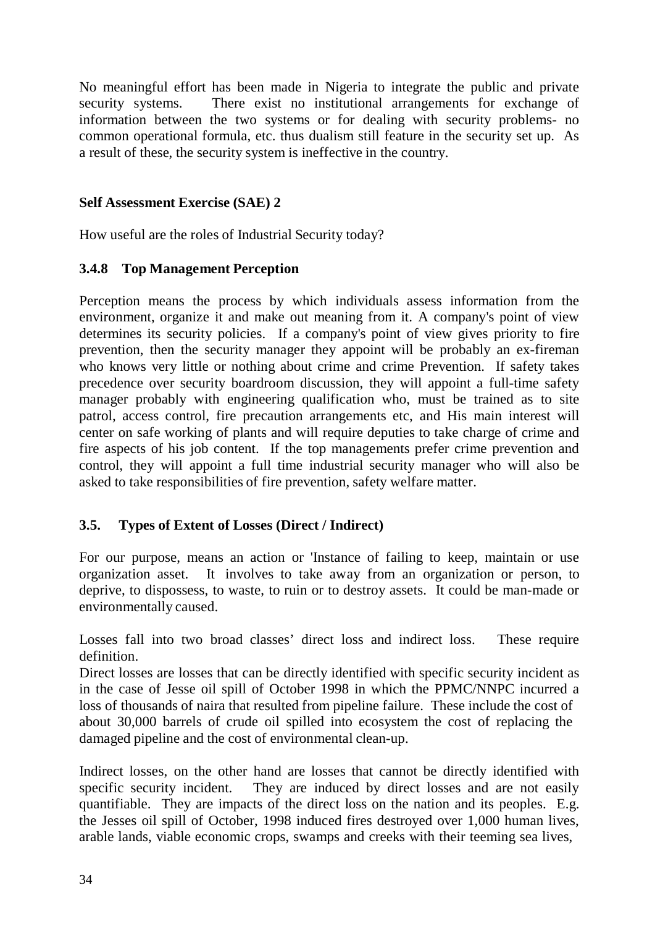No meaningful effort has been made in Nigeria to integrate the public and private security systems. There exist no institutional arrangements for exchange of information between the two systems or for dealing with security problems- no common operational formula, etc. thus dualism still feature in the security set up. As a result of these, the security system is ineffective in the country.

#### **Self Assessment Exercise (SAE) 2**

How useful are the roles of Industrial Security today?

#### **3.4.8 Top Management Perception**

Perception means the process by which individuals assess information from the environment, organize it and make out meaning from it. A company's point of view determines its security policies. If a company's point of view gives priority to fire prevention, then the security manager they appoint will be probably an ex-fireman who knows very little or nothing about crime and crime Prevention. If safety takes precedence over security boardroom discussion, they will appoint a full-time safety manager probably with engineering qualification who, must be trained as to site patrol, access control, fire precaution arrangements etc, and His main interest will center on safe working of plants and will require deputies to take charge of crime and fire aspects of his job content. If the top managements prefer crime prevention and control, they will appoint a full time industrial security manager who will also be asked to take responsibilities of fire prevention, safety welfare matter.

#### **3.5. Types of Extent of Losses (Direct / Indirect)**

For our purpose, means an action or 'Instance of failing to keep, maintain or use organization asset. It involves to take away from an organization or person, to deprive, to dispossess, to waste, to ruin or to destroy assets. It could be man-made or environmentally caused.

Losses fall into two broad classes' direct loss and indirect loss. These require definition.

Direct losses are losses that can be directly identified with specific security incident as in the case of Jesse oil spill of October 1998 in which the PPMC/NNPC incurred a loss of thousands of naira that resulted from pipeline failure. These include the cost of about 30,000 barrels of crude oil spilled into ecosystem the cost of replacing the damaged pipeline and the cost of environmental clean-up.

Indirect losses, on the other hand are losses that cannot be directly identified with specific security incident. They are induced by direct losses and are not easily quantifiable. They are impacts of the direct loss on the nation and its peoples. E.g. the Jesses oil spill of October, 1998 induced fires destroyed over 1,000 human lives, arable lands, viable economic crops, swamps and creeks with their teeming sea lives,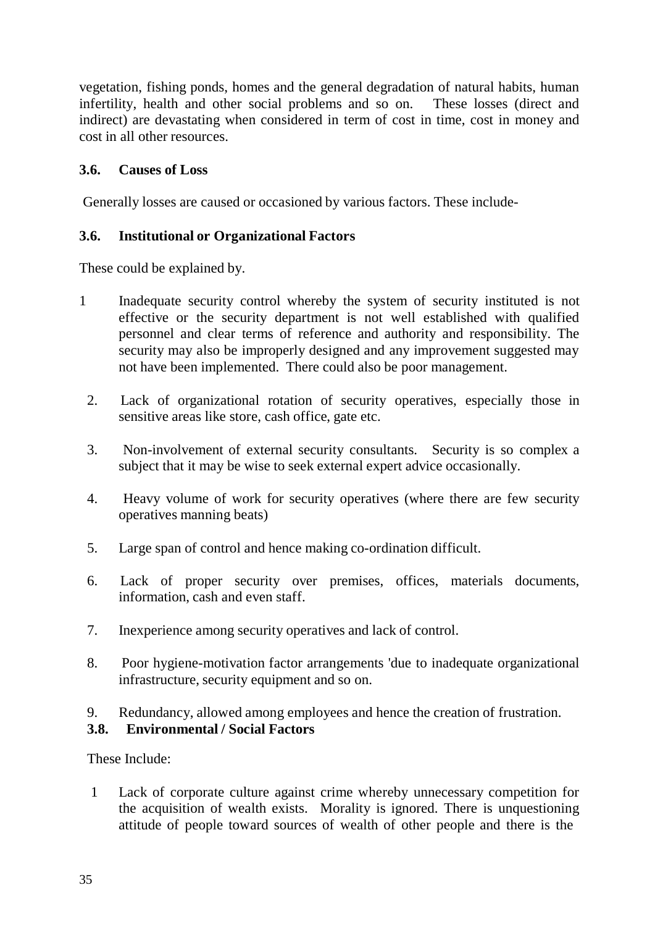vegetation, fishing ponds, homes and the general degradation of natural habits, human infertility, health and other social problems and so on. These losses (direct and indirect) are devastating when considered in term of cost in time, cost in money and cost in all other resources.

#### **3.6. Causes of Loss**

Generally losses are caused or occasioned by various factors. These include-

#### **3.6. Institutional or Organizational Factors**

These could be explained by.

- 1 Inadequate security control whereby the system of security instituted is not effective or the security department is not well established with qualified personnel and clear terms of reference and authority and responsibility. The security may also be improperly designed and any improvement suggested may not have been implemented. There could also be poor management.
	- 2. Lack of organizational rotation of security operatives, especially those in sensitive areas like store, cash office, gate etc.
	- 3. Non-involvement of external security consultants. Security is so complex a subject that it may be wise to seek external expert advice occasionally.
	- 4. Heavy volume of work for security operatives (where there are few security operatives manning beats)
	- 5. Large span of control and hence making co-ordination difficult.
	- 6. Lack of proper security over premises, offices, materials documents, information, cash and even staff.
	- 7. Inexperience among security operatives and lack of control.
	- 8. Poor hygiene-motivation factor arrangements 'due to inadequate organizational infrastructure, security equipment and so on.
	- 9. Redundancy, allowed among employees and hence the creation of frustration.

#### **3.8. Environmental / Social Factors**

These Include:

1 Lack of corporate culture against crime whereby unnecessary competition for the acquisition of wealth exists. Morality is ignored. There is unquestioning attitude of people toward sources of wealth of other people and there is the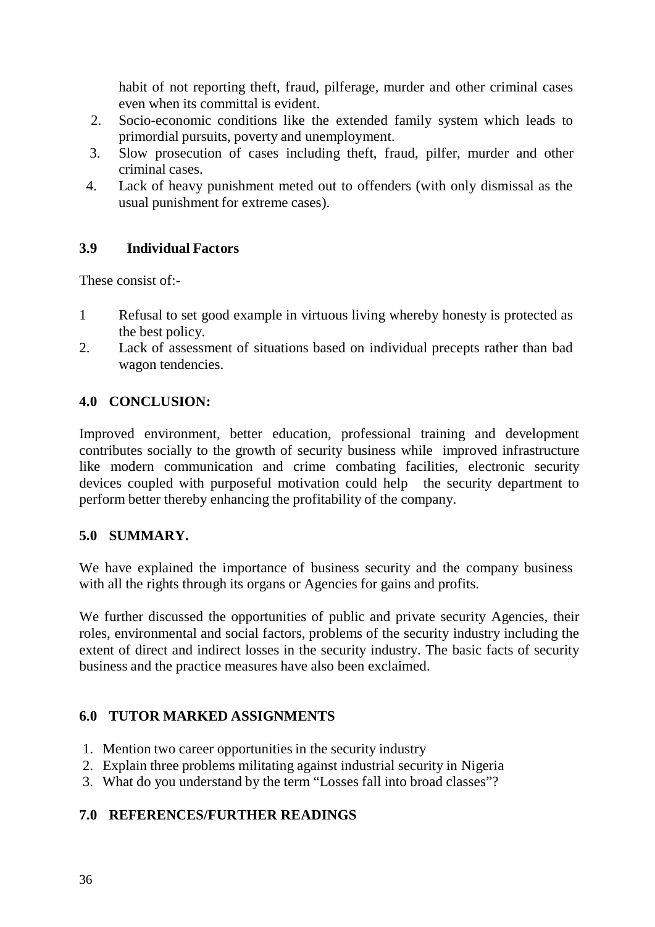habit of not reporting theft, fraud, pilferage, murder and other criminal cases even when its committal is evident.

- 2. Socio-economic conditions like the extended family system which leads to primordial pursuits, poverty and unemployment.
- 3. Slow prosecution of cases including theft, fraud, pilfer, murder and other criminal cases.
- 4. Lack of heavy punishment meted out to offenders (with only dismissal as the usual punishment for extreme cases).

#### **3.9 Individual Factors**

These consist of:-

- 1 Refusal to set good example in virtuous living whereby honesty is protected as the best policy.
- 2. Lack of assessment of situations based on individual precepts rather than bad wagon tendencies.

#### **4.0 CONCLUSION:**

Improved environment, better education, professional training and development contributes socially to the growth of security business while improved infrastructure like modern communication and crime combating facilities, electronic security devices coupled with purposeful motivation could help the security department to perform better thereby enhancing the profitability of the company.

#### **5.0 SUMMARY.**

We have explained the importance of business security and the company business with all the rights through its organs or Agencies for gains and profits.

We further discussed the opportunities of public and private security Agencies, their roles, environmental and social factors, problems of the security industry including the extent of direct and indirect losses in the security industry. The basic facts of security business and the practice measures have also been exclaimed.

#### **6.0 TUTOR MARKED ASSIGNMENTS**

- 1. Mention two career opportunities in the security industry
- 2. Explain three problems militating against industrial security in Nigeria
- 3. What do you understand by the term "Losses fall into broad classes"?

#### **7.0 REFERENCES/FURTHER READINGS**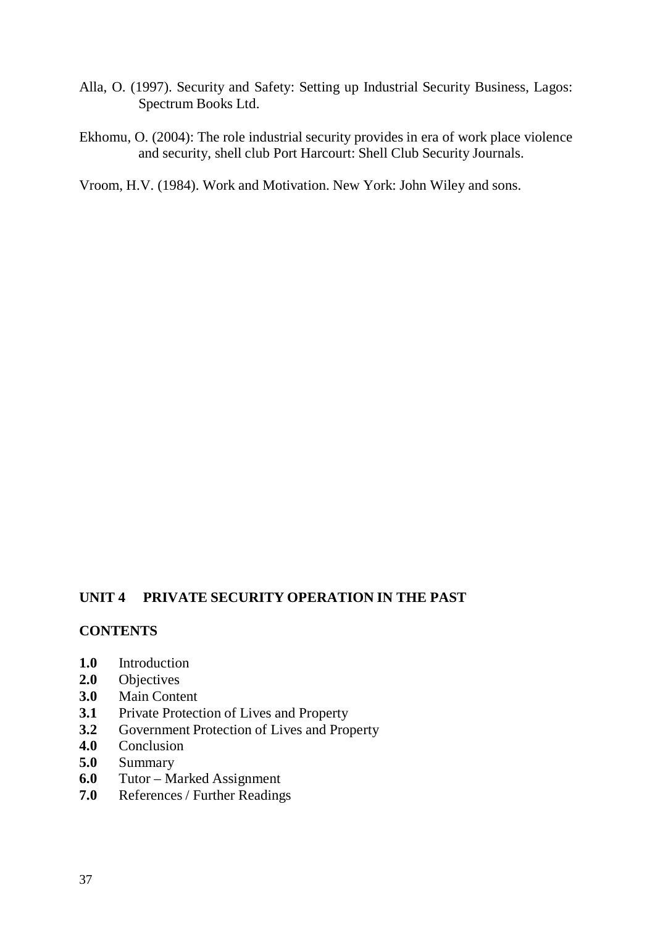- Alla, O. (1997). Security and Safety: Setting up Industrial Security Business, Lagos: Spectrum Books Ltd.
- Ekhomu, O. (2004): The role industrial security provides in era of work place violence and security, shell club Port Harcourt: Shell Club Security Journals.

Vroom, H.V. (1984). Work and Motivation. New York: John Wiley and sons.

#### **UNIT 4 PRIVATE SECURITY OPERATION IN THE PAST**

#### **CONTENTS**

- **1.0** Introduction
- **2.0** Objectives
- **3.0** Main Content
- **3.1** Private Protection of Lives and Property
- **3.2** Government Protection of Lives and Property
- **4.0** Conclusion
- **5.0** Summary
- **6.0** Tutor Marked Assignment<br>**7.0** References / Further Reading
- **7.0** References / Further Readings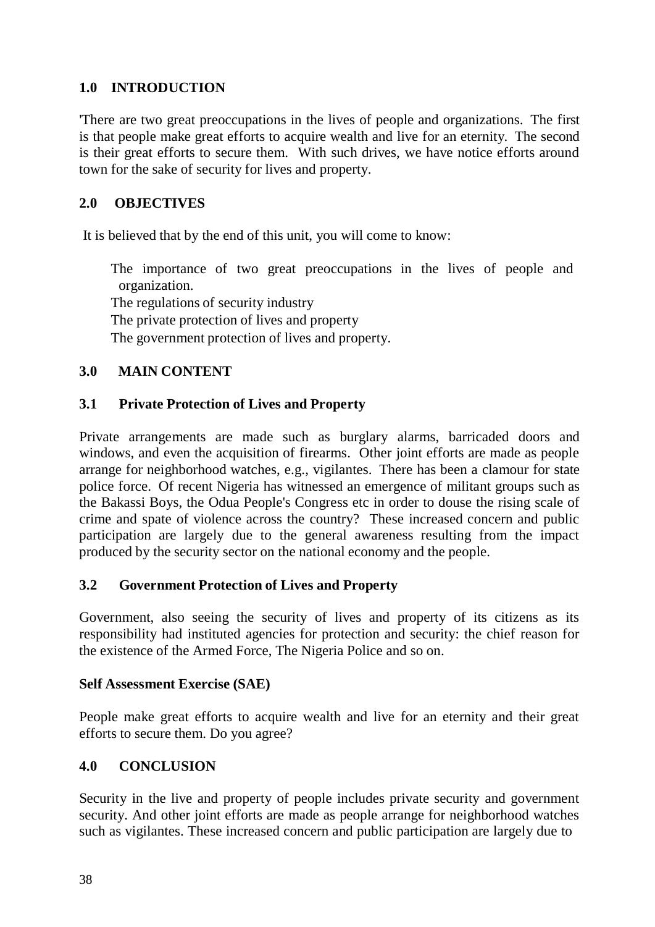# **1.0 INTRODUCTION**

'There are two great preoccupations in the lives of people and organizations. The first is that people make great efforts to acquire wealth and live for an eternity. The second is their great efforts to secure them. With such drives, we have notice efforts around town for the sake of security for lives and property.

# **2.0 OBJECTIVES**

It is believed that by the end of this unit, you will come to know:

The importance of two great preoccupations in the lives of people and organization.

The regulations of security industry

The private protection of lives and property

The government protection of lives and property.

### **3.0 MAIN CONTENT**

### **3.1 Private Protection of Lives and Property**

Private arrangements are made such as burglary alarms, barricaded doors and windows, and even the acquisition of firearms. Other joint efforts are made as people arrange for neighborhood watches, e.g., vigilantes. There has been a clamour for state police force. Of recent Nigeria has witnessed an emergence of militant groups such as the Bakassi Boys, the Odua People's Congress etc in order to douse the rising scale of crime and spate of violence across the country? These increased concern and public participation are largely due to the general awareness resulting from the impact produced by the security sector on the national economy and the people.

### **3.2 Government Protection of Lives and Property**

Government, also seeing the security of lives and property of its citizens as its responsibility had instituted agencies for protection and security: the chief reason for the existence of the Armed Force, The Nigeria Police and so on.

### **Self Assessment Exercise (SAE)**

People make great efforts to acquire wealth and live for an eternity and their great efforts to secure them. Do you agree?

### **4.0 CONCLUSION**

Security in the live and property of people includes private security and government security. And other joint efforts are made as people arrange for neighborhood watches such as vigilantes. These increased concern and public participation are largely due to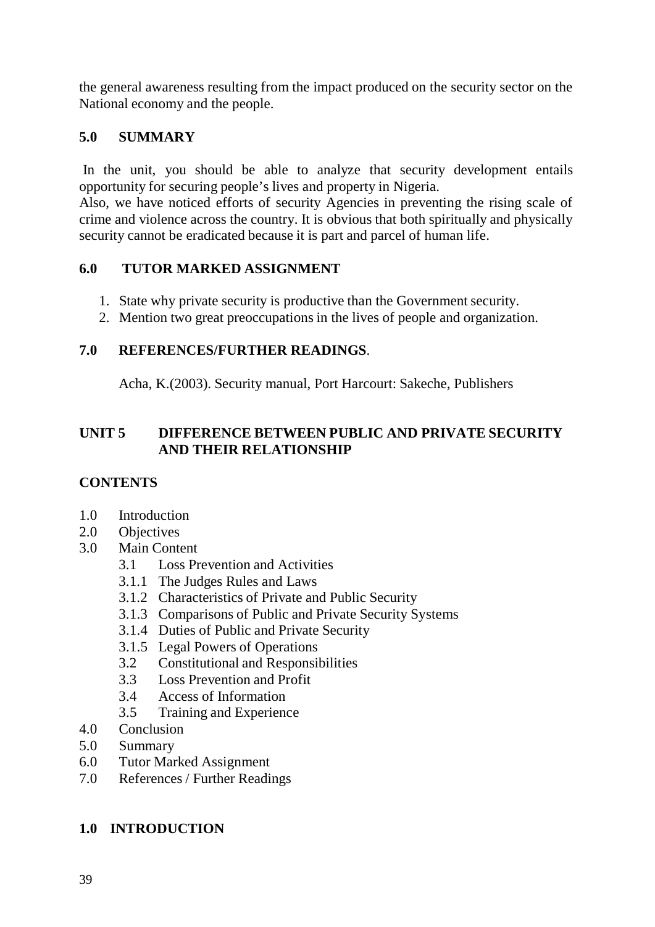the general awareness resulting from the impact produced on the security sector on the National economy and the people.

# **5.0 SUMMARY**

In the unit, you should be able to analyze that security development entails opportunity for securing people's lives and property in Nigeria.

Also, we have noticed efforts of security Agencies in preventing the rising scale of crime and violence across the country. It is obvious that both spiritually and physically security cannot be eradicated because it is part and parcel of human life.

# **6.0 TUTOR MARKED ASSIGNMENT**

- 1. State why private security is productive than the Government security.
- 2. Mention two great preoccupations in the lives of people and organization.

# **7.0 REFERENCES/FURTHER READINGS**.

Acha, K.(2003). Security manual, Port Harcourt: Sakeche, Publishers

# **UNIT 5 DIFFERENCE BETWEEN PUBLIC AND PRIVATE SECURITY AND THEIR RELATIONSHIP**

# **CONTENTS**

- 1.0 Introduction
- 2.0 Objectives
- 3.0 Main Content
	- 3.1 Loss Prevention and Activities
	- 3.1.1 The Judges Rules and Laws
	- 3.1.2 Characteristics of Private and Public Security
	- 3.1.3 Comparisons of Public and Private Security Systems
	- 3.1.4 Duties of Public and Private Security
	- 3.1.5 Legal Powers of Operations
	- 3.2 Constitutional and Responsibilities
	- 3.3 Loss Prevention and Profit
	- 3.4 Access of Information
	- 3.5 Training and Experience
- 4.0 Conclusion
- 5.0 Summary
- 6.0 Tutor Marked Assignment
- 7.0 References / Further Readings

# **1.0 INTRODUCTION**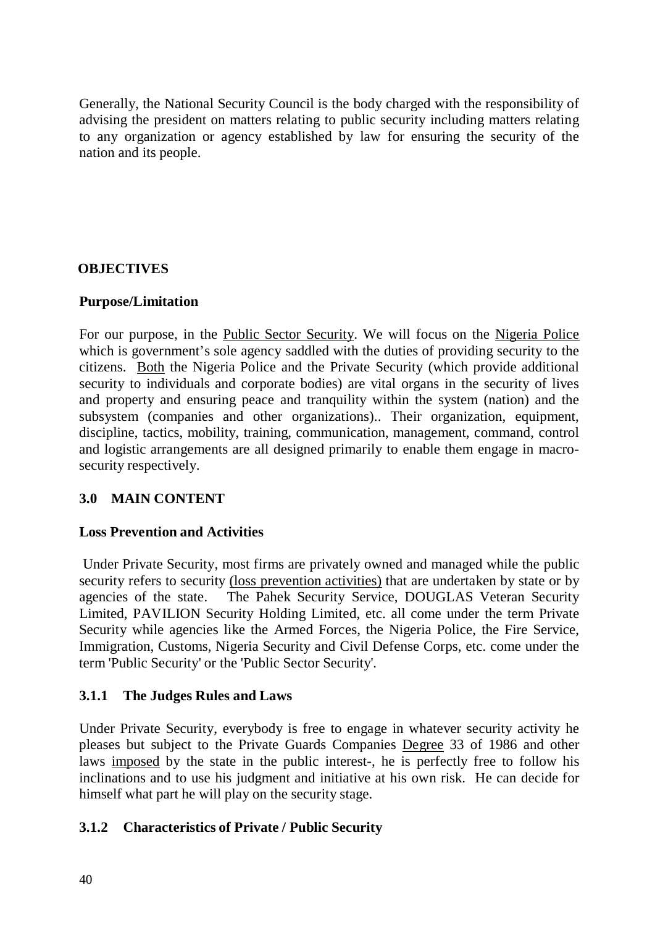Generally, the National Security Council is the body charged with the responsibility of advising the president on matters relating to public security including matters relating to any organization or agency established by law for ensuring the security of the nation and its people.

# **OBJECTIVES**

# **Purpose/Limitation**

For our purpose, in the Public Sector Security. We will focus on the Nigeria Police which is government's sole agency saddled with the duties of providing security to the citizens. Both the Nigeria Police and the Private Security (which provide additional security to individuals and corporate bodies) are vital organs in the security of lives and property and ensuring peace and tranquility within the system (nation) and the subsystem (companies and other organizations).. Their organization, equipment, discipline, tactics, mobility, training, communication, management, command, control and logistic arrangements are all designed primarily to enable them engage in macrosecurity respectively.

### **3.0 MAIN CONTENT**

# **Loss Prevention and Activities**

Under Private Security, most firms are privately owned and managed while the public security refers to security (loss prevention activities) that are undertaken by state or by agencies of the state. The Pahek Security Service, DOUGLAS Veteran Security Limited, PAVILION Security Holding Limited, etc. all come under the term Private Security while agencies like the Armed Forces, the Nigeria Police, the Fire Service, Immigration, Customs, Nigeria Security and Civil Defense Corps, etc. come under the term 'Public Security' or the 'Public Sector Security'.

### **3.1.1 The Judges Rules and Laws**

Under Private Security, everybody is free to engage in whatever security activity he pleases but subject to the Private Guards Companies Degree 33 of 1986 and other laws imposed by the state in the public interest-, he is perfectly free to follow his inclinations and to use his judgment and initiative at his own risk. He can decide for himself what part he will play on the security stage.

# **3.1.2 Characteristics of Private / Public Security**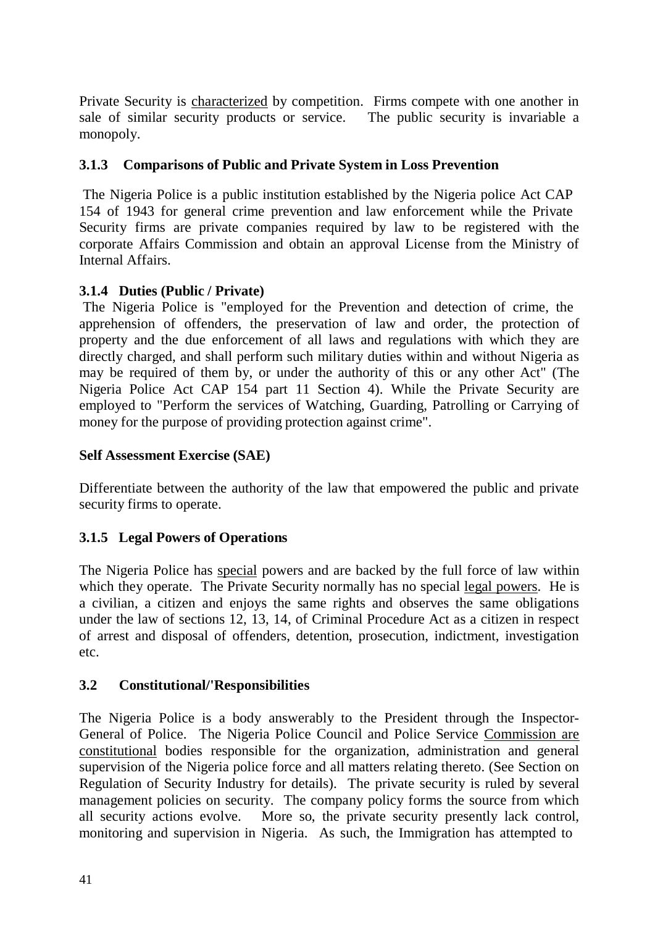Private Security is characterized by competition. Firms compete with one another in sale of similar security products or service. The public security is invariable a monopoly.

# **3.1.3 Comparisons of Public and Private System in Loss Prevention**

The Nigeria Police is a public institution established by the Nigeria police Act CAP 154 of 1943 for general crime prevention and law enforcement while the Private Security firms are private companies required by law to be registered with the corporate Affairs Commission and obtain an approval License from the Ministry of Internal Affairs.

### **3.1.4 Duties (Public / Private)**

The Nigeria Police is "employed for the Prevention and detection of crime, the apprehension of offenders, the preservation of law and order, the protection of property and the due enforcement of all laws and regulations with which they are directly charged, and shall perform such military duties within and without Nigeria as may be required of them by, or under the authority of this or any other Act" (The Nigeria Police Act CAP 154 part 11 Section 4). While the Private Security are employed to "Perform the services of Watching, Guarding, Patrolling or Carrying of money for the purpose of providing protection against crime".

### **Self Assessment Exercise (SAE)**

Differentiate between the authority of the law that empowered the public and private security firms to operate.

# **3.1.5 Legal Powers of Operations**

The Nigeria Police has special powers and are backed by the full force of law within which they operate. The Private Security normally has no special legal powers. He is a civilian, a citizen and enjoys the same rights and observes the same obligations under the law of sections 12, 13, 14, of Criminal Procedure Act as a citizen in respect of arrest and disposal of offenders, detention, prosecution, indictment, investigation etc.

# **3.2 Constitutional/'Responsibilities**

The Nigeria Police is a body answerably to the President through the Inspector-General of Police. The Nigeria Police Council and Police Service Commission are constitutional bodies responsible for the organization, administration and general supervision of the Nigeria police force and all matters relating thereto. (See Section on Regulation of Security Industry for details). The private security is ruled by several management policies on security. The company policy forms the source from which all security actions evolve. More so, the private security presently lack control, monitoring and supervision in Nigeria. As such, the Immigration has attempted to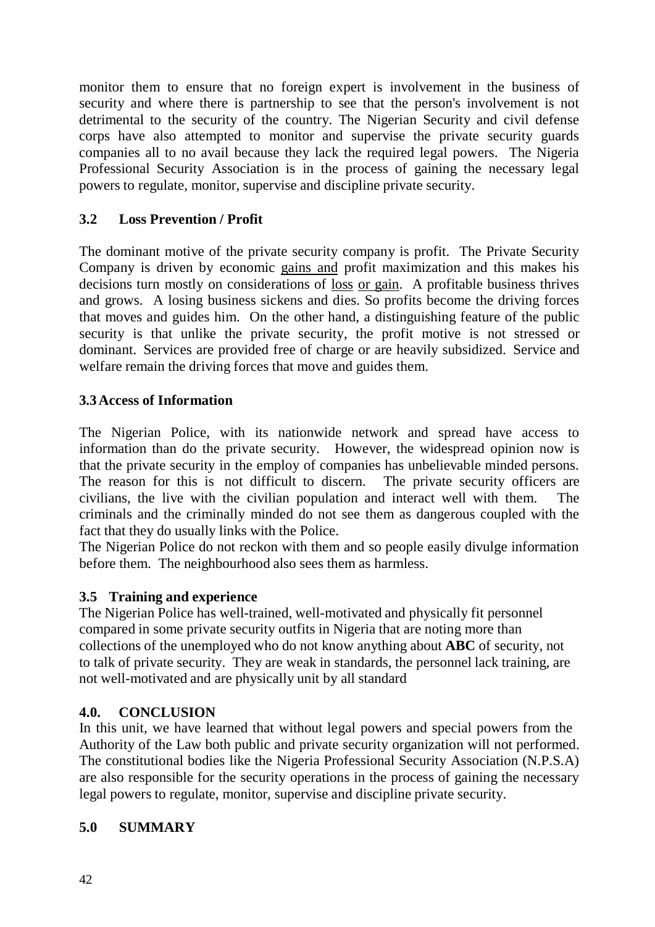monitor them to ensure that no foreign expert is involvement in the business of security and where there is partnership to see that the person's involvement is not detrimental to the security of the country. The Nigerian Security and civil defense corps have also attempted to monitor and supervise the private security guards companies all to no avail because they lack the required legal powers. The Nigeria Professional Security Association is in the process of gaining the necessary legal powers to regulate, monitor, supervise and discipline private security.

# **3.2 Loss Prevention / Profit**

The dominant motive of the private security company is profit. The Private Security Company is driven by economic gains and profit maximization and this makes his decisions turn mostly on considerations of loss or gain. A profitable business thrives and grows. A losing business sickens and dies. So profits become the driving forces that moves and guides him. On the other hand, a distinguishing feature of the public security is that unlike the private security, the profit motive is not stressed or dominant. Services are provided free of charge or are heavily subsidized. Service and welfare remain the driving forces that move and guides them.

### **3.3Access of Information**

The Nigerian Police, with its nationwide network and spread have access to information than do the private security. However, the widespread opinion now is that the private security in the employ of companies has unbelievable minded persons. The reason for this is not difficult to discern. The private security officers are civilians, the live with the civilian population and interact well with them. The criminals and the criminally minded do not see them as dangerous coupled with the fact that they do usually links with the Police.

The Nigerian Police do not reckon with them and so people easily divulge information before them. The neighbourhood also sees them as harmless.

# **3.5 Training and experience**

The Nigerian Police has well-trained, well-motivated and physically fit personnel compared in some private security outfits in Nigeria that are noting more than collections of the unemployed who do not know anything about **ABC** of security, not to talk of private security. They are weak in standards, the personnel lack training, are not well-motivated and are physically unit by all standard

# **4.0. CONCLUSION**

In this unit, we have learned that without legal powers and special powers from the Authority of the Law both public and private security organization will not performed. The constitutional bodies like the Nigeria Professional Security Association (N.P.S.A) are also responsible for the security operations in the process of gaining the necessary legal powers to regulate, monitor, supervise and discipline private security.

# **5.0 SUMMARY**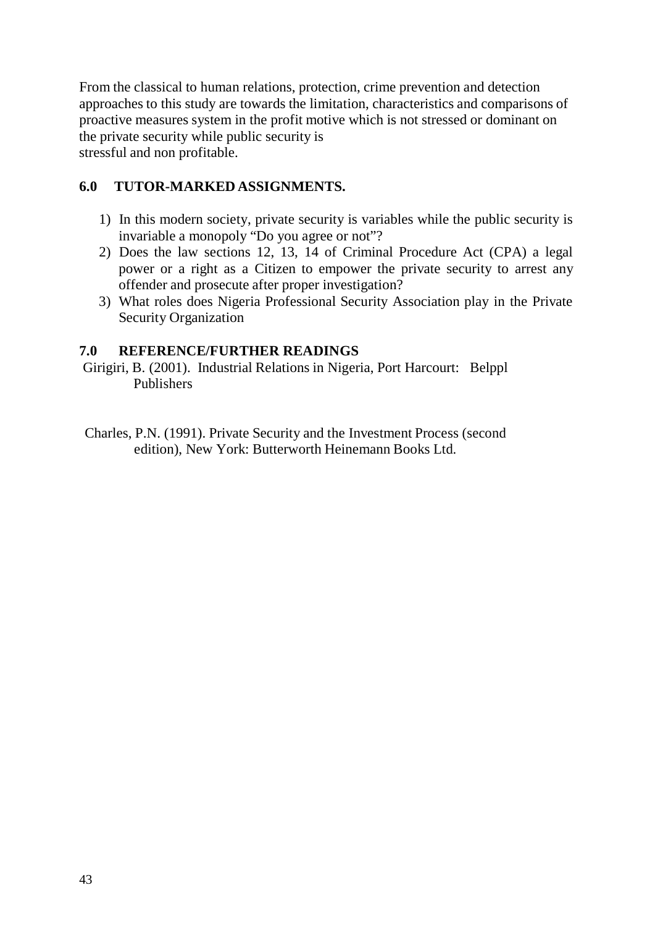From the classical to human relations, protection, crime prevention and detection approaches to this study are towards the limitation, characteristics and comparisons of proactive measures system in the profit motive which is not stressed or dominant on the private security while public security is stressful and non profitable.

### **6.0 TUTOR-MARKED ASSIGNMENTS.**

- 1) In this modern society, private security is variables while the public security is invariable a monopoly "Do you agree or not"?
- 2) Does the law sections 12, 13, 14 of Criminal Procedure Act (CPA) a legal power or a right as a Citizen to empower the private security to arrest any offender and prosecute after proper investigation?
- 3) What roles does Nigeria Professional Security Association play in the Private Security Organization

### **7.0 REFERENCE/FURTHER READINGS**

Girigiri, B. (2001). Industrial Relations in Nigeria, Port Harcourt: Belppl Publishers

Charles, P.N. (1991). Private Security and the Investment Process (second edition), New York: Butterworth Heinemann Books Ltd.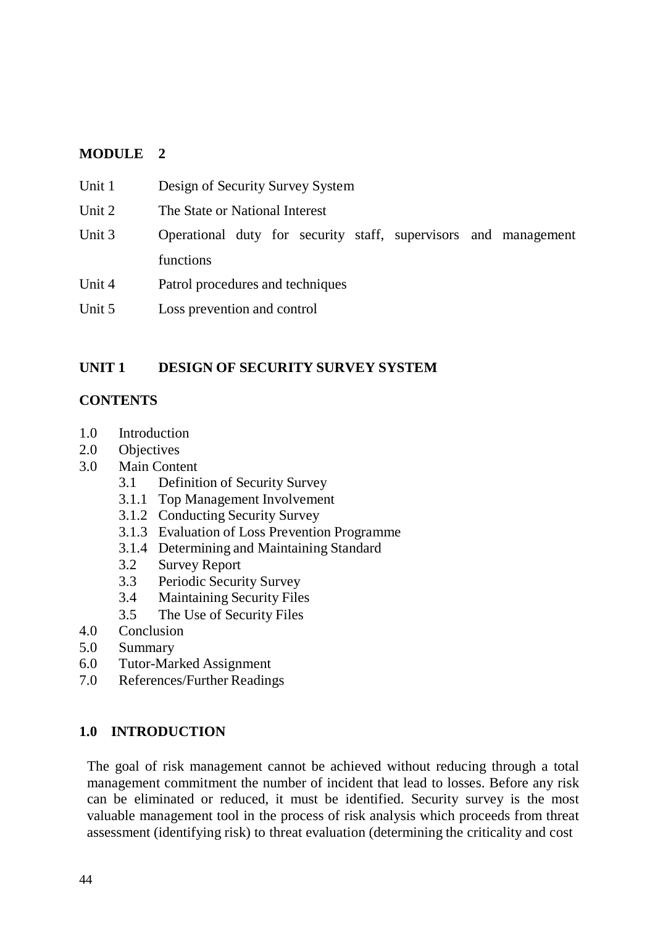# **MODULE 2**

Unit 1 Design of Security Survey System Unit 2 The State or National Interest Unit 3 Operational duty for security staff, supervisors and management functions Unit 4 Patrol procedures and techniques Unit 5 Loss prevention and control

# **UNIT 1 DESIGN OF SECURITY SURVEY SYSTEM**

### **CONTENTS**

- 1.0 Introduction
- 2.0 Objectives
- 3.0 Main Content
	- 3.1 Definition of Security Survey
	- 3.1.1 Top Management Involvement
	- 3.1.2 Conducting Security Survey
	- 3.1.3 Evaluation of Loss Prevention Programme
	- 3.1.4 Determining and Maintaining Standard
	- 3.2 Survey Report
	- 3.3 Periodic Security Survey
	- 3.4 Maintaining Security Files
	- 3.5 The Use of Security Files
- 4.0 Conclusion
- 5.0 Summary
- 6.0 Tutor-Marked Assignment
- 7.0 References/Further Readings

# **1.0 INTRODUCTION**

The goal of risk management cannot be achieved without reducing through a total management commitment the number of incident that lead to losses. Before any risk can be eliminated or reduced, it must be identified. Security survey is the most valuable management tool in the process of risk analysis which proceeds from threat assessment (identifying risk) to threat evaluation (determining the criticality and cost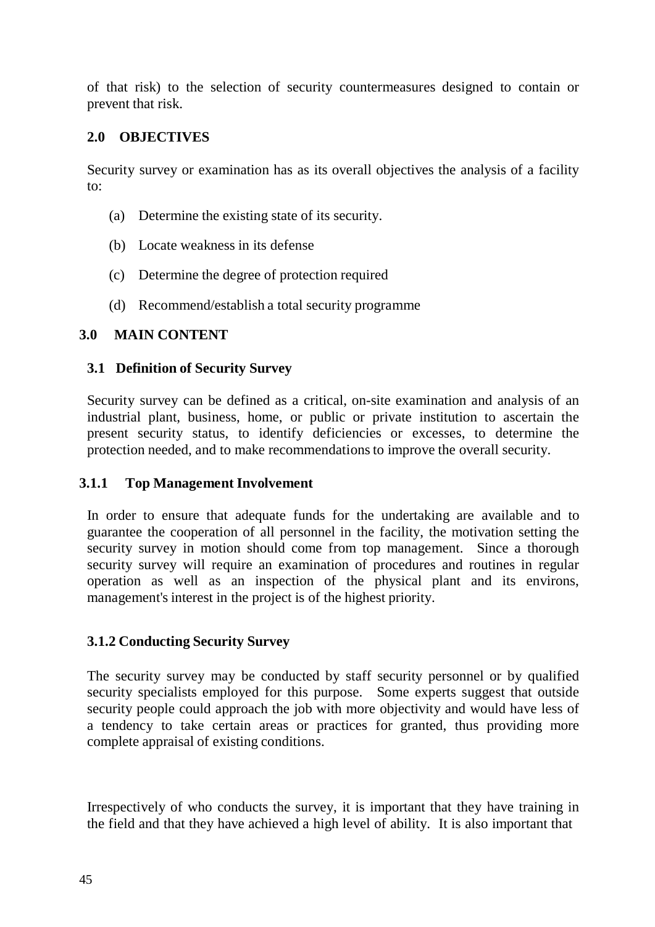of that risk) to the selection of security countermeasures designed to contain or prevent that risk.

# **2.0 OBJECTIVES**

Security survey or examination has as its overall objectives the analysis of a facility to:

- (a) Determine the existing state of its security.
- (b) Locate weakness in its defense
- (c) Determine the degree of protection required
- (d) Recommend/establish a total security programme

# **3.0 MAIN CONTENT**

### **3.1 Definition of Security Survey**

Security survey can be defined as a critical, on-site examination and analysis of an industrial plant, business, home, or public or private institution to ascertain the present security status, to identify deficiencies or excesses, to determine the protection needed, and to make recommendationsto improve the overall security.

### **3.1.1 Top Management Involvement**

In order to ensure that adequate funds for the undertaking are available and to guarantee the cooperation of all personnel in the facility, the motivation setting the security survey in motion should come from top management. Since a thorough security survey will require an examination of procedures and routines in regular operation as well as an inspection of the physical plant and its environs, management's interest in the project is of the highest priority.

# **3.1.2 Conducting Security Survey**

The security survey may be conducted by staff security personnel or by qualified security specialists employed for this purpose. Some experts suggest that outside security people could approach the job with more objectivity and would have less of a tendency to take certain areas or practices for granted, thus providing more complete appraisal of existing conditions.

Irrespectively of who conducts the survey, it is important that they have training in the field and that they have achieved a high level of ability. It is also important that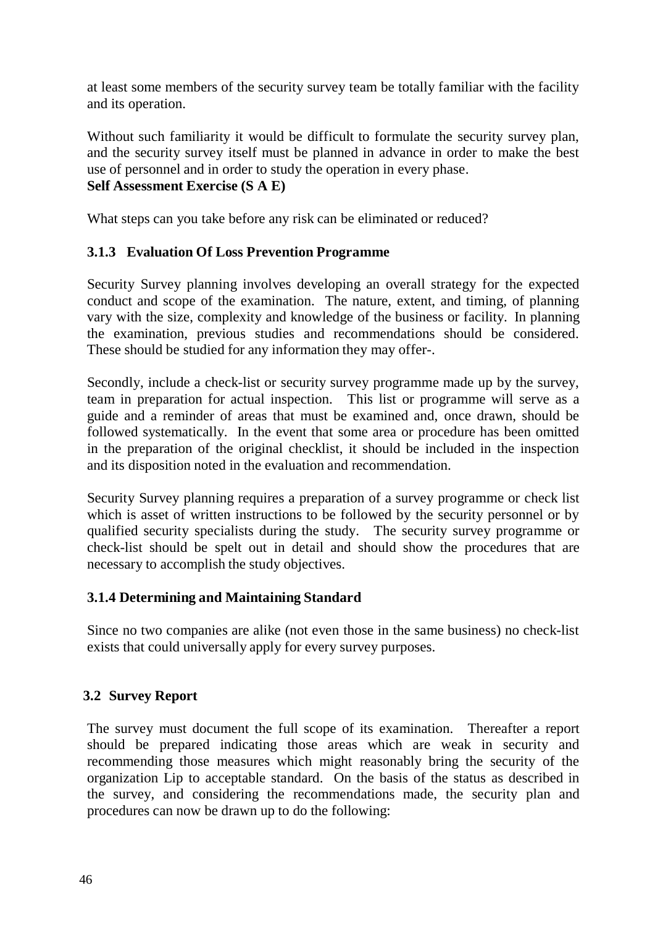at least some members of the security survey team be totally familiar with the facility and its operation.

Without such familiarity it would be difficult to formulate the security survey plan, and the security survey itself must be planned in advance in order to make the best use of personnel and in order to study the operation in every phase. **Self Assessment Exercise (S A E)**

What steps can you take before any risk can be eliminated or reduced?

# **3.1.3 Evaluation Of Loss Prevention Programme**

Security Survey planning involves developing an overall strategy for the expected conduct and scope of the examination. The nature, extent, and timing, of planning vary with the size, complexity and knowledge of the business or facility. In planning the examination, previous studies and recommendations should be considered. These should be studied for any information they may offer-.

Secondly, include a check-list or security survey programme made up by the survey, team in preparation for actual inspection. This list or programme will serve as a guide and a reminder of areas that must be examined and, once drawn, should be followed systematically. In the event that some area or procedure has been omitted in the preparation of the original checklist, it should be included in the inspection and its disposition noted in the evaluation and recommendation.

Security Survey planning requires a preparation of a survey programme or check list which is asset of written instructions to be followed by the security personnel or by qualified security specialists during the study. The security survey programme or check-list should be spelt out in detail and should show the procedures that are necessary to accomplish the study objectives.

### **3.1.4 Determining and Maintaining Standard**

Since no two companies are alike (not even those in the same business) no check-list exists that could universally apply for every survey purposes.

# **3.2 Survey Report**

The survey must document the full scope of its examination. Thereafter a report should be prepared indicating those areas which are weak in security and recommending those measures which might reasonably bring the security of the organization Lip to acceptable standard. On the basis of the status as described in the survey, and considering the recommendations made, the security plan and procedures can now be drawn up to do the following: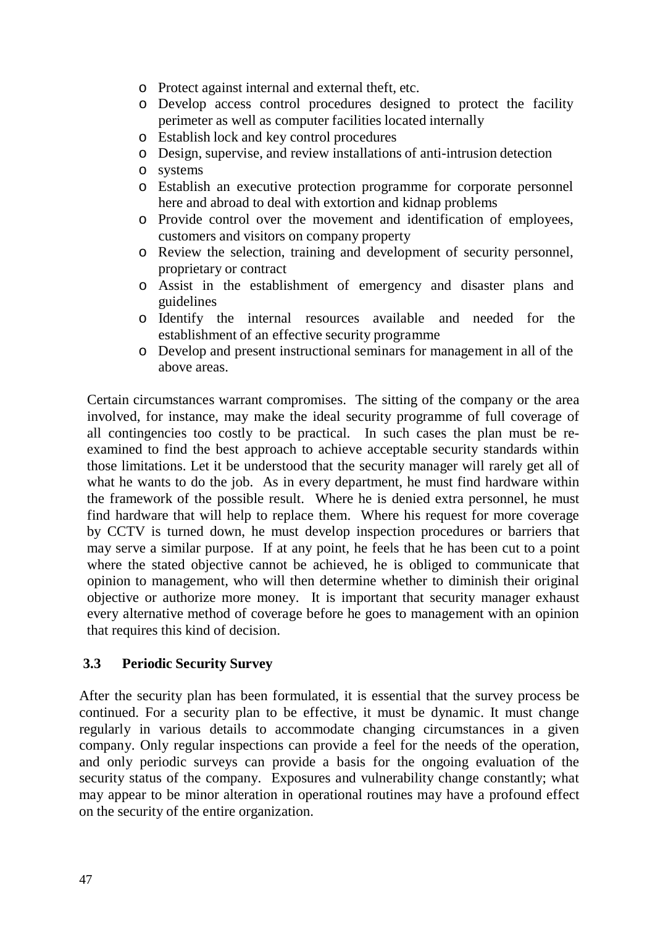- o Protect against internal and external theft, etc.
- o Develop access control procedures designed to protect the facility perimeter as well as computer facilities located internally
- o Establish lock and key control procedures
- o Design, supervise, and review installations of anti-intrusion detection
- o systems
- o Establish an executive protection programme for corporate personnel here and abroad to deal with extortion and kidnap problems
- o Provide control over the movement and identification of employees, customers and visitors on company property
- o Review the selection, training and development of security personnel, proprietary or contract
- o Assist in the establishment of emergency and disaster plans and guidelines
- o Identify the internal resources available and needed for the establishment of an effective security programme
- o Develop and present instructional seminars for management in all of the above areas.

Certain circumstances warrant compromises. The sitting of the company or the area involved, for instance, may make the ideal security programme of full coverage of all contingencies too costly to be practical. In such cases the plan must be reexamined to find the best approach to achieve acceptable security standards within those limitations. Let it be understood that the security manager will rarely get all of what he wants to do the job. As in every department, he must find hardware within the framework of the possible result. Where he is denied extra personnel, he must find hardware that will help to replace them. Where his request for more coverage by CCTV is turned down, he must develop inspection procedures or barriers that may serve a similar purpose. If at any point, he feels that he has been cut to a point where the stated objective cannot be achieved, he is obliged to communicate that opinion to management, who will then determine whether to diminish their original objective or authorize more money. It is important that security manager exhaust every alternative method of coverage before he goes to management with an opinion that requires this kind of decision.

### **3.3 Periodic Security Survey**

After the security plan has been formulated, it is essential that the survey process be continued. For a security plan to be effective, it must be dynamic. It must change regularly in various details to accommodate changing circumstances in a given company. Only regular inspections can provide a feel for the needs of the operation, and only periodic surveys can provide a basis for the ongoing evaluation of the security status of the company. Exposures and vulnerability change constantly; what may appear to be minor alteration in operational routines may have a profound effect on the security of the entire organization.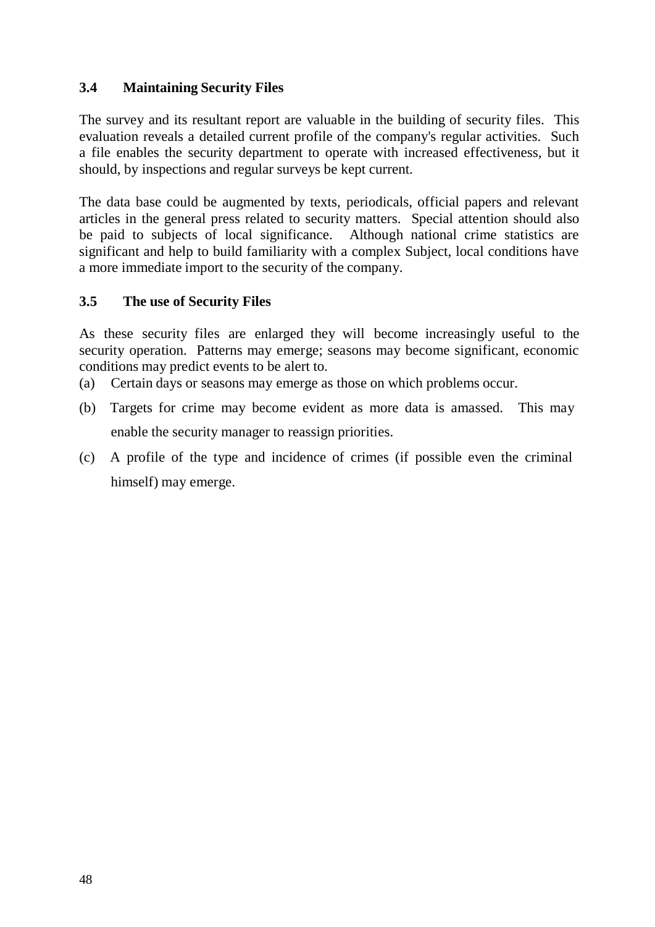### **3.4 Maintaining Security Files**

The survey and its resultant report are valuable in the building of security files. This evaluation reveals a detailed current profile of the company's regular activities. Such a file enables the security department to operate with increased effectiveness, but it should, by inspections and regular surveys be kept current.

The data base could be augmented by texts, periodicals, official papers and relevant articles in the general press related to security matters. Special attention should also be paid to subjects of local significance. Although national crime statistics are significant and help to build familiarity with a complex Subject, local conditions have a more immediate import to the security of the company.

### **3.5 The use of Security Files**

As these security files are enlarged they will become increasingly useful to the security operation. Patterns may emerge; seasons may become significant, economic conditions may predict events to be alert to.

- (a) Certain days or seasons may emerge as those on which problems occur.
- (b) Targets for crime may become evident as more data is amassed. This may enable the security manager to reassign priorities.
- (c) A profile of the type and incidence of crimes (if possible even the criminal himself) may emerge.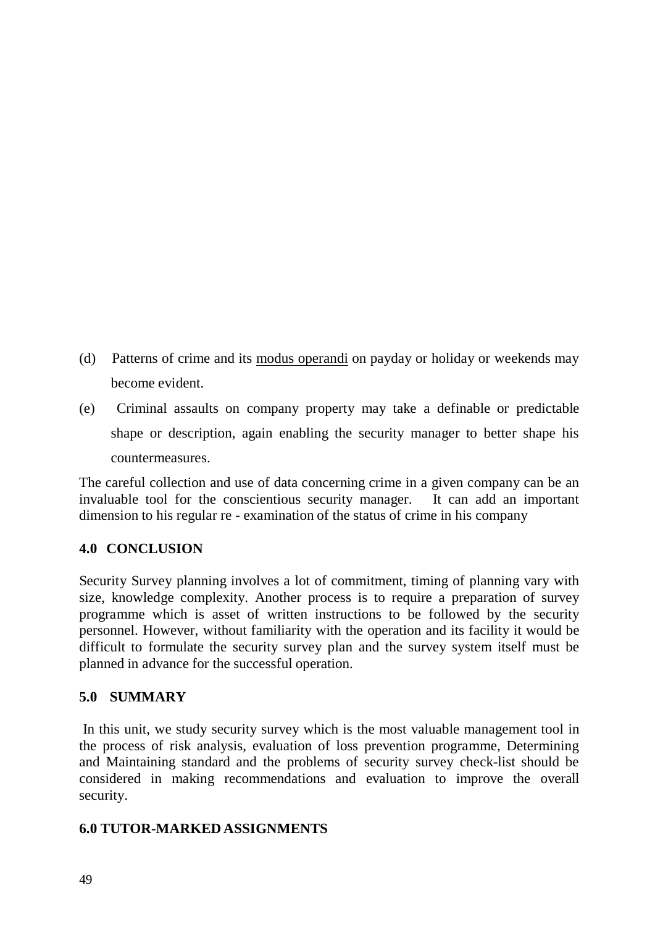- (d) Patterns of crime and its modus operandi on payday or holiday or weekends may become evident.
- (e) Criminal assaults on company property may take a definable or predictable shape or description, again enabling the security manager to better shape his countermeasures.

The careful collection and use of data concerning crime in a given company can be an invaluable tool for the conscientious security manager. It can add an important dimension to his regular re - examination of the status of crime in his company

# **4.0 CONCLUSION**

Security Survey planning involves a lot of commitment, timing of planning vary with size, knowledge complexity. Another process is to require a preparation of survey programme which is asset of written instructions to be followed by the security personnel. However, without familiarity with the operation and its facility it would be difficult to formulate the security survey plan and the survey system itself must be planned in advance for the successful operation.

### **5.0 SUMMARY**

In this unit, we study security survey which is the most valuable management tool in the process of risk analysis, evaluation of loss prevention programme, Determining and Maintaining standard and the problems of security survey check-list should be considered in making recommendations and evaluation to improve the overall security.

### **6.0 TUTOR-MARKED ASSIGNMENTS**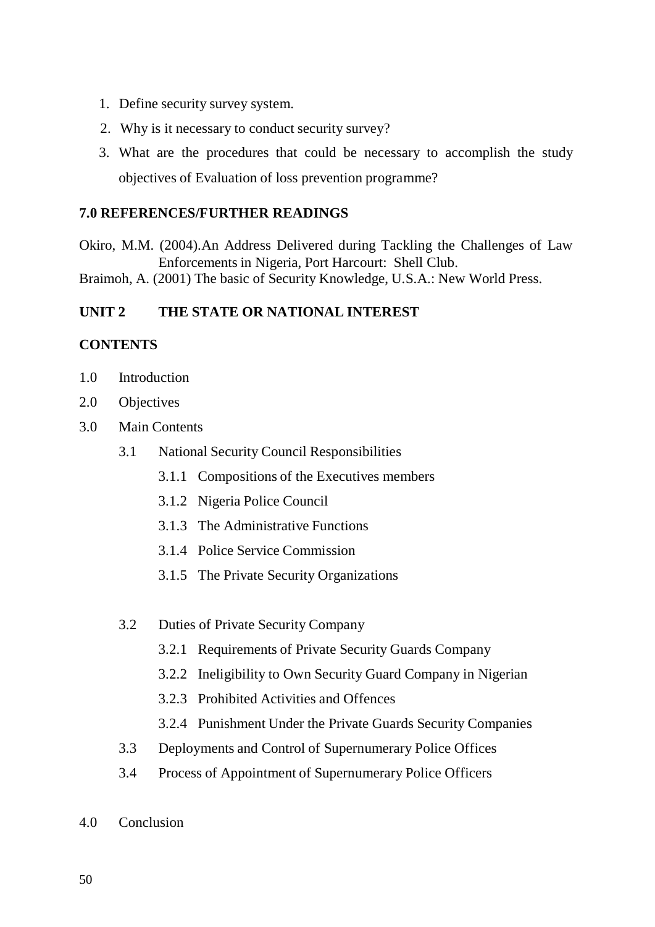- 1. Define security survey system.
- 2. Why is it necessary to conduct security survey?
- 3. What are the procedures that could be necessary to accomplish the study objectives of Evaluation of loss prevention programme?

#### **7.0 REFERENCES/FURTHER READINGS**

Okiro, M.M. (2004).An Address Delivered during Tackling the Challenges of Law Enforcements in Nigeria, Port Harcourt: Shell Club.

Braimoh, A. (2001) The basic of Security Knowledge, U.S.A.: New World Press.

#### **UNIT 2 THE STATE OR NATIONAL INTEREST**

#### **CONTENTS**

- 1.0 Introduction
- 2.0 Objectives
- 3.0 Main Contents
	- 3.1 National Security Council Responsibilities
		- 3.1.1 Compositions of the Executives members
		- 3.1.2 Nigeria Police Council
		- 3.1.3 The Administrative Functions
		- 3.1.4 Police Service Commission
		- 3.1.5 The Private Security Organizations
	- 3.2 Duties of Private Security Company
		- 3.2.1 Requirements of Private Security Guards Company
		- 3.2.2 Ineligibility to Own Security Guard Company in Nigerian
		- 3.2.3 Prohibited Activities and Offences
		- 3.2.4 Punishment Under the Private Guards Security Companies
	- 3.3 Deployments and Control of Supernumerary Police Offices
	- 3.4 Process of Appointment of Supernumerary Police Officers
- 4.0 Conclusion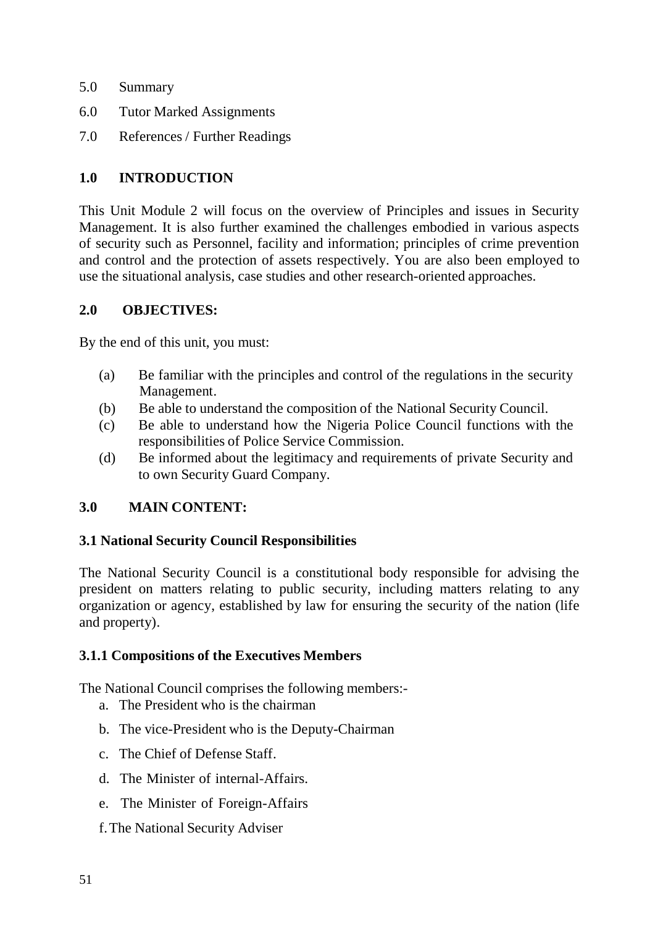- 5.0 Summary
- 6.0 Tutor Marked Assignments
- 7.0 References / Further Readings

### **1.0 INTRODUCTION**

This Unit Module 2 will focus on the overview of Principles and issues in Security Management. It is also further examined the challenges embodied in various aspects of security such as Personnel, facility and information; principles of crime prevention and control and the protection of assets respectively. You are also been employed to use the situational analysis, case studies and other research-oriented approaches.

#### **2.0 OBJECTIVES:**

By the end of this unit, you must:

- (a) Be familiar with the principles and control of the regulations in the security Management.
- (b) Be able to understand the composition of the National Security Council.
- (c) Be able to understand how the Nigeria Police Council functions with the responsibilities of Police Service Commission.
- (d) Be informed about the legitimacy and requirements of private Security and to own Security Guard Company.

### **3.0 MAIN CONTENT:**

### **3.1 National Security Council Responsibilities**

The National Security Council is a constitutional body responsible for advising the president on matters relating to public security, including matters relating to any organization or agency, established by law for ensuring the security of the nation (life and property).

### **3.1.1 Compositions of the Executives Members**

The National Council comprises the following members:-

- a. The President who is the chairman
- b. The vice-President who is the Deputy-Chairman
- c. The Chief of Defense Staff.
- d. The Minister of internal-Affairs.
- e. The Minister of Foreign-Affairs
- f.The National Security Adviser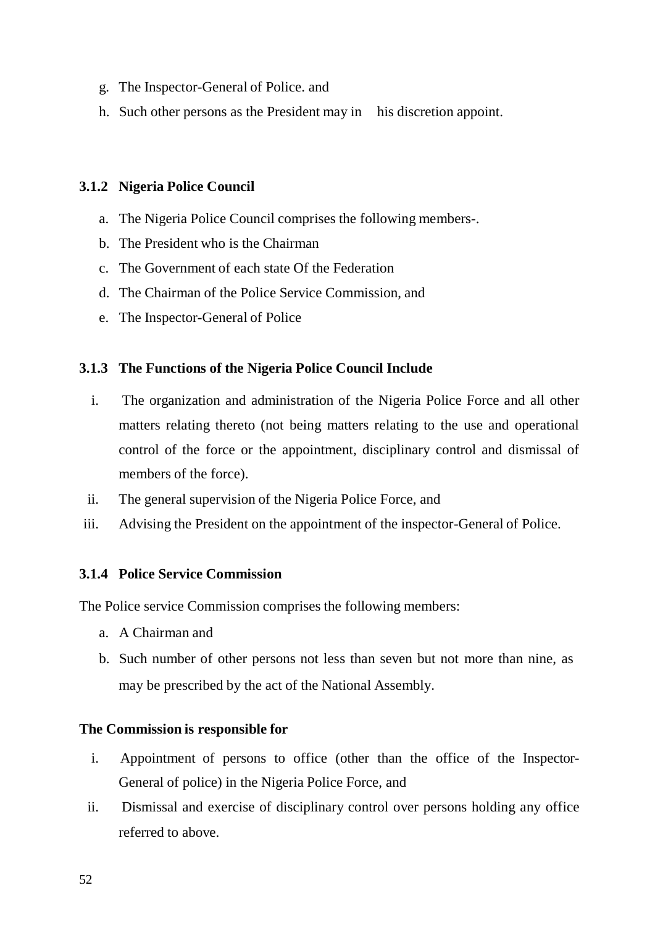- g. The Inspector-General of Police. and
- h. Such other persons as the President may in his discretion appoint.

### **3.1.2 Nigeria Police Council**

- a. The Nigeria Police Council comprises the following members-.
- b. The President who is the Chairman
- c. The Government of each state Of the Federation
- d. The Chairman of the Police Service Commission, and
- e. The Inspector-General of Police

#### **3.1.3 The Functions of the Nigeria Police Council Include**

- i. The organization and administration of the Nigeria Police Force and all other matters relating thereto (not being matters relating to the use and operational control of the force or the appointment, disciplinary control and dismissal of members of the force).
- ii. The general supervision of the Nigeria Police Force, and
- iii. Advising the President on the appointment of the inspector-General of Police.

### **3.1.4 Police Service Commission**

The Police service Commission comprises the following members:

- a. A Chairman and
- b. Such number of other persons not less than seven but not more than nine, as may be prescribed by the act of the National Assembly.

#### **The Commission is responsible for**

- i. Appointment of persons to office (other than the office of the Inspector-General of police) in the Nigeria Police Force, and
- ii. Dismissal and exercise of disciplinary control over persons holding any office referred to above.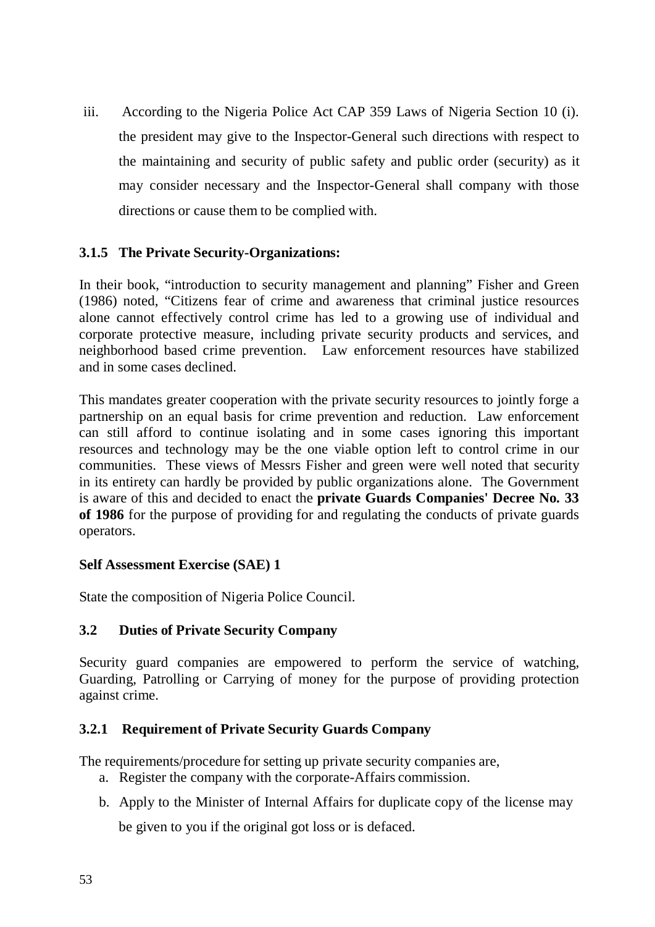iii. According to the Nigeria Police Act CAP 359 Laws of Nigeria Section 10 (i). the president may give to the Inspector-General such directions with respect to the maintaining and security of public safety and public order (security) as it may consider necessary and the Inspector-General shall company with those directions or cause them to be complied with.

### **3.1.5 The Private Security-Organizations:**

In their book, "introduction to security management and planning" Fisher and Green (1986) noted, "Citizens fear of crime and awareness that criminal justice resources alone cannot effectively control crime has led to a growing use of individual and corporate protective measure, including private security products and services, and neighborhood based crime prevention. Law enforcement resources have stabilized and in some cases declined.

This mandates greater cooperation with the private security resources to jointly forge a partnership on an equal basis for crime prevention and reduction. Law enforcement can still afford to continue isolating and in some cases ignoring this important resources and technology may be the one viable option left to control crime in our communities. These views of Messrs Fisher and green were well noted that security in its entirety can hardly be provided by public organizations alone. The Government is aware of this and decided to enact the **private Guards Companies' Decree No. 33 of 1986** for the purpose of providing for and regulating the conducts of private guards operators.

#### **Self Assessment Exercise (SAE) 1**

State the composition of Nigeria Police Council.

### **3.2 Duties of Private Security Company**

Security guard companies are empowered to perform the service of watching, Guarding, Patrolling or Carrying of money for the purpose of providing protection against crime.

### **3.2.1 Requirement of Private Security Guards Company**

The requirements/procedure for setting up private security companies are,

- a. Register the company with the corporate-Affairs commission.
- b. Apply to the Minister of Internal Affairs for duplicate copy of the license may

be given to you if the original got loss or is defaced.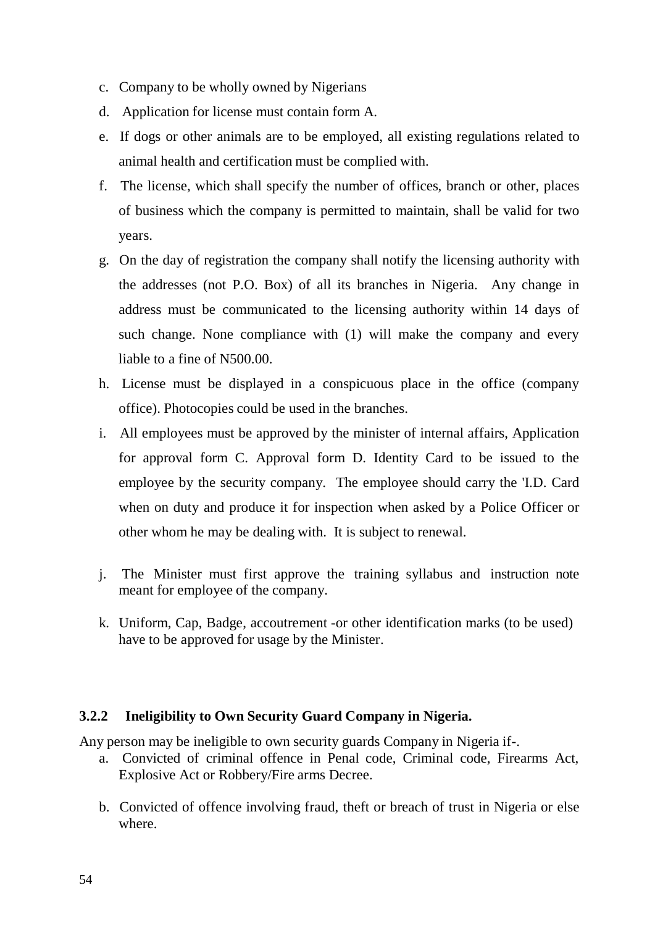- c. Company to be wholly owned by Nigerians
- d. Application for license must contain form A.
- e. If dogs or other animals are to be employed, all existing regulations related to animal health and certification must be complied with.
- f. The license, which shall specify the number of offices, branch or other, places of business which the company is permitted to maintain, shall be valid for two years.
- g. On the day of registration the company shall notify the licensing authority with the addresses (not P.O. Box) of all its branches in Nigeria. Any change in address must be communicated to the licensing authority within 14 days of such change. None compliance with (1) will make the company and every liable to a fine of N500.00.
- h. License must be displayed in a conspicuous place in the office (company office). Photocopies could be used in the branches.
- i. All employees must be approved by the minister of internal affairs, Application for approval form C. Approval form D. Identity Card to be issued to the employee by the security company. The employee should carry the 'I.D. Card when on duty and produce it for inspection when asked by a Police Officer or other whom he may be dealing with. It is subject to renewal.
- j. The Minister must first approve the training syllabus and instruction note meant for employee of the company.
- k. Uniform, Cap, Badge, accoutrement -or other identification marks (to be used) have to be approved for usage by the Minister.

#### **3.2.2 Ineligibility to Own Security Guard Company in Nigeria.**

Any person may be ineligible to own security guards Company in Nigeria if-.

- a. Convicted of criminal offence in Penal code, Criminal code, Firearms Act, Explosive Act or Robbery/Fire arms Decree.
- b. Convicted of offence involving fraud, theft or breach of trust in Nigeria or else where.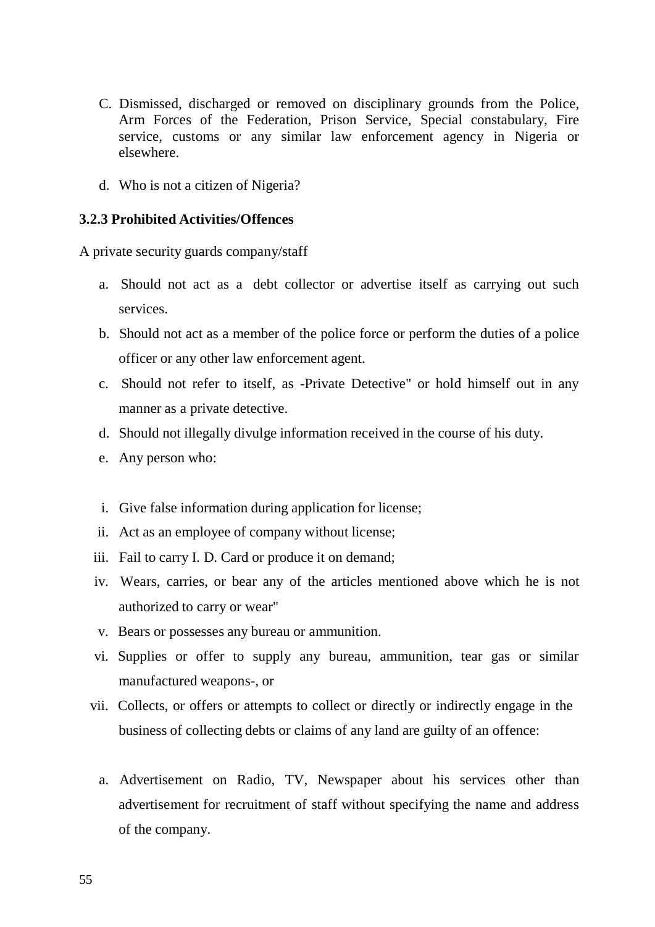- C. Dismissed, discharged or removed on disciplinary grounds from the Police, Arm Forces of the Federation, Prison Service, Special constabulary, Fire service, customs or any similar law enforcement agency in Nigeria or elsewhere.
- d. Who is not a citizen of Nigeria?

#### **3.2.3 Prohibited Activities/Offences**

A private security guards company/staff

- a. Should not act as a debt collector or advertise itself as carrying out such services.
- b. Should not act as a member of the police force or perform the duties of a police officer or any other law enforcement agent.
- c. Should not refer to itself, as -Private Detective" or hold himself out in any manner as a private detective.
- d. Should not illegally divulge information received in the course of his duty.
- e. Any person who:
- i. Give false information during application for license;
- ii. Act as an employee of company without license;
- iii. Fail to carry I. D. Card or produce it on demand;
- iv. Wears, carries, or bear any of the articles mentioned above which he is not authorized to carry or wear"
- v. Bears or possesses any bureau or ammunition.
- vi. Supplies or offer to supply any bureau, ammunition, tear gas or similar manufactured weapons-, or
- vii. Collects, or offers or attempts to collect or directly or indirectly engage in the business of collecting debts or claims of any land are guilty of an offence:
	- a. Advertisement on Radio, TV, Newspaper about his services other than advertisement for recruitment of staff without specifying the name and address of the company.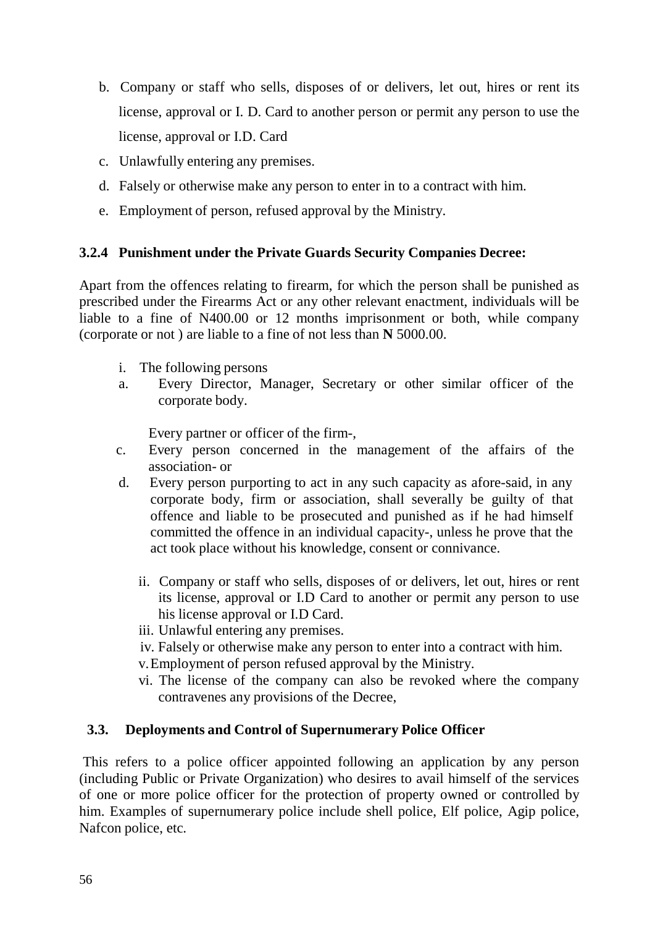- b. Company or staff who sells, disposes of or delivers, let out, hires or rent its license, approval or I. D. Card to another person or permit any person to use the license, approval or I.D. Card
- c. Unlawfully entering any premises.
- d. Falsely or otherwise make any person to enter in to a contract with him.
- e. Employment of person, refused approval by the Ministry.

### **3.2.4 Punishment under the Private Guards Security Companies Decree:**

Apart from the offences relating to firearm, for which the person shall be punished as prescribed under the Firearms Act or any other relevant enactment, individuals will be liable to a fine of N400.00 or 12 months imprisonment or both, while company (corporate or not ) are liable to a fine of not less than **N** 5000.00.

- i. The following persons
- a. Every Director, Manager, Secretary or other similar officer of the corporate body.

Every partner or officer of the firm-,

- c. Every person concerned in the management of the affairs of the association- or
- d. Every person purporting to act in any such capacity as afore-said, in any corporate body, firm or association, shall severally be guilty of that offence and liable to be prosecuted and punished as if he had himself committed the offence in an individual capacity-, unless he prove that the act took place without his knowledge, consent or connivance.
	- ii. Company or staff who sells, disposes of or delivers, let out, hires or rent its license, approval or I.D Card to another or permit any person to use his license approval or I.D Card.
	- iii. Unlawful entering any premises.
	- iv. Falsely or otherwise make any person to enter into a contract with him.
	- v.Employment of person refused approval by the Ministry.
	- vi. The license of the company can also be revoked where the company contravenes any provisions of the Decree,

### **3.3. Deployments and Control of Supernumerary Police Officer**

This refers to a police officer appointed following an application by any person (including Public or Private Organization) who desires to avail himself of the services of one or more police officer for the protection of property owned or controlled by him. Examples of supernumerary police include shell police, Elf police, Agip police, Nafcon police, etc.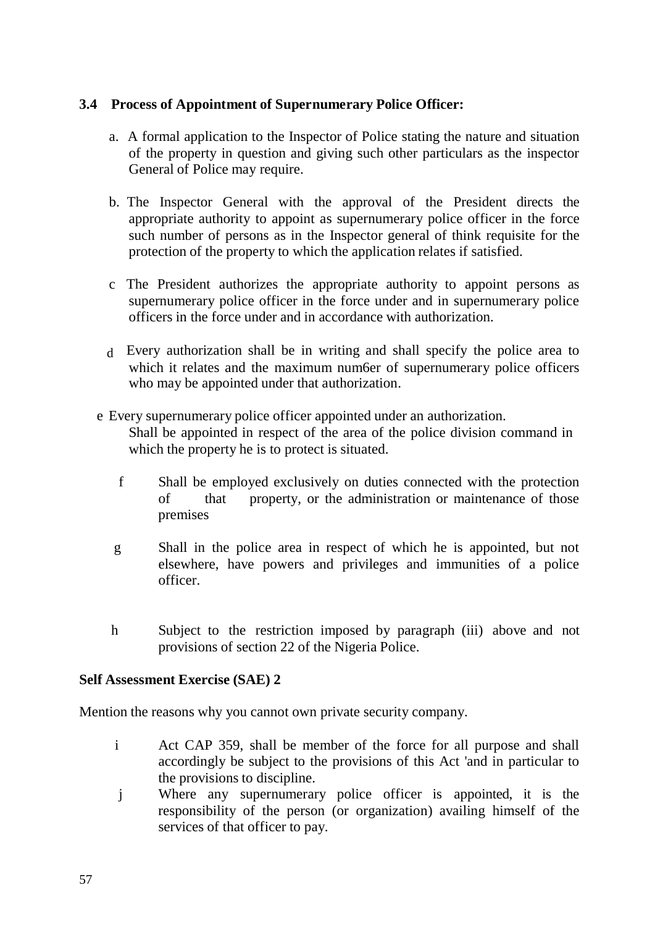### **3.4 Process of Appointment of Supernumerary Police Officer:**

- a. A formal application to the Inspector of Police stating the nature and situation of the property in question and giving such other particulars as the inspector General of Police may require.
- b. The Inspector General with the approval of the President directs the appropriate authority to appoint as supernumerary police officer in the force such number of persons as in the Inspector general of think requisite for the protection of the property to which the application relates if satisfied.
- c The President authorizes the appropriate authority to appoint persons as supernumerary police officer in the force under and in supernumerary police officers in the force under and in accordance with authorization.
- d Every authorization shall be in writing and shall specify the police area to which it relates and the maximum num6er of supernumerary police officers who may be appointed under that authorization.
- e Every supernumerary police officer appointed under an authorization. Shall be appointed in respect of the area of the police division command in which the property he is to protect is situated.
	- f Shall be employed exclusively on duties connected with the protection of that property, or the administration or maintenance of those premises
	- g Shall in the police area in respect of which he is appointed, but not elsewhere, have powers and privileges and immunities of a police officer.
	- h Subject to the restriction imposed by paragraph (iii) above and not provisions of section 22 of the Nigeria Police.

#### **Self Assessment Exercise (SAE) 2**

Mention the reasons why you cannot own private security company.

- i Act CAP 359, shall be member of the force for all purpose and shall accordingly be subject to the provisions of this Act 'and in particular to the provisions to discipline.
- j Where any supernumerary police officer is appointed, it is the responsibility of the person (or organization) availing himself of the services of that officer to pay.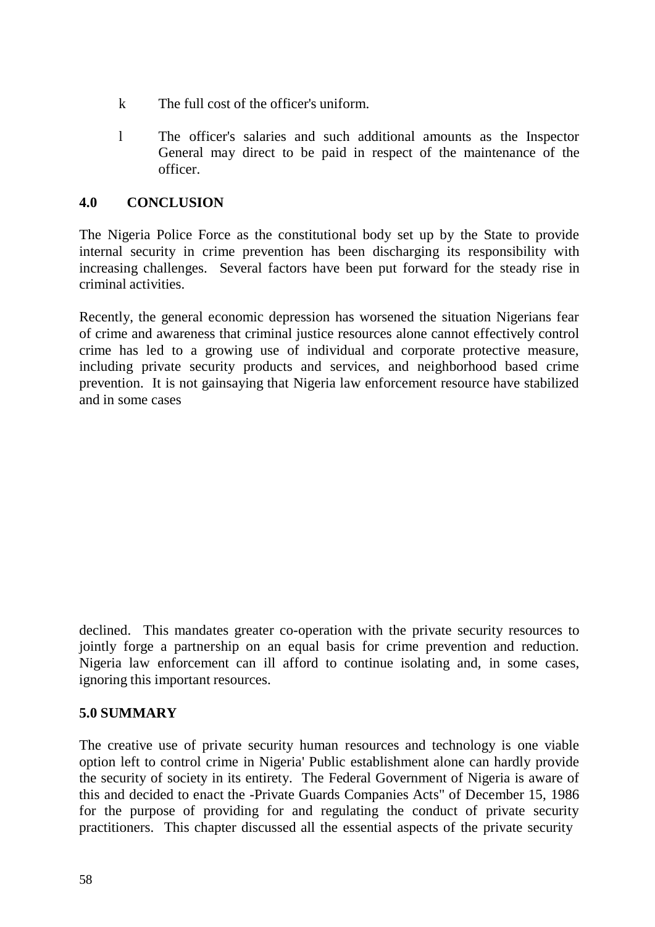- k The full cost of the officer's uniform.
- l The officer's salaries and such additional amounts as the Inspector General may direct to be paid in respect of the maintenance of the officer.

### **4.0 CONCLUSION**

The Nigeria Police Force as the constitutional body set up by the State to provide internal security in crime prevention has been discharging its responsibility with increasing challenges. Several factors have been put forward for the steady rise in criminal activities.

Recently, the general economic depression has worsened the situation Nigerians fear of crime and awareness that criminal justice resources alone cannot effectively control crime has led to a growing use of individual and corporate protective measure, including private security products and services, and neighborhood based crime prevention. It is not gainsaying that Nigeria law enforcement resource have stabilized and in some cases

declined. This mandates greater co-operation with the private security resources to jointly forge a partnership on an equal basis for crime prevention and reduction. Nigeria law enforcement can ill afford to continue isolating and, in some cases, ignoring this important resources.

### **5.0 SUMMARY**

The creative use of private security human resources and technology is one viable option left to control crime in Nigeria' Public establishment alone can hardly provide the security of society in its entirety. The Federal Government of Nigeria is aware of this and decided to enact the -Private Guards Companies Acts" of December 15, 1986 for the purpose of providing for and regulating the conduct of private security practitioners. This chapter discussed all the essential aspects of the private security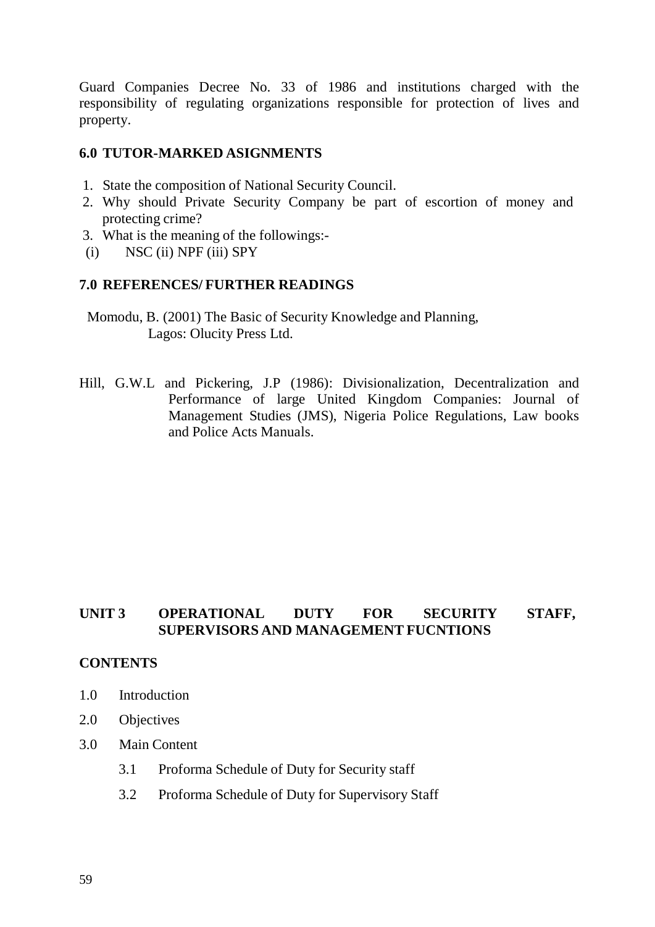Guard Companies Decree No. 33 of 1986 and institutions charged with the responsibility of regulating organizations responsible for protection of lives and property.

### **6.0 TUTOR-MARKED ASIGNMENTS**

- 1. State the composition of National Security Council.
- 2. Why should Private Security Company be part of escortion of money and protecting crime?
- 3. What is the meaning of the followings:-
- $(i)$  NSC  $(ii)$  NPF  $(iii)$  SPY

#### **7.0 REFERENCES/ FURTHER READINGS**

- Momodu, B. (2001) The Basic of Security Knowledge and Planning, Lagos: Olucity Press Ltd.
- Hill, G.W.L and Pickering, J.P (1986): Divisionalization, Decentralization and Performance of large United Kingdom Companies: Journal of Management Studies (JMS), Nigeria Police Regulations, Law books and Police Acts Manuals.

### **UNIT 3 OPERATIONAL DUTY FOR SECURITY STAFF, SUPERVISORS AND MANAGEMENT FUCNTIONS**

### **CONTENTS**

- 1.0 Introduction
- 2.0 Objectives
- 3.0 Main Content
	- 3.1 Proforma Schedule of Duty for Security staff
	- 3.2 Proforma Schedule of Duty for Supervisory Staff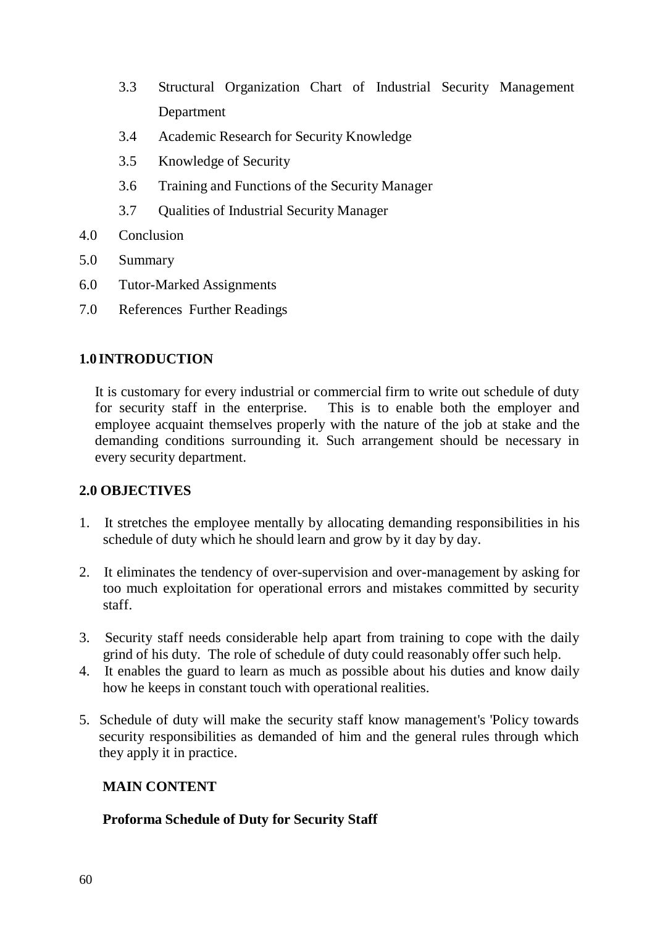- 3.3 Structural Organization Chart of Industrial Security Management Department
- 3.4 Academic Research for Security Knowledge
- 3.5 Knowledge of Security
- 3.6 Training and Functions of the Security Manager
- 3.7 Qualities of Industrial Security Manager
- 4.0 Conclusion
- 5.0 Summary
- 6.0 Tutor-Marked Assignments
- 7.0 References Further Readings

# **1.0 INTRODUCTION**

It is customary for every industrial or commercial firm to write out schedule of duty for security staff in the enterprise. This is to enable both the employer and employee acquaint themselves properly with the nature of the job at stake and the demanding conditions surrounding it. Such arrangement should be necessary in every security department.

# **2.0 OBJECTIVES**

- 1. It stretches the employee mentally by allocating demanding responsibilities in his schedule of duty which he should learn and grow by it day by day.
- 2. It eliminates the tendency of over-supervision and over-management by asking for too much exploitation for operational errors and mistakes committed by security staff.
- 3. Security staff needs considerable help apart from training to cope with the daily grind of his duty. The role of schedule of duty could reasonably offer such help.
- 4. It enables the guard to learn as much as possible about his duties and know daily how he keeps in constant touch with operational realities.
- 5. Schedule of duty will make the security staff know management's 'Policy towards security responsibilities as demanded of him and the general rules through which they apply it in practice.

# **MAIN CONTENT**

# **Proforma Schedule of Duty for Security Staff**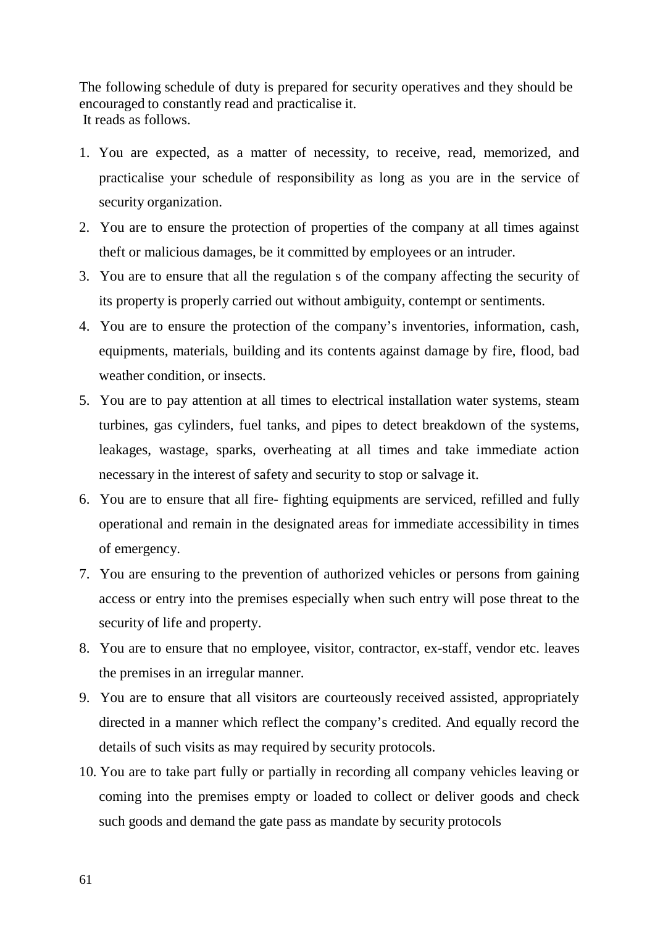The following schedule of duty is prepared for security operatives and they should be encouraged to constantly read and practicalise it. It reads as follows.

- 1. You are expected, as a matter of necessity, to receive, read, memorized, and practicalise your schedule of responsibility as long as you are in the service of security organization.
- 2. You are to ensure the protection of properties of the company at all times against theft or malicious damages, be it committed by employees or an intruder.
- 3. You are to ensure that all the regulation s of the company affecting the security of its property is properly carried out without ambiguity, contempt or sentiments.
- 4. You are to ensure the protection of the company's inventories, information, cash, equipments, materials, building and its contents against damage by fire, flood, bad weather condition, or insects.
- 5. You are to pay attention at all times to electrical installation water systems, steam turbines, gas cylinders, fuel tanks, and pipes to detect breakdown of the systems, leakages, wastage, sparks, overheating at all times and take immediate action necessary in the interest of safety and security to stop or salvage it.
- 6. You are to ensure that all fire- fighting equipments are serviced, refilled and fully operational and remain in the designated areas for immediate accessibility in times of emergency.
- 7. You are ensuring to the prevention of authorized vehicles or persons from gaining access or entry into the premises especially when such entry will pose threat to the security of life and property.
- 8. You are to ensure that no employee, visitor, contractor, ex-staff, vendor etc. leaves the premises in an irregular manner.
- 9. You are to ensure that all visitors are courteously received assisted, appropriately directed in a manner which reflect the company's credited. And equally record the details of such visits as may required by security protocols.
- 10. You are to take part fully or partially in recording all company vehicles leaving or coming into the premises empty or loaded to collect or deliver goods and check such goods and demand the gate pass as mandate by security protocols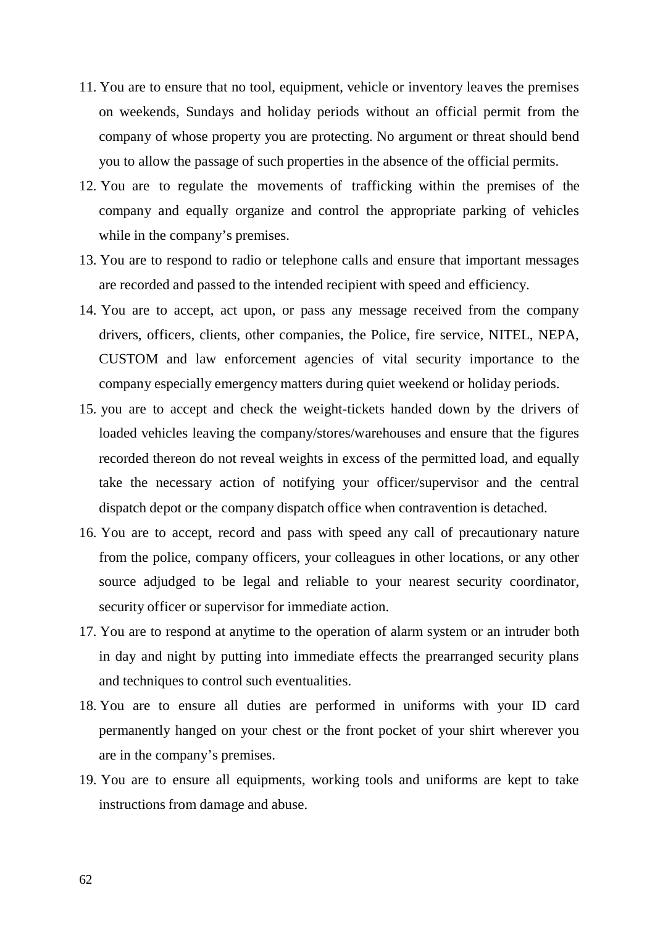- 11. You are to ensure that no tool, equipment, vehicle or inventory leaves the premises on weekends, Sundays and holiday periods without an official permit from the company of whose property you are protecting. No argument or threat should bend you to allow the passage of such properties in the absence of the official permits.
- 12. You are to regulate the movements of trafficking within the premises of the company and equally organize and control the appropriate parking of vehicles while in the company's premises.
- 13. You are to respond to radio or telephone calls and ensure that important messages are recorded and passed to the intended recipient with speed and efficiency.
- 14. You are to accept, act upon, or pass any message received from the company drivers, officers, clients, other companies, the Police, fire service, NITEL, NEPA, CUSTOM and law enforcement agencies of vital security importance to the company especially emergency matters during quiet weekend or holiday periods.
- 15. you are to accept and check the weight-tickets handed down by the drivers of loaded vehicles leaving the company/stores/warehouses and ensure that the figures recorded thereon do not reveal weights in excess of the permitted load, and equally take the necessary action of notifying your officer/supervisor and the central dispatch depot or the company dispatch office when contravention is detached.
- 16. You are to accept, record and pass with speed any call of precautionary nature from the police, company officers, your colleagues in other locations, or any other source adjudged to be legal and reliable to your nearest security coordinator, security officer or supervisor for immediate action.
- 17. You are to respond at anytime to the operation of alarm system or an intruder both in day and night by putting into immediate effects the prearranged security plans and techniques to control such eventualities.
- 18. You are to ensure all duties are performed in uniforms with your ID card permanently hanged on your chest or the front pocket of your shirt wherever you are in the company's premises.
- 19. You are to ensure all equipments, working tools and uniforms are kept to take instructions from damage and abuse.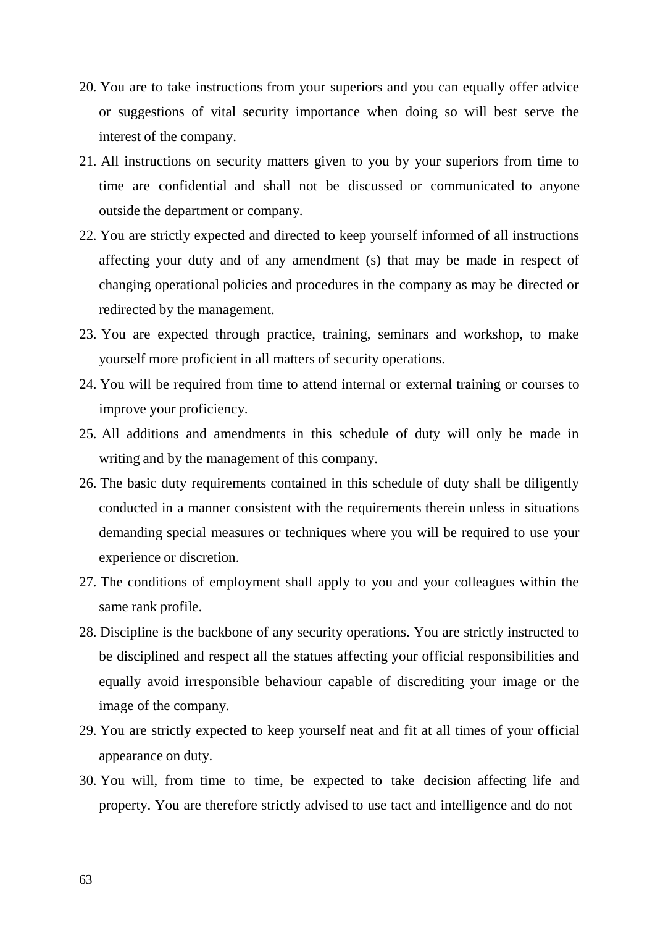- 20. You are to take instructions from your superiors and you can equally offer advice or suggestions of vital security importance when doing so will best serve the interest of the company.
- 21. All instructions on security matters given to you by your superiors from time to time are confidential and shall not be discussed or communicated to anyone outside the department or company.
- 22. You are strictly expected and directed to keep yourself informed of all instructions affecting your duty and of any amendment (s) that may be made in respect of changing operational policies and procedures in the company as may be directed or redirected by the management.
- 23. You are expected through practice, training, seminars and workshop, to make yourself more proficient in all matters of security operations.
- 24. You will be required from time to attend internal or external training or courses to improve your proficiency.
- 25. All additions and amendments in this schedule of duty will only be made in writing and by the management of this company.
- 26. The basic duty requirements contained in this schedule of duty shall be diligently conducted in a manner consistent with the requirements therein unless in situations demanding special measures or techniques where you will be required to use your experience or discretion.
- 27. The conditions of employment shall apply to you and your colleagues within the same rank profile.
- 28. Discipline is the backbone of any security operations. You are strictly instructed to be disciplined and respect all the statues affecting your official responsibilities and equally avoid irresponsible behaviour capable of discrediting your image or the image of the company.
- 29. You are strictly expected to keep yourself neat and fit at all times of your official appearance on duty.
- 30. You will, from time to time, be expected to take decision affecting life and property. You are therefore strictly advised to use tact and intelligence and do not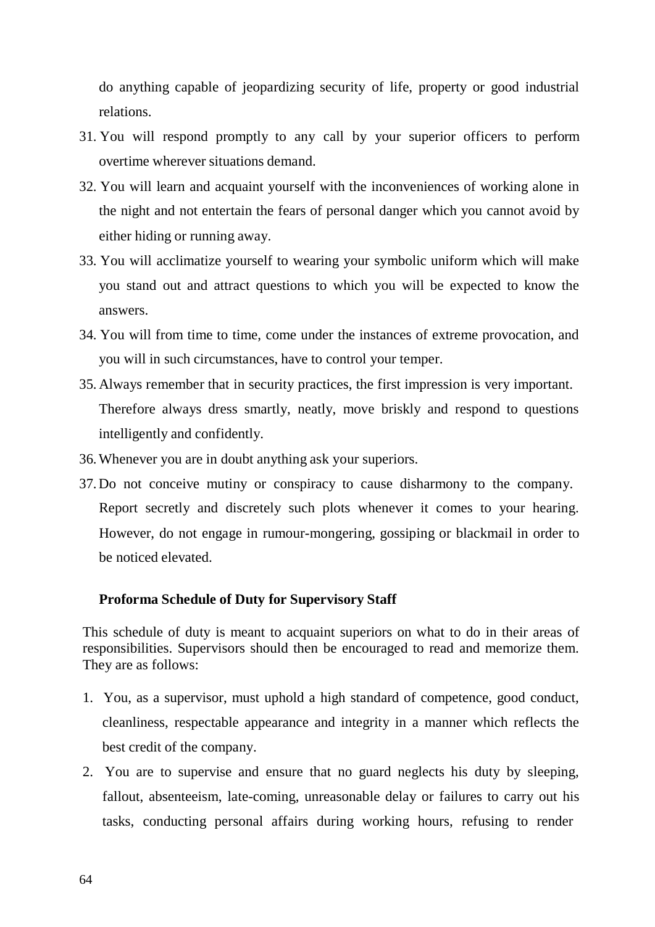do anything capable of jeopardizing security of life, property or good industrial relations.

- 31. You will respond promptly to any call by your superior officers to perform overtime wherever situations demand.
- 32. You will learn and acquaint yourself with the inconveniences of working alone in the night and not entertain the fears of personal danger which you cannot avoid by either hiding or running away.
- 33. You will acclimatize yourself to wearing your symbolic uniform which will make you stand out and attract questions to which you will be expected to know the answers.
- 34. You will from time to time, come under the instances of extreme provocation, and you will in such circumstances, have to control your temper.
- 35. Always remember that in security practices, the first impression is very important. Therefore always dress smartly, neatly, move briskly and respond to questions intelligently and confidently.
- 36.Whenever you are in doubt anything ask your superiors.
- 37. Do not conceive mutiny or conspiracy to cause disharmony to the company. Report secretly and discretely such plots whenever it comes to your hearing. However, do not engage in rumour-mongering, gossiping or blackmail in order to be noticed elevated.

### **Proforma Schedule of Duty for Supervisory Staff**

This schedule of duty is meant to acquaint superiors on what to do in their areas of responsibilities. Supervisors should then be encouraged to read and memorize them. They are as follows:

- 1. You, as a supervisor, must uphold a high standard of competence, good conduct, cleanliness, respectable appearance and integrity in a manner which reflects the best credit of the company.
- 2. You are to supervise and ensure that no guard neglects his duty by sleeping, fallout, absenteeism, late-coming, unreasonable delay or failures to carry out his tasks, conducting personal affairs during working hours, refusing to render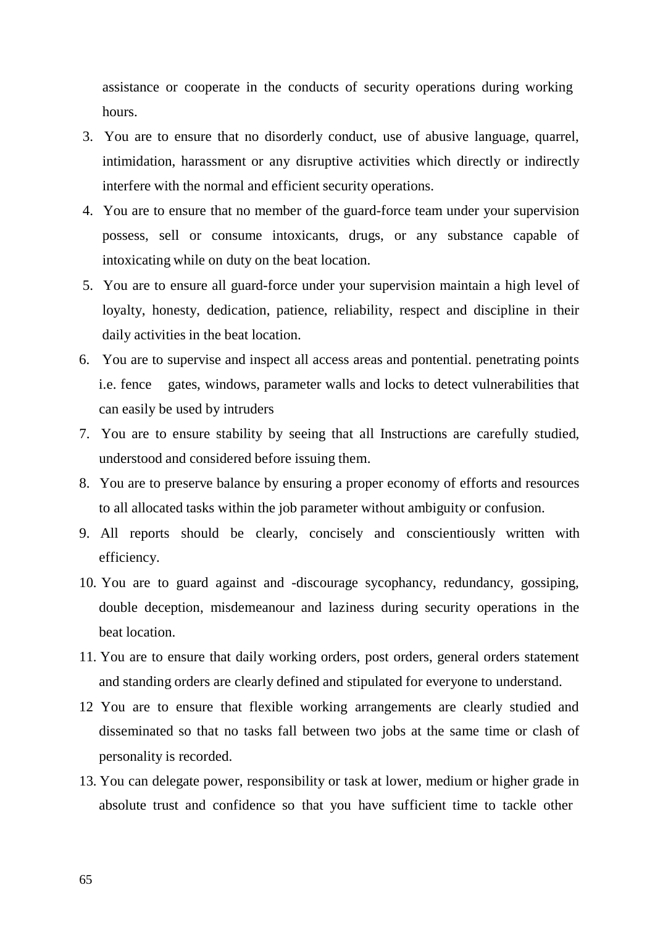assistance or cooperate in the conducts of security operations during working hours.

- 3. You are to ensure that no disorderly conduct, use of abusive language, quarrel, intimidation, harassment or any disruptive activities which directly or indirectly interfere with the normal and efficient security operations.
- 4. You are to ensure that no member of the guard-force team under your supervision possess, sell or consume intoxicants, drugs, or any substance capable of intoxicating while on duty on the beat location.
- 5. You are to ensure all guard-force under your supervision maintain a high level of loyalty, honesty, dedication, patience, reliability, respect and discipline in their daily activities in the beat location.
- 6. You are to supervise and inspect all access areas and pontential. penetrating points i.e. fence gates, windows, parameter walls and locks to detect vulnerabilities that can easily be used by intruders
- 7. You are to ensure stability by seeing that all Instructions are carefully studied, understood and considered before issuing them.
- 8. You are to preserve balance by ensuring a proper economy of efforts and resources to all allocated tasks within the job parameter without ambiguity or confusion.
- 9. All reports should be clearly, concisely and conscientiously written with efficiency.
- 10. You are to guard against and -discourage sycophancy, redundancy, gossiping, double deception, misdemeanour and laziness during security operations in the beat location.
- 11. You are to ensure that daily working orders, post orders, general orders statement and standing orders are clearly defined and stipulated for everyone to understand.
- 12 You are to ensure that flexible working arrangements are clearly studied and disseminated so that no tasks fall between two jobs at the same time or clash of personality is recorded.
- 13. You can delegate power, responsibility or task at lower, medium or higher grade in absolute trust and confidence so that you have sufficient time to tackle other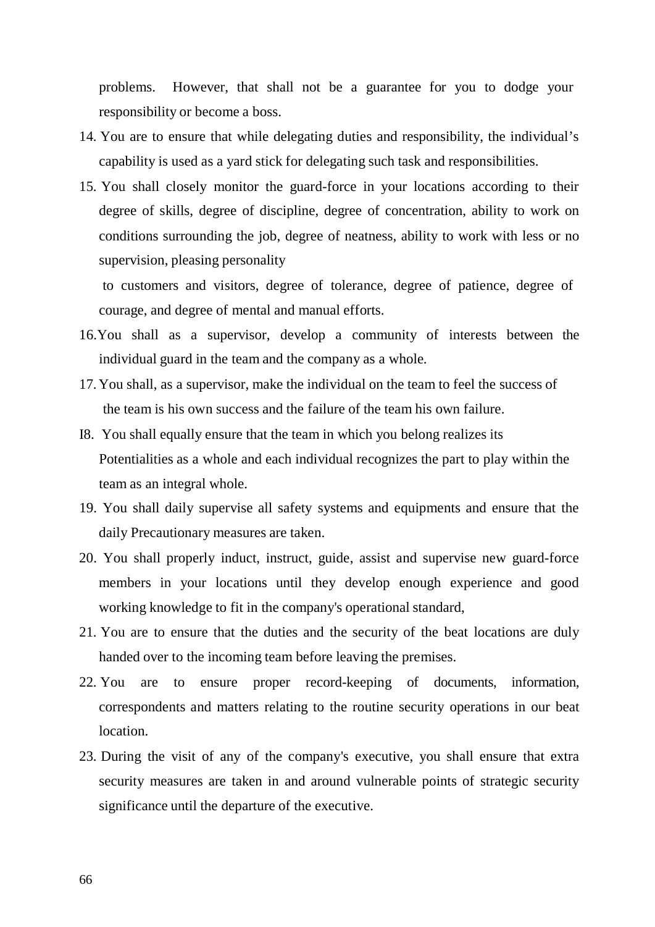problems. However, that shall not be a guarantee for you to dodge your responsibility or become a boss.

- 14. You are to ensure that while delegating duties and responsibility, the individual's capability is used as a yard stick for delegating such task and responsibilities.
- 15. You shall closely monitor the guard-force in your locations according to their degree of skills, degree of discipline, degree of concentration, ability to work on conditions surrounding the job, degree of neatness, ability to work with less or no supervision, pleasing personality

to customers and visitors, degree of tolerance, degree of patience, degree of courage, and degree of mental and manual efforts.

- 16.You shall as a supervisor, develop a community of interests between the individual guard in the team and the company as a whole.
- 17. You shall, as a supervisor, make the individual on the team to feel the success of the team is his own success and the failure of the team his own failure.
- I8. You shall equally ensure that the team in which you belong realizes its Potentialities as a whole and each individual recognizes the part to play within the team as an integral whole.
- 19. You shall daily supervise all safety systems and equipments and ensure that the daily Precautionary measures are taken.
- 20. You shall properly induct, instruct, guide, assist and supervise new guard-force members in your locations until they develop enough experience and good working knowledge to fit in the company's operational standard,
- 21. You are to ensure that the duties and the security of the beat locations are duly handed over to the incoming team before leaving the premises.
- 22. You are to ensure proper record-keeping of documents, information, correspondents and matters relating to the routine security operations in our beat location.
- 23. During the visit of any of the company's executive, you shall ensure that extra security measures are taken in and around vulnerable points of strategic security significance until the departure of the executive.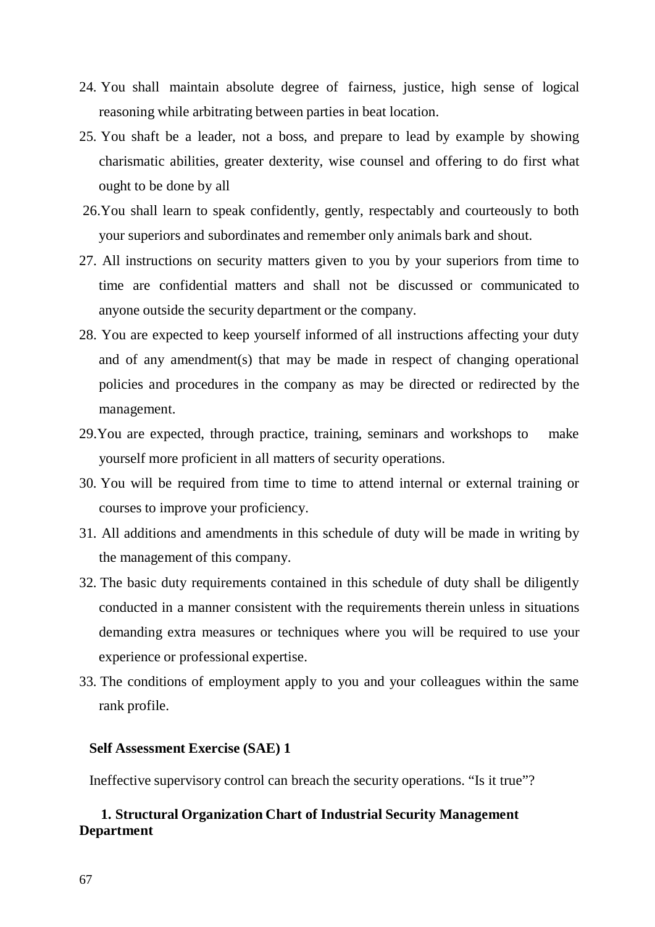- 24. You shall maintain absolute degree of fairness, justice, high sense of logical reasoning while arbitrating between parties in beat location.
- 25. You shaft be a leader, not a boss, and prepare to lead by example by showing charismatic abilities, greater dexterity, wise counsel and offering to do first what ought to be done by all
- 26.You shall learn to speak confidently, gently, respectably and courteously to both your superiors and subordinates and remember only animals bark and shout.
- 27. All instructions on security matters given to you by your superiors from time to time are confidential matters and shall not be discussed or communicated to anyone outside the security department or the company.
- 28. You are expected to keep yourself informed of all instructions affecting your duty and of any amendment(s) that may be made in respect of changing operational policies and procedures in the company as may be directed or redirected by the management.
- 29.You are expected, through practice, training, seminars and workshops to make yourself more proficient in all matters of security operations.
- 30. You will be required from time to time to attend internal or external training or courses to improve your proficiency.
- 31*.* All additions and amendments in this schedule of duty will be made in writing by the management of this company.
- 32. The basic duty requirements contained in this schedule of duty shall be diligently conducted in a manner consistent with the requirements therein unless in situations demanding extra measures or techniques where you will be required to use your experience or professional expertise.
- 33. The conditions of employment apply to you and your colleagues within the same rank profile.

#### **Self Assessment Exercise (SAE) 1**

Ineffective supervisory control can breach the security operations. "Is it true"?

### **1. Structural Organization Chart of Industrial Security Management Department**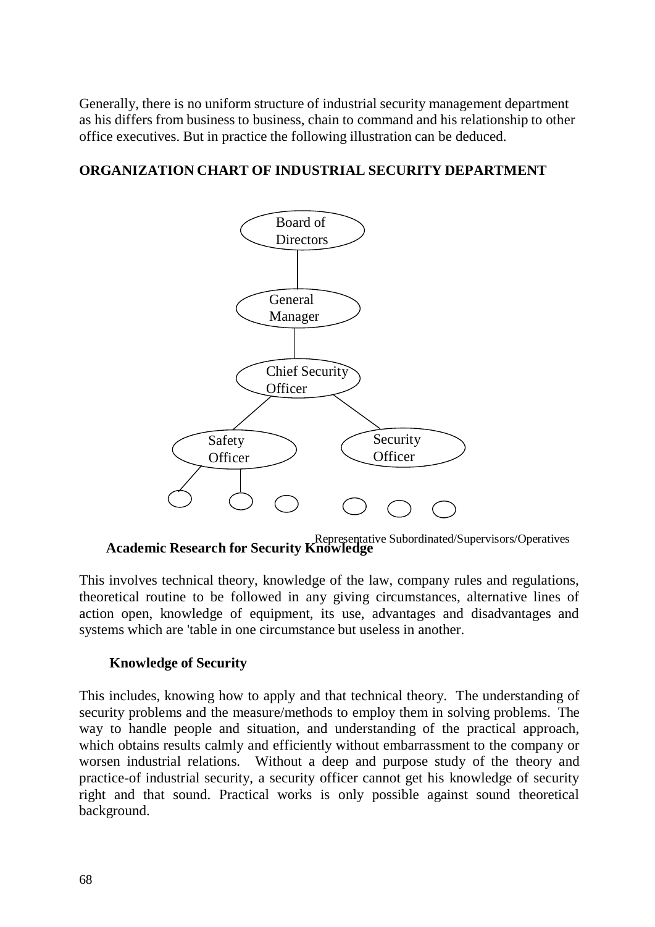Generally, there is no uniform structure of industrial security management department as his differs from business to business, chain to command and his relationship to other office executives. But in practice the following illustration can be deduced.

# **ORGANIZATION CHART OF INDUSTRIAL SECURITY DEPARTMENT**



Representative Subordinated/Supervisors/Operatives **Academic Research for Security Knowledge**

This involves technical theory, knowledge of the law, company rules and regulations, theoretical routine to be followed in any giving circumstances, alternative lines of action open, knowledge of equipment, its use, advantages and disadvantages and systems which are 'table in one circumstance but useless in another.

### **Knowledge of Security**

This includes, knowing how to apply and that technical theory. The understanding of security problems and the measure/methods to employ them in solving problems. The way to handle people and situation, and understanding of the practical approach, which obtains results calmly and efficiently without embarrassment to the company or worsen industrial relations. Without a deep and purpose study of the theory and practice-of industrial security, a security officer cannot get his knowledge of security right and that sound. Practical works is only possible against sound theoretical background.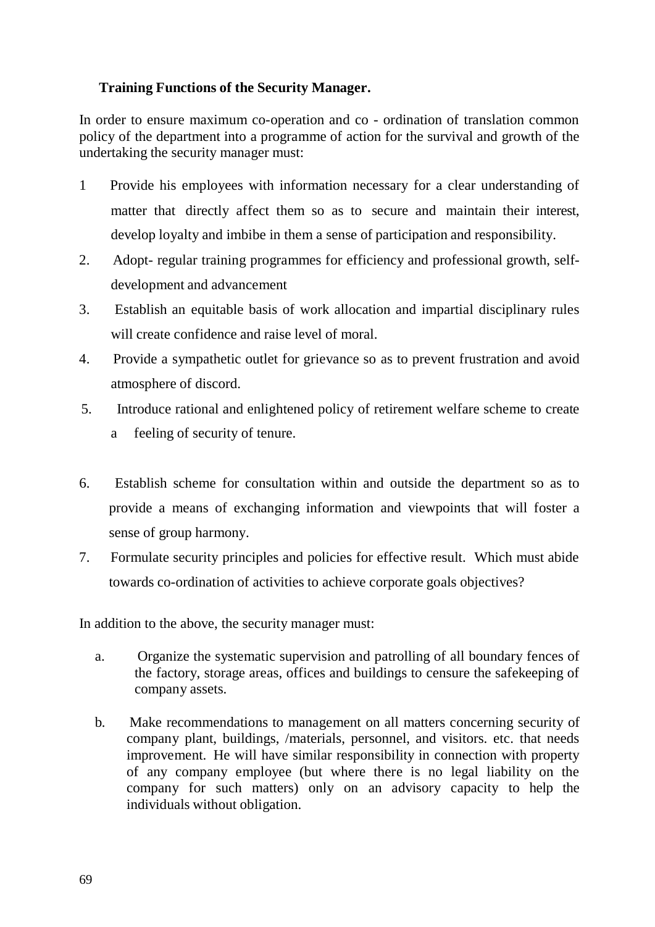### **Training Functions of the Security Manager.**

In order to ensure maximum co-operation and co - ordination of translation common policy of the department into a programme of action for the survival and growth of the undertaking the security manager must:

- 1 Provide his employees with information necessary for a clear understanding of matter that directly affect them so as to secure and maintain their interest, develop loyalty and imbibe in them a sense of participation and responsibility.
- 2. Adopt- regular training programmes for efficiency and professional growth, selfdevelopment and advancement
- 3. Establish an equitable basis of work allocation and impartial disciplinary rules will create confidence and raise level of moral.
- 4. Provide a sympathetic outlet for grievance so as to prevent frustration and avoid atmosphere of discord.
- 5. Introduce rational and enlightened policy of retirement welfare scheme to create a feeling of security of tenure.
- 6. Establish scheme for consultation within and outside the department so as to provide a means of exchanging information and viewpoints that will foster a sense of group harmony.
- 7. Formulate security principles and policies for effective result. Which must abide towards co-ordination of activities to achieve corporate goals objectives?

In addition to the above, the security manager must:

- a. Organize the systematic supervision and patrolling of all boundary fences of the factory, storage areas, offices and buildings to censure the safekeeping of company assets.
- b*.* Make recommendations to management on all matters concerning security of company plant, buildings, /materials, personnel, and visitors. etc. that needs improvement. He will have similar responsibility in connection with property of any company employee (but where there is no legal liability on the company for such matters) only on an advisory capacity to help the individuals without obligation.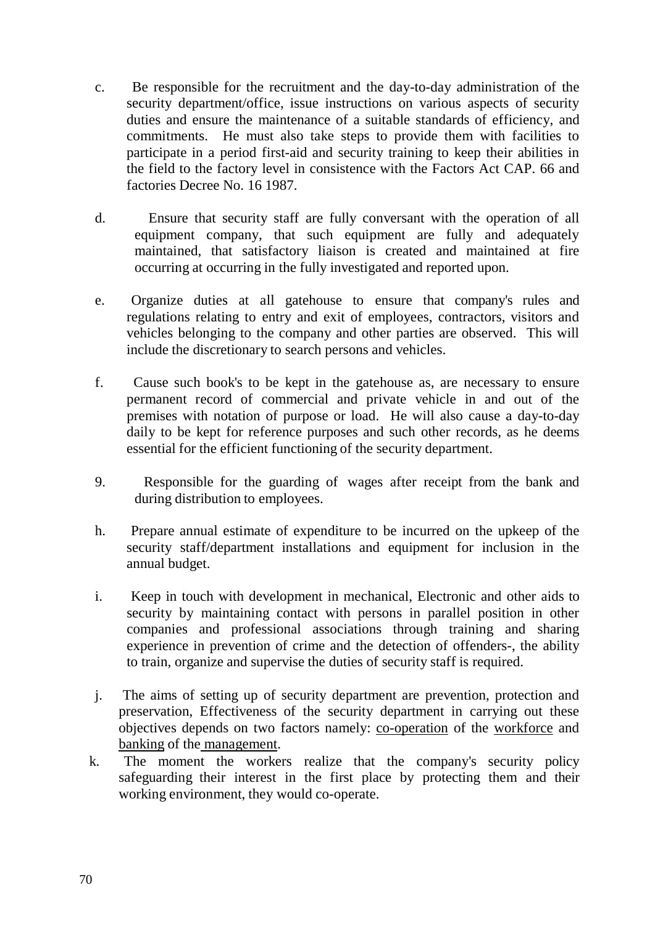- c. Be responsible for the recruitment and the day-to-day administration of the security department/office, issue instructions on various aspects of security duties and ensure the maintenance of a suitable standards of efficiency, and commitments. He must also take steps to provide them with facilities to participate in a period first-aid and security training to keep their abilities in the field to the factory level in consistence with the Factors Act CAP. 66 and factories Decree No. 16 1987.
- d. Ensure that security staff are fully conversant with the operation of all equipment company, that such equipment are fully and adequately maintained, that satisfactory liaison is created and maintained at fire occurring at occurring in the fully investigated and reported upon.
- e. Organize duties at all gatehouse to ensure that company's rules and regulations relating to entry and exit of employees, contractors, visitors and vehicles belonging to the company and other parties are observed. This will include the discretionary to search persons and vehicles.
- f. Cause such book's to be kept in the gatehouse as, are necessary to ensure permanent record of commercial and private vehicle in and out of the premises with notation of purpose or load. He will also cause a day-to-day daily to be kept for reference purposes and such other records, as he deems essential for the efficient functioning of the security department.
- 9. Responsible for the guarding of wages after receipt from the bank and during distribution to employees.
- h. Prepare annual estimate of expenditure to be incurred on the upkeep of the security staff/department installations and equipment for inclusion in the annual budget.
- i. Keep in touch with development in mechanical, Electronic and other aids to security by maintaining contact with persons in parallel position in other companies and professional associations through training and sharing experience in prevention of crime and the detection of offenders-, the ability to train, organize and supervise the duties of security staff is required.
- j. The aims of setting up of security department are prevention, protection and preservation, Effectiveness of the security department in carrying out these objectives depends on two factors namely: co-operation of the workforce and banking of the management.
- k. The moment the workers realize that the company's security policy safeguarding their interest in the first place by protecting them and their working environment, they would co-operate.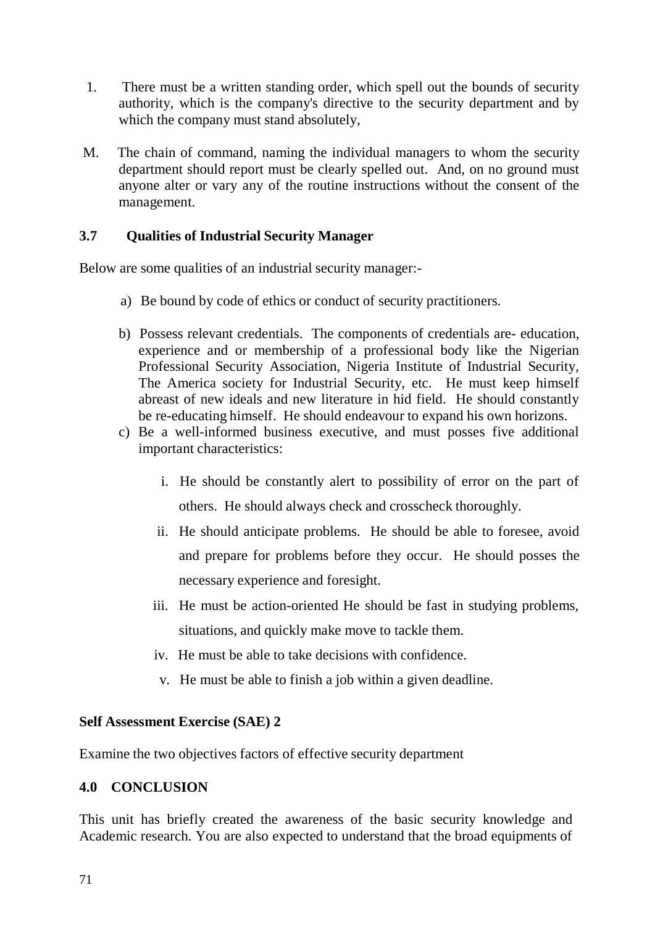- 1. There must be a written standing order, which spell out the bounds of security authority, which is the company's directive to the security department and by which the company must stand absolutely,
- M. The chain of command, naming the individual managers to whom the security department should report must be clearly spelled out. And, on no ground must anyone alter or vary any of the routine instructions without the consent of the management.

### **3.7 Qualities of Industrial Security Manager**

Below are some qualities of an industrial security manager:-

- a) Be bound by code of ethics or conduct of security practitioners.
- b) Possess relevant credentials. The components of credentials are- education, experience and or membership of a professional body like the Nigerian Professional Security Association, Nigeria Institute of Industrial Security, The America society for Industrial Security, etc. He must keep himself abreast of new ideals and new literature in hid field. He should constantly be re-educating himself. He should endeavour to expand his own horizons.
- c) Be a well-informed business executive, and must posses five additional important characteristics:
	- i. He should be constantly alert to possibility of error on the part of others. He should always check and crosscheck thoroughly.
	- ii. He should anticipate problems. He should be able to foresee, avoid and prepare for problems before they occur. He should posses the necessary experience and foresight.
	- iii. He must be action-oriented He should be fast in studying problems, situations, and quickly make move to tackle them.
	- iv. He must be able to take decisions with confidence.
	- v. He must be able to finish a job within a given deadline.

### **Self Assessment Exercise (SAE) 2**

Examine the two objectives factors of effective security department

# **4.0 CONCLUSION**

This unit has briefly created the awareness of the basic security knowledge and Academic research. You are also expected to understand that the broad equipments of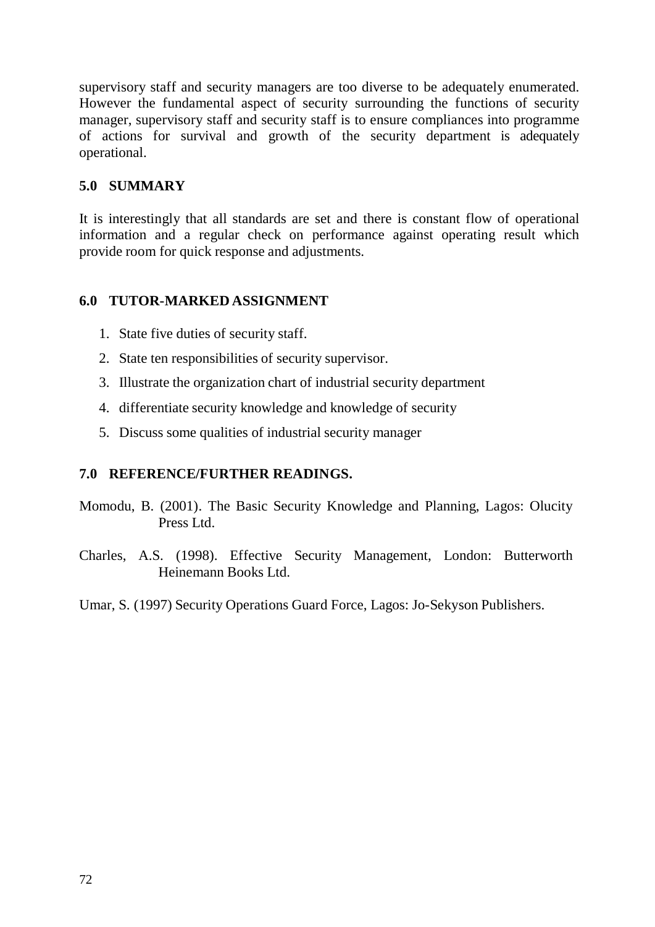supervisory staff and security managers are too diverse to be adequately enumerated. However the fundamental aspect of security surrounding the functions of security manager, supervisory staff and security staff is to ensure compliances into programme of actions for survival and growth of the security department is adequately operational.

### **5.0 SUMMARY**

It is interestingly that all standards are set and there is constant flow of operational information and a regular check on performance against operating result which provide room for quick response and adjustments.

### **6.0 TUTOR-MARKED ASSIGNMENT**

- 1. State five duties of security staff.
- 2. State ten responsibilities of security supervisor.
- 3. Illustrate the organization chart of industrial security department
- 4. differentiate security knowledge and knowledge of security
- 5. Discuss some qualities of industrial security manager

# **7.0 REFERENCE/FURTHER READINGS.**

- Momodu, B. (2001). The Basic Security Knowledge and Planning, Lagos: Olucity Press Ltd.
- Charles, A.S. (1998). Effective Security Management, London: Butterworth Heinemann Books Ltd.

Umar, S. (1997) Security Operations Guard Force, Lagos: Jo-Sekyson Publishers.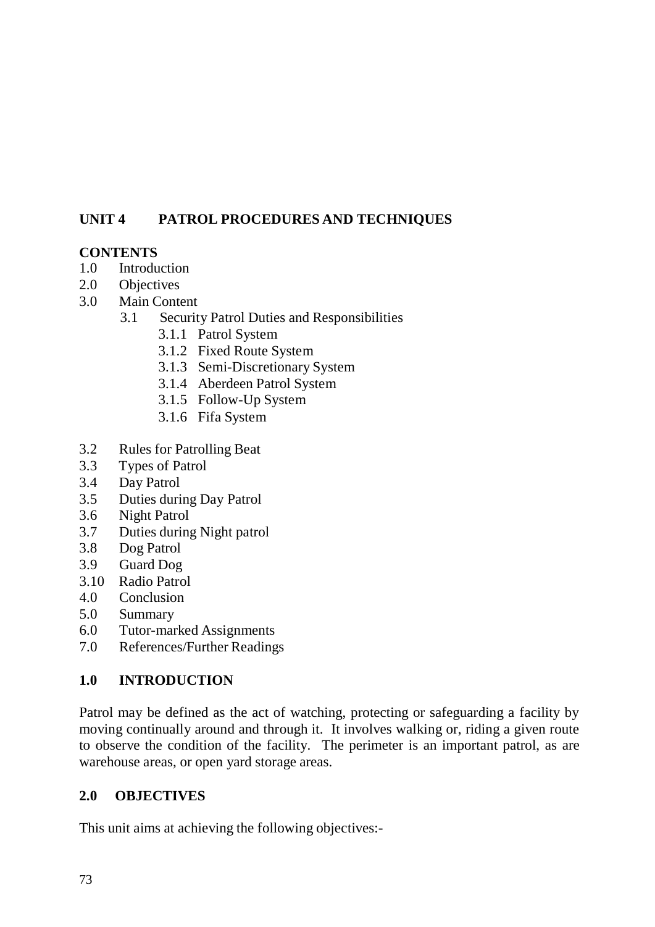# **UNIT 4 PATROL PROCEDURES AND TECHNIQUES**

# **CONTENTS**

- 1.0 Introduction
- 2.0 Objectives
- 3.0 Main Content
	- 3.1 Security Patrol Duties and Responsibilities
		- 3.1.1 Patrol System
		- 3.1.2 Fixed Route System
		- 3.1.3 Semi-Discretionary System
		- 3.1.4 Aberdeen Patrol System
		- 3.1.5 Follow-Up System
		- 3.1.6 Fifa System
- 3.2 Rules for Patrolling Beat
- 3.3 Types of Patrol
- 3.4 Day Patrol
- 3.5 Duties during Day Patrol
- 3.6 Night Patrol
- 3.7 Duties during Night patrol
- 3.8 Dog Patrol
- 3.9 Guard Dog
- 3.10 Radio Patrol
- 4.0 Conclusion
- 5.0 Summary
- 6.0 Tutor-marked Assignments
- 7.0 References/Further Readings

# **1.0 INTRODUCTION**

Patrol may be defined as the act of watching, protecting or safeguarding a facility by moving continually around and through it. It involves walking or, riding a given route to observe the condition of the facility. The perimeter is an important patrol, as are warehouse areas, or open yard storage areas.

# **2.0 OBJECTIVES**

This unit aims at achieving the following objectives:-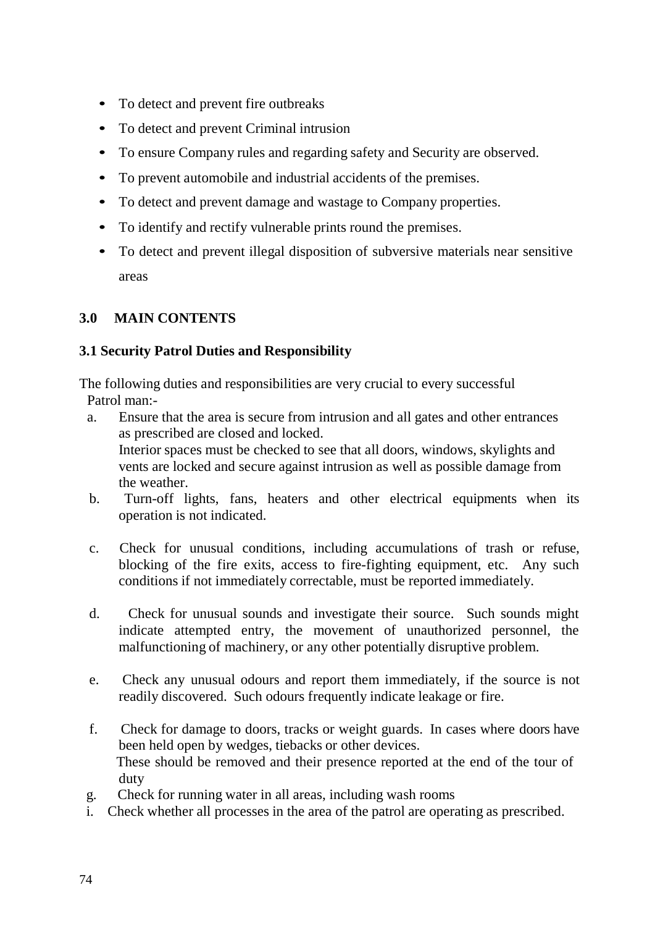- To detect and prevent fire outbreaks
- To detect and prevent Criminal intrusion
- To ensure Company rules and regarding safety and Security are observed.
- To prevent automobile and industrial accidents of the premises.
- To detect and prevent damage and wastage to Company properties.
- To identify and rectify vulnerable prints round the premises.
- To detect and prevent illegal disposition of subversive materials near sensitive areas

# **3.0 MAIN CONTENTS**

# **3.1 Security Patrol Duties and Responsibility**

The following duties and responsibilities are very crucial to every successful Patrol man:-

- a. Ensure that the area is secure from intrusion and all gates and other entrances as prescribed are closed and locked. Interior spaces must be checked to see that all doors, windows, skylights and vents are locked and secure against intrusion as well as possible damage from the weather.
- b. Turn-off lights, fans, heaters and other electrical equipments when its operation is not indicated.
- c. Check for unusual conditions, including accumulations of trash or refuse, blocking of the fire exits, access to fire-fighting equipment, etc. Any such conditions if not immediately correctable, must be reported immediately.
- d. Check for unusual sounds and investigate their source. Such sounds might indicate attempted entry, the movement of unauthorized personnel, the malfunctioning of machinery, or any other potentially disruptive problem.
- e. Check any unusual odours and report them immediately, if the source is not readily discovered. Such odours frequently indicate leakage or fire.
- f. Check for damage to doors, tracks or weight guards. In cases where doors have been held open by wedges, tiebacks or other devices. These should be removed and their presence reported at the end of the tour of duty
- g. Check for running water in all areas, including wash rooms
- i. Check whether all processes in the area of the patrol are operating as prescribed.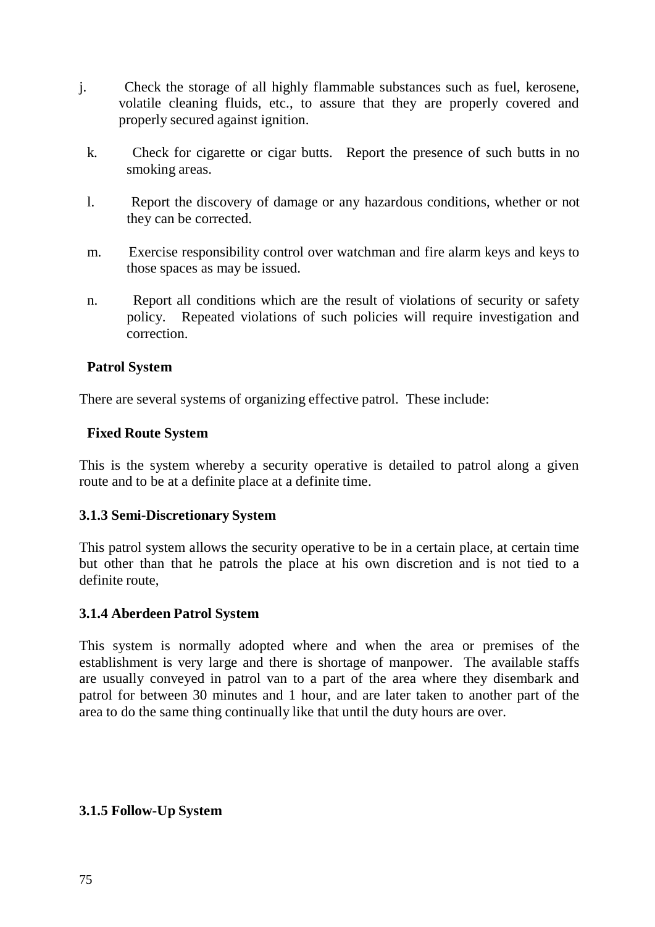- j. Check the storage of all highly flammable substances such as fuel, kerosene, volatile cleaning fluids, etc., to assure that they are properly covered and properly secured against ignition.
	- k. Check for cigarette or cigar butts. Report the presence of such butts in no smoking areas.
	- l. Report the discovery of damage or any hazardous conditions, whether or not they can be corrected.
	- m. Exercise responsibility control over watchman and fire alarm keys and keys to those spaces as may be issued.
	- n. Report all conditions which are the result of violations of security or safety policy. Repeated violations of such policies will require investigation and correction.

#### **Patrol System**

There are several systems of organizing effective patrol. These include:

### **Fixed Route System**

This is the system whereby a security operative is detailed to patrol along a given route and to be at a definite place at a definite time.

#### **3.1.3 Semi-Discretionary System**

This patrol system allows the security operative to be in a certain place, at certain time but other than that he patrols the place at his own discretion and is not tied to a definite route,

#### **3.1.4 Aberdeen Patrol System**

This system is normally adopted where and when the area or premises of the establishment is very large and there is shortage of manpower. The available staffs are usually conveyed in patrol van to a part of the area where they disembark and patrol for between 30 minutes and 1 hour, and are later taken to another part of the area to do the same thing continually like that until the duty hours are over.

#### **3.1.5 Follow-Up System**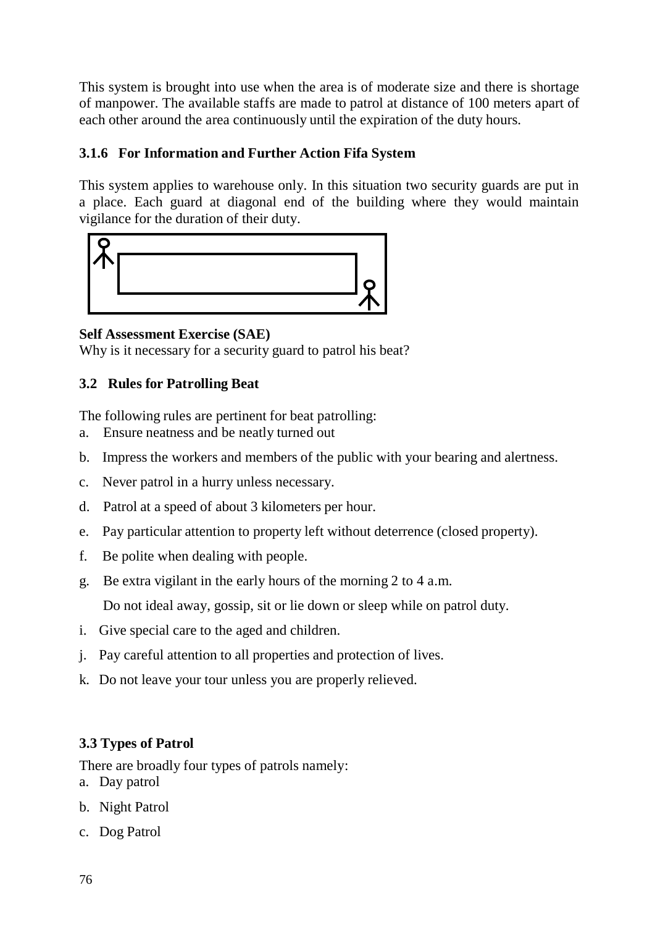This system is brought into use when the area is of moderate size and there is shortage of manpower. The available staffs are made to patrol at distance of 100 meters apart of each other around the area continuously until the expiration of the duty hours.

# **3.1.6 For Information and Further Action Fifa System**

This system applies to warehouse only. In this situation two security guards are put in a place. Each guard at diagonal end of the building where they would maintain vigilance for the duration of their duty.



### **Self Assessment Exercise (SAE)**

Why is it necessary for a security guard to patrol his beat?

# **3.2 Rules for Patrolling Beat**

The following rules are pertinent for beat patrolling:

- a. Ensure neatness and be neatly turned out
- b. Impress the workers and members of the public with your bearing and alertness.
- c. Never patrol in a hurry unless necessary.
- d. Patrol at a speed of about 3 kilometers per hour.
- e. Pay particular attention to property left without deterrence (closed property).
- f*.* Be polite when dealing with people.
- g. Be extra vigilant in the early hours of the morning 2 to 4 a.m.

Do not ideal away, gossip, sit or lie down or sleep while on patrol duty.

- i. Give special care to the aged and children.
- j. Pay careful attention to all properties and protection of lives.
- k. Do not leave your tour unless you are properly relieved.

# **3.3 Types of Patrol**

There are broadly four types of patrols namely:

- a. Day patrol
- b. Night Patrol
- c. Dog Patrol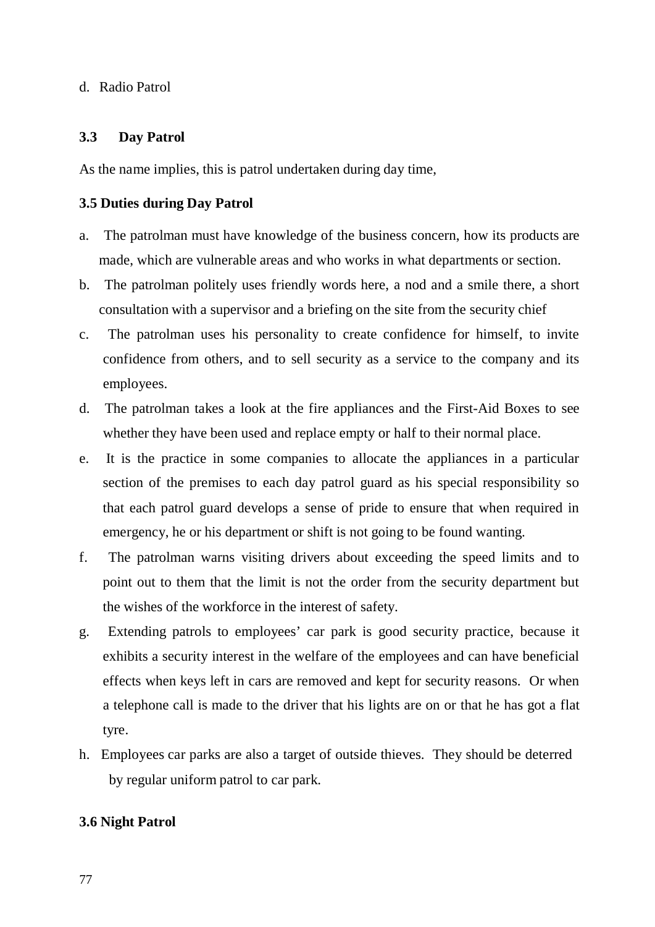#### d. Radio Patrol

#### **3.3 Day Patrol**

As the name implies, this is patrol undertaken during day time,

#### **3.5 Duties during Day Patrol**

- a. The patrolman must have knowledge of the business concern, how its products are made, which are vulnerable areas and who works in what departments or section.
- b. The patrolman politely uses friendly words here, a nod and a smile there, a short consultation with a supervisor and a briefing on the site from the security chief
- c. The patrolman uses his personality to create confidence for himself, to invite confidence from others, and to sell security as a service to the company and its employees.
- d. The patrolman takes a look at the fire appliances and the First-Aid Boxes to see whether they have been used and replace empty or half to their normal place.
- e. It is the practice in some companies to allocate the appliances in a particular section of the premises to each day patrol guard as his special responsibility so that each patrol guard develops a sense of pride to ensure that when required in emergency, he or his department or shift is not going to be found wanting.
- f. The patrolman warns visiting drivers about exceeding the speed limits and to point out to them that the limit is not the order from the security department but the wishes of the workforce in the interest of safety.
- g. Extending patrols to employees' car park is good security practice, because it exhibits a security interest in the welfare of the employees and can have beneficial effects when keys left in cars are removed and kept for security reasons. Or when a telephone call is made to the driver that his lights are on or that he has got a flat tyre.
- h. Employees car parks are also a target of outside thieves. They should be deterred by regular uniform patrol to car park.

#### **3.6 Night Patrol**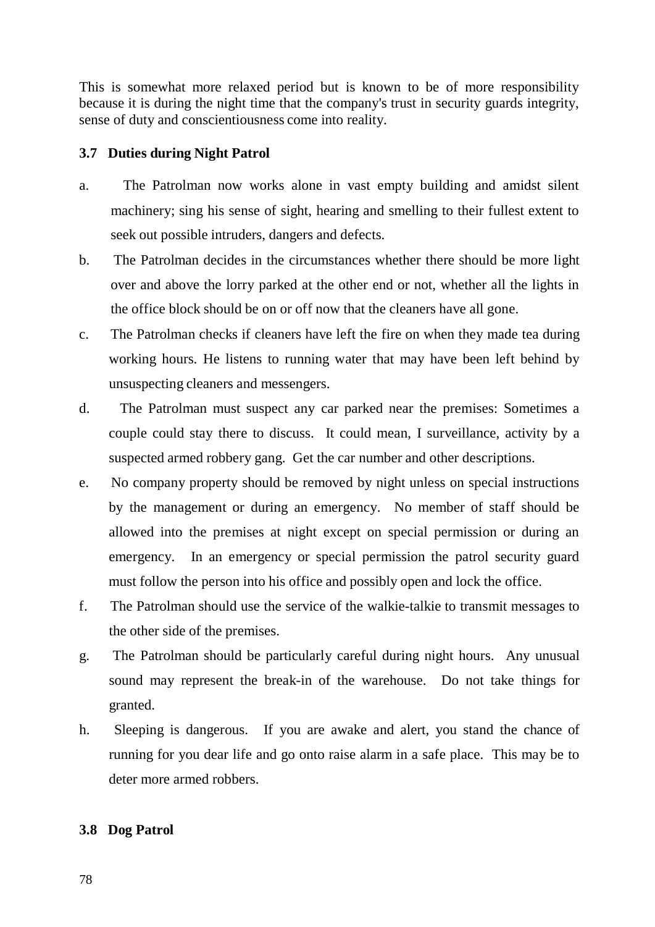This is somewhat more relaxed period but is known to be of more responsibility because it is during the night time that the company's trust in security guards integrity, sense of duty and conscientiousness come into reality.

### **3.7 Duties during Night Patrol**

- a. The Patrolman now works alone in vast empty building and amidst silent machinery; sing his sense of sight, hearing and smelling to their fullest extent to seek out possible intruders, dangers and defects.
- b. The Patrolman decides in the circumstances whether there should be more light over and above the lorry parked at the other end or not, whether all the lights in the office block should be on or off now that the cleaners have all gone.
- c. The Patrolman checks if cleaners have left the fire on when they made tea during working hours. He listens to running water that may have been left behind by unsuspecting cleaners and messengers.
- d. The Patrolman must suspect any car parked near the premises: Sometimes a couple could stay there to discuss. It could mean, I surveillance, activity by a suspected armed robbery gang. Get the car number and other descriptions.
- e. No company property should be removed by night unless on special instructions by the management or during an emergency. No member of staff should be allowed into the premises at night except on special permission or during an emergency. In an emergency or special permission the patrol security guard must follow the person into his office and possibly open and lock the office.
- f. The Patrolman should use the service of the walkie-talkie to transmit messages to the other side of the premises.
- g. The Patrolman should be particularly careful during night hours. Any unusual sound may represent the break-in of the warehouse. Do not take things for granted.
- h. Sleeping is dangerous. If you are awake and alert, you stand the chance of running for you dear life and go onto raise alarm in a safe place. This may be to deter more armed robbers.

#### **3.8 Dog Patrol**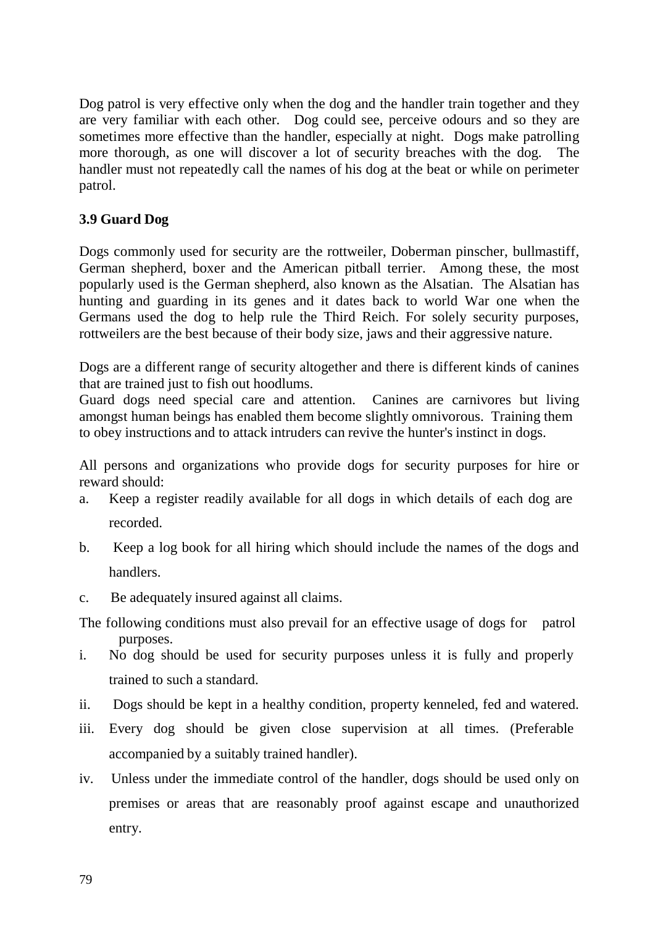Dog patrol is very effective only when the dog and the handler train together and they are very familiar with each other. Dog could see, perceive odours and so they are sometimes more effective than the handler, especially at night. Dogs make patrolling more thorough, as one will discover a lot of security breaches with the dog. The handler must not repeatedly call the names of his dog at the beat or while on perimeter patrol.

# **3.9 Guard Dog**

Dogs commonly used for security are the rottweiler, Doberman pinscher, bullmastiff, German shepherd, boxer and the American pitball terrier. Among these, the most popularly used is the German shepherd, also known as the Alsatian. The Alsatian has hunting and guarding in its genes and it dates back to world War one when the Germans used the dog to help rule the Third Reich. For solely security purposes, rottweilers are the best because of their body size, jaws and their aggressive nature.

Dogs are a different range of security altogether and there is different kinds of canines that are trained just to fish out hoodlums.

Guard dogs need special care and attention. Canines are carnivores but living amongst human beings has enabled them become slightly omnivorous. Training them to obey instructions and to attack intruders can revive the hunter's instinct in dogs.

All persons and organizations who provide dogs for security purposes for hire or reward should:

- a. Keep a register readily available for all dogs in which details of each dog are recorded.
- b. Keep a log book for all hiring which should include the names of the dogs and handlers.
- c. Be adequately insured against all claims.
- The following conditions must also prevail for an effective usage of dogs for patrol purposes.
- i. No dog should be used for security purposes unless it is fully and properly trained to such a standard.
- ii. Dogs should be kept in a healthy condition, property kenneled, fed and watered.
- iii. Every dog should be given close supervision at all times. (Preferable accompanied by a suitably trained handler).
- iv. Unless under the immediate control of the handler, dogs should be used only on premises or areas that are reasonably proof against escape and unauthorized entry.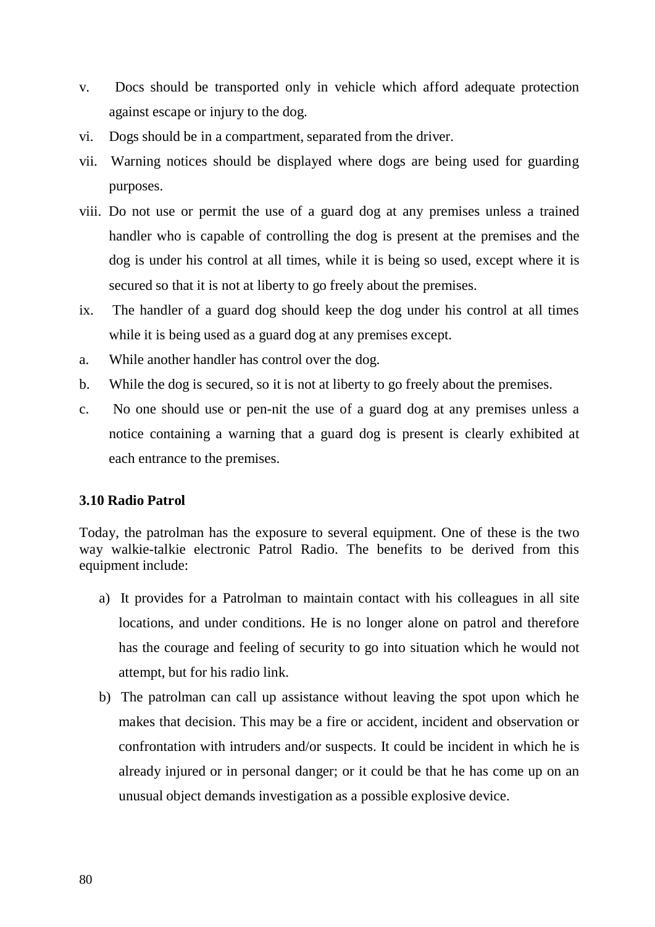- v. Docs should be transported only in vehicle which afford adequate protection against escape or injury to the dog.
- vi. Dogs should be in a compartment, separated from the driver.
- vii. Warning notices should be displayed where dogs are being used for guarding purposes.
- viii. Do not use or permit the use of a guard dog at any premises unless a trained handler who is capable of controlling the dog is present at the premises and the dog is under his control at all times, while it is being so used, except where it is secured so that it is not at liberty to go freely about the premises.
- ix. The handler of a guard dog should keep the dog under his control at all times while it is being used as a guard dog at any premises except.
- a. While another handler has control over the dog.
- b. While the dog is secured, so it is not at liberty to go freely about the premises.
- c. No one should use or pen-nit the use of a guard dog at any premises unless a notice containing a warning that a guard dog is present is clearly exhibited at each entrance to the premises.

# **3.10 Radio Patrol**

Today, the patrolman has the exposure to several equipment. One of these is the two way walkie-talkie electronic Patrol Radio. The benefits to be derived from this equipment include:

- a) It provides for a Patrolman to maintain contact with his colleagues in all site locations, and under conditions. He is no longer alone on patrol and therefore has the courage and feeling of security to go into situation which he would not attempt, but for his radio link.
- b) The patrolman can call up assistance without leaving the spot upon which he makes that decision. This may be a fire or accident, incident and observation or confrontation with intruders and/or suspects. It could be incident in which he is already injured or in personal danger; or it could be that he has come up on an unusual object demands investigation as a possible explosive device.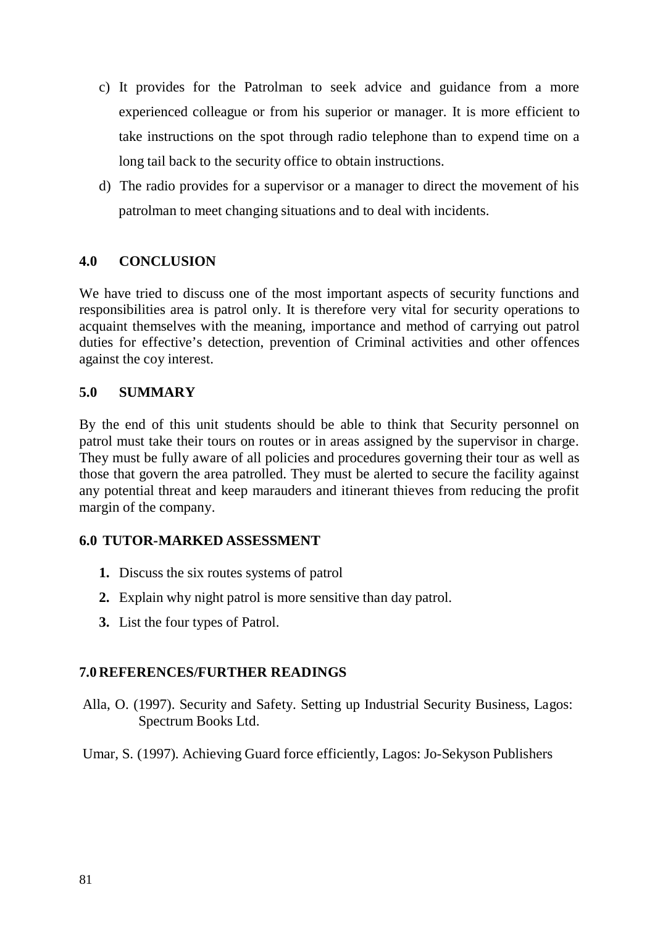- c) It provides for the Patrolman to seek advice and guidance from a more experienced colleague or from his superior or manager. It is more efficient to take instructions on the spot through radio telephone than to expend time on a long tail back to the security office to obtain instructions.
- d) The radio provides for a supervisor or a manager to direct the movement of his patrolman to meet changing situations and to deal with incidents.

#### **4.0 CONCLUSION**

We have tried to discuss one of the most important aspects of security functions and responsibilities area is patrol only. It is therefore very vital for security operations to acquaint themselves with the meaning, importance and method of carrying out patrol duties for effective's detection, prevention of Criminal activities and other offences against the coy interest.

#### **5.0 SUMMARY**

By the end of this unit students should be able to think that Security personnel on patrol must take their tours on routes or in areas assigned by the supervisor in charge. They must be fully aware of all policies and procedures governing their tour as well as those that govern the area patrolled. They must be alerted to secure the facility against any potential threat and keep marauders and itinerant thieves from reducing the profit margin of the company.

#### **6.0 TUTOR-MARKED ASSESSMENT**

- **1.** Discuss the six routes systems of patrol
- **2.** Explain why night patrol is more sensitive than day patrol.
- **3.** List the four types of Patrol.

# **7.0 REFERENCES/FURTHER READINGS**

Alla, O. (1997). Security and Safety. Setting up Industrial Security Business, Lagos: Spectrum Books Ltd.

Umar, S. (1997). Achieving Guard force efficiently, Lagos: Jo-Sekyson Publishers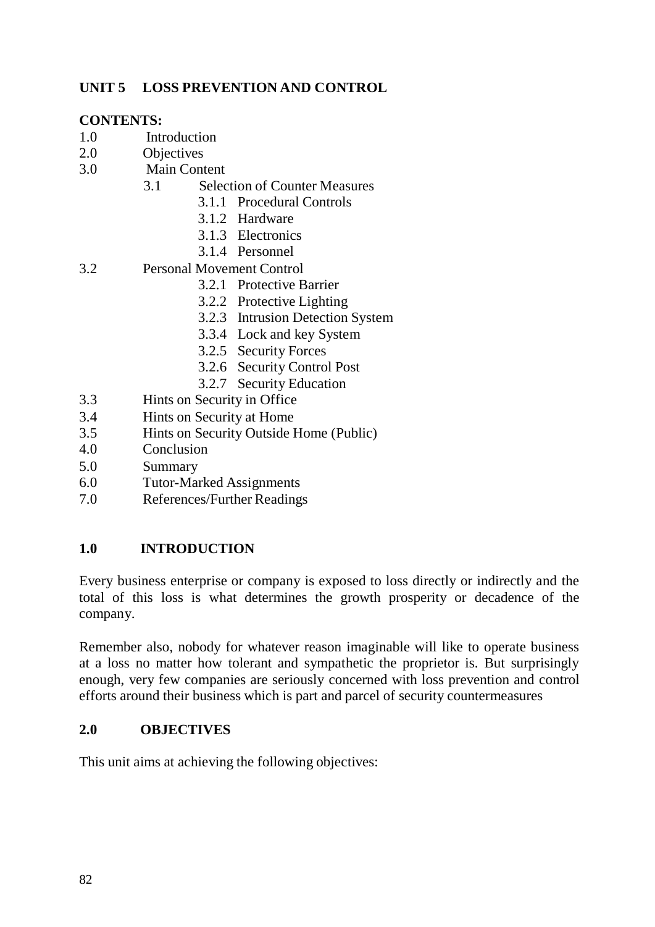# **UNIT 5 LOSS PREVENTION AND CONTROL**

#### **CONTENTS:**

- 1.0 Introduction
- 2.0 Objectives
- 3.0 Main Content
	- 3.1 Selection of Counter Measures
		- 3.1.1 Procedural Controls
		- 3.1.2 Hardware
		- 3.1.3 Electronics
		- 3.1.4 Personnel
- 3.2 Personal Movement Control
	- 3.2.1 Protective Barrier
	- 3.2.2 Protective Lighting
	- 3.2.3 Intrusion Detection System
	- 3.3.4 Lock and key System
	- 3.2.5 Security Forces
	- 3.2.6 Security Control Post
	- 3.2.7 Security Education
- 3.3 Hints on Security in Office
- 3.4 Hints on Security at Home
- 3.5 Hints on Security Outside Home (Public)
- 4.0 Conclusion
- 5.0 Summary
- 6.0 Tutor-Marked Assignments
- 7.0 References/Further Readings

# **1.0 INTRODUCTION**

Every business enterprise or company is exposed to loss directly or indirectly and the total of this loss is what determines the growth prosperity or decadence of the company.

Remember also, nobody for whatever reason imaginable will like to operate business at a loss no matter how tolerant and sympathetic the proprietor is. But surprisingly enough, very few companies are seriously concerned with loss prevention and control efforts around their business which is part and parcel of security countermeasures

#### **2.0 OBJECTIVES**

This unit aims at achieving the following objectives: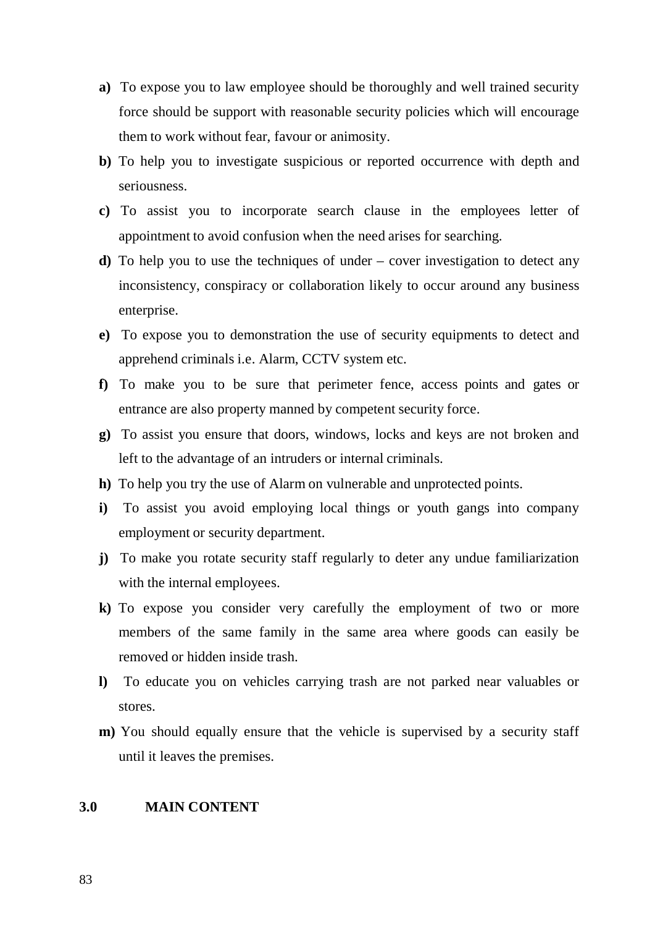- **a)** To expose you to law employee should be thoroughly and well trained security force should be support with reasonable security policies which will encourage them to work without fear, favour or animosity.
- **b)** To help you to investigate suspicious or reported occurrence with depth and seriousness.
- **c)** To assist you to incorporate search clause in the employees letter of appointment to avoid confusion when the need arises for searching.
- **d)** To help you to use the techniques of under cover investigation to detect any inconsistency, conspiracy or collaboration likely to occur around any business enterprise.
- **e)** To expose you to demonstration the use of security equipments to detect and apprehend criminals i.e. Alarm, CCTV system etc.
- **f)** To make you to be sure that perimeter fence, access points and gates or entrance are also property manned by competent security force.
- **g)** To assist you ensure that doors, windows, locks and keys are not broken and left to the advantage of an intruders or internal criminals.
- **h)** To help you try the use of Alarm on vulnerable and unprotected points.
- **i)** To assist you avoid employing local things or youth gangs into company employment or security department.
- **j)** To make you rotate security staff regularly to deter any undue familiarization with the internal employees.
- **k)** To expose you consider very carefully the employment of two or more members of the same family in the same area where goods can easily be removed or hidden inside trash.
- **l)** To educate you on vehicles carrying trash are not parked near valuables or stores.
- **m)** You should equally ensure that the vehicle is supervised by a security staff until it leaves the premises.

#### **3.0 MAIN CONTENT**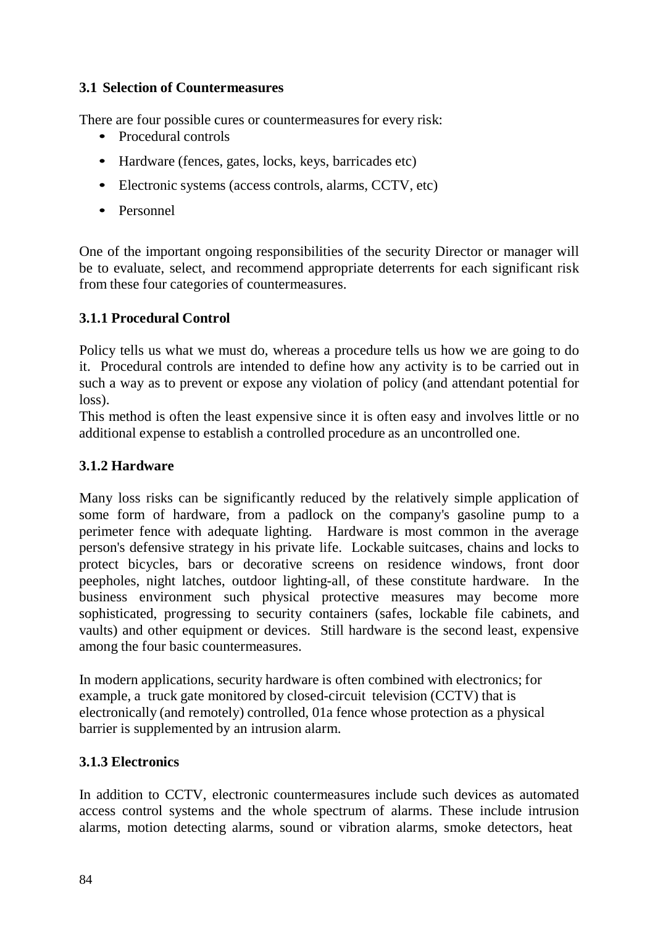### **3.1 Selection of Countermeasures**

There are four possible cures or countermeasures for every risk:

- Procedural controls
- Hardware (fences, gates, locks, keys, barricades etc)
- Electronic systems (access controls, alarms, CCTV, etc)
- Personnel

One of the important ongoing responsibilities of the security Director or manager will be to evaluate, select, and recommend appropriate deterrents for each significant risk from these four categories of countermeasures.

# **3.1.1 Procedural Control**

Policy tells us what we must do, whereas a procedure tells us how we are going to do it. Procedural controls are intended to define how any activity is to be carried out in such a way as to prevent or expose any violation of policy (and attendant potential for loss).

This method is often the least expensive since it is often easy and involves little or no additional expense to establish a controlled procedure as an uncontrolled one.

# **3.1.2 Hardware**

Many loss risks can be significantly reduced by the relatively simple application of some form of hardware, from a padlock on the company's gasoline pump to a perimeter fence with adequate lighting. Hardware is most common in the average person's defensive strategy in his private life. Lockable suitcases, chains and locks to protect bicycles, bars or decorative screens on residence windows, front door peepholes, night latches, outdoor lighting-all, of these constitute hardware. In the business environment such physical protective measures may become more sophisticated, progressing to security containers (safes, lockable file cabinets, and vaults) and other equipment or devices. Still hardware is the second least, expensive among the four basic countermeasures.

In modern applications, security hardware is often combined with electronics; for example, a truck gate monitored by closed-circuit television (CCTV) that is electronically (and remotely) controlled, 01a fence whose protection as a physical barrier is supplemented by an intrusion alarm.

# **3.1.3 Electronics**

In addition to CCTV, electronic countermeasures include such devices as automated access control systems and the whole spectrum of alarms. These include intrusion alarms, motion detecting alarms, sound or vibration alarms, smoke detectors, heat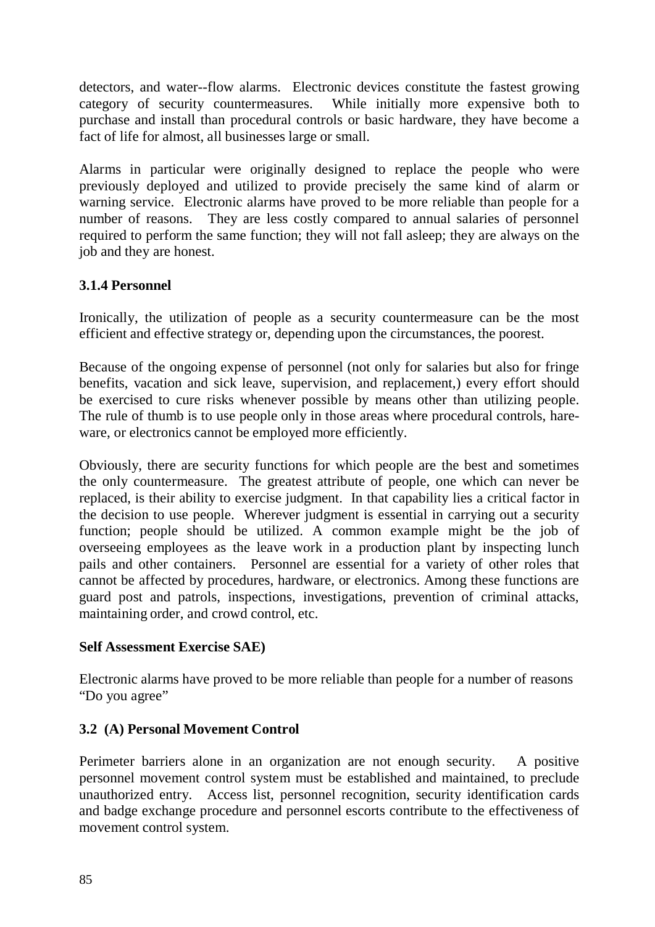detectors, and water--flow alarms. Electronic devices constitute the fastest growing category of security countermeasures. While initially more expensive both to purchase and install than procedural controls or basic hardware, they have become a fact of life for almost, all businesses large or small.

Alarms in particular were originally designed to replace the people who were previously deployed and utilized to provide precisely the same kind of alarm or warning service. Electronic alarms have proved to be more reliable than people for a number of reasons. They are less costly compared to annual salaries of personnel required to perform the same function; they will not fall asleep; they are always on the job and they are honest.

# **3.1.4 Personnel**

Ironically, the utilization of people as a security countermeasure can be the most efficient and effective strategy or, depending upon the circumstances, the poorest.

Because of the ongoing expense of personnel (not only for salaries but also for fringe benefits, vacation and sick leave, supervision, and replacement,) every effort should be exercised to cure risks whenever possible by means other than utilizing people. The rule of thumb is to use people only in those areas where procedural controls, hareware, or electronics cannot be employed more efficiently.

Obviously, there are security functions for which people are the best and sometimes the only countermeasure. The greatest attribute of people, one which can never be replaced, is their ability to exercise judgment. In that capability lies a critical factor in the decision to use people. Wherever judgment is essential in carrying out a security function; people should be utilized. A common example might be the job of overseeing employees as the leave work in a production plant by inspecting lunch pails and other containers. Personnel are essential for a variety of other roles that cannot be affected by procedures, hardware, or electronics. Among these functions are guard post and patrols, inspections, investigations, prevention of criminal attacks, maintaining order, and crowd control, etc.

#### **Self Assessment Exercise SAE)**

Electronic alarms have proved to be more reliable than people for a number of reasons "Do you agree"

# **3.2 (A) Personal Movement Control**

Perimeter barriers alone in an organization are not enough security. A positive personnel movement control system must be established and maintained, to preclude unauthorized entry. Access list, personnel recognition, security identification cards and badge exchange procedure and personnel escorts contribute to the effectiveness of movement control system.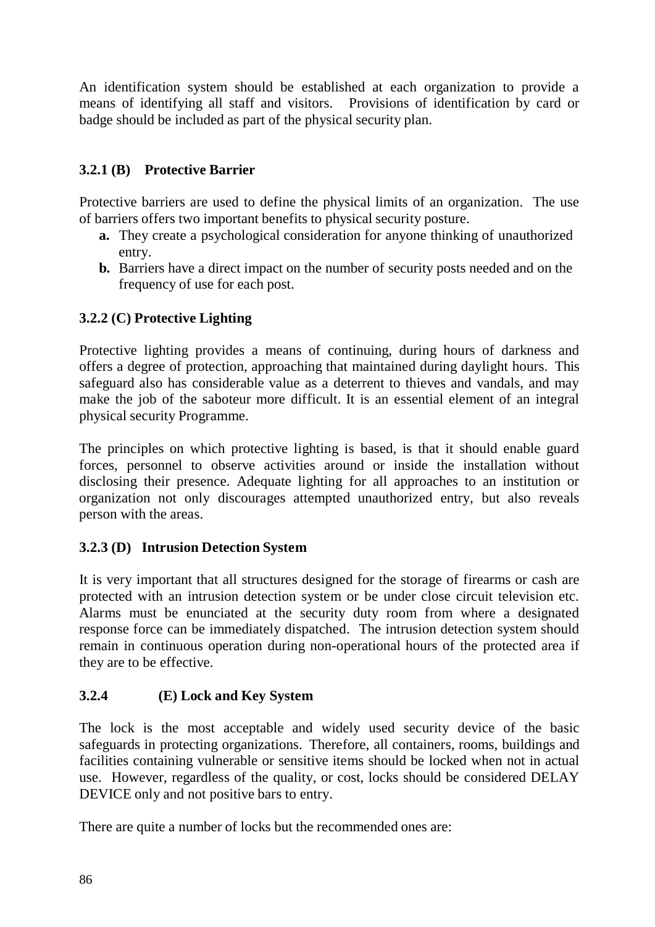An identification system should be established at each organization to provide a means of identifying all staff and visitors. Provisions of identification by card or badge should be included as part of the physical security plan.

# **3.2.1 (B) Protective Barrier**

Protective barriers are used to define the physical limits of an organization. The use of barriers offers two important benefits to physical security posture.

- **a.** They create a psychological consideration for anyone thinking of unauthorized entry.
- **b.** Barriers have a direct impact on the number of security posts needed and on the frequency of use for each post.

# **3.2.2 (C) Protective Lighting**

Protective lighting provides a means of continuing, during hours of darkness and offers a degree of protection, approaching that maintained during daylight hours. This safeguard also has considerable value as a deterrent to thieves and vandals, and may make the job of the saboteur more difficult. It is an essential element of an integral physical security Programme.

The principles on which protective lighting is based, is that it should enable guard forces, personnel to observe activities around or inside the installation without disclosing their presence. Adequate lighting for all approaches to an institution or organization not only discourages attempted unauthorized entry, but also reveals person with the areas.

# **3.2.3 (D) Intrusion Detection System**

It is very important that all structures designed for the storage of firearms or cash are protected with an intrusion detection system or be under close circuit television etc. Alarms must be enunciated at the security duty room from where a designated response force can be immediately dispatched. The intrusion detection system should remain in continuous operation during non-operational hours of the protected area if they are to be effective.

# **3.2.4 (E) Lock and Key System**

The lock is the most acceptable and widely used security device of the basic safeguards in protecting organizations. Therefore, all containers, rooms, buildings and facilities containing vulnerable or sensitive items should be locked when not in actual use. However, regardless of the quality, or cost, locks should be considered DELAY DEVICE only and not positive bars to entry.

There are quite a number of locks but the recommended ones are: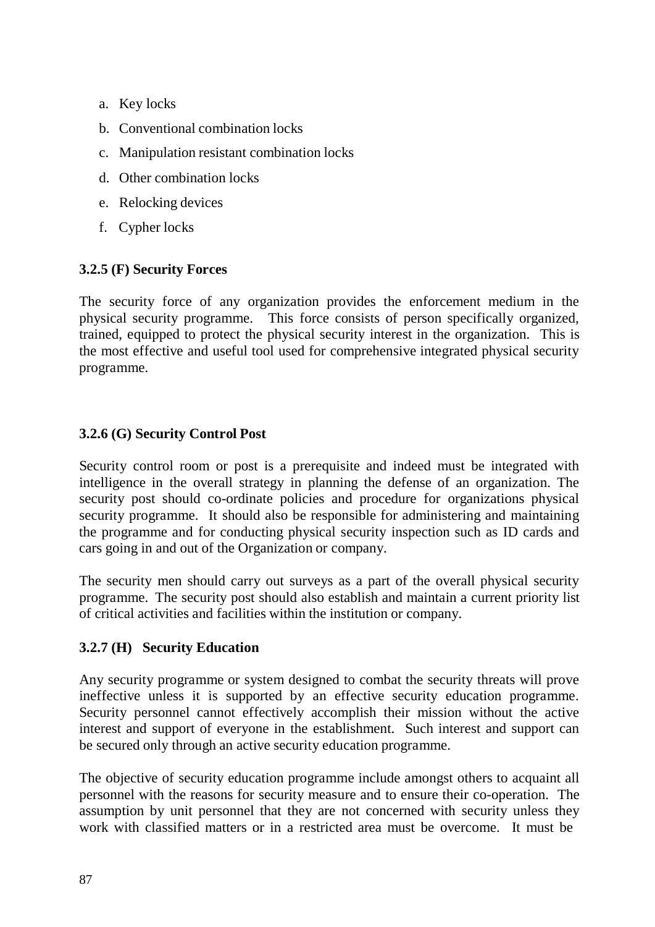- a. Key locks
- b. Conventional combination locks
- c. Manipulation resistant combination locks
- d. Other combination locks
- e. Relocking devices
- f. Cypher locks

### **3.2.5 (F) Security Forces**

The security force of any organization provides the enforcement medium in the physical security programme. This force consists of person specifically organized, trained, equipped to protect the physical security interest in the organization. This is the most effective and useful tool used for comprehensive integrated physical security programme.

### **3.2.6 (G) Security Control Post**

Security control room or post is a prerequisite and indeed must be integrated with intelligence in the overall strategy in planning the defense of an organization. The security post should co-ordinate policies and procedure for organizations physical security programme. It should also be responsible for administering and maintaining the programme and for conducting physical security inspection such as ID cards and cars going in and out of the Organization or company.

The security men should carry out surveys as a part of the overall physical security programme. The security post should also establish and maintain a current priority list of critical activities and facilities within the institution or company.

# **3.2.7 (H) Security Education**

Any security programme or system designed to combat the security threats will prove ineffective unless it is supported by an effective security education programme. Security personnel cannot effectively accomplish their mission without the active interest and support of everyone in the establishment. Such interest and support can be secured only through an active security education programme.

The objective of security education programme include amongst others to acquaint all personnel with the reasons for security measure and to ensure their co-operation. The assumption by unit personnel that they are not concerned with security unless they work with classified matters or in a restricted area must be overcome. It must be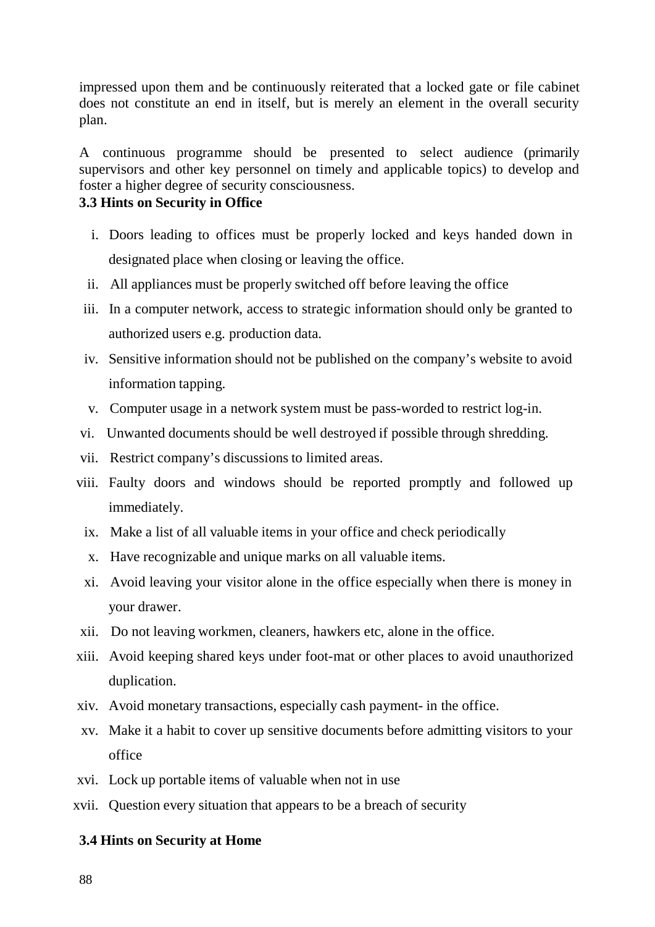impressed upon them and be continuously reiterated that a locked gate or file cabinet does not constitute an end in itself, but is merely an element in the overall security plan.

A continuous programme should be presented to select audience (primarily supervisors and other key personnel on timely and applicable topics) to develop and foster a higher degree of security consciousness.

#### **3.3 Hints on Security in Office**

- i. Doors leading to offices must be properly locked and keys handed down in designated place when closing or leaving the office.
- ii. All appliances must be properly switched off before leaving the office
- iii. In a computer network, access to strategic information should only be granted to authorized users e.g. production data.
- iv. Sensitive information should not be published on the company's website to avoid information tapping.
- v. Computer usage in a network system must be pass-worded to restrict log-in.
- vi. Unwanted documents should be well destroyed if possible through shredding.
- vii. Restrict company's discussions to limited areas.
- viii. Faulty doors and windows should be reported promptly and followed up immediately.
	- ix. Make a list of all valuable items in your office and check periodically
	- x. Have recognizable and unique marks on all valuable items.
	- xi. Avoid leaving your visitor alone in the office especially when there is money in your drawer.
- xii. Do not leaving workmen, cleaners, hawkers etc, alone in the office.
- xiii. Avoid keeping shared keys under foot-mat or other places to avoid unauthorized duplication.
- xiv. Avoid monetary transactions, especially cash payment- in the office.
- xv. Make it a habit to cover up sensitive documents before admitting visitors to your office
- xvi. Lock up portable items of valuable when not in use
- xvii. Question every situation that appears to be a breach of security

# **3.4 Hints on Security at Home**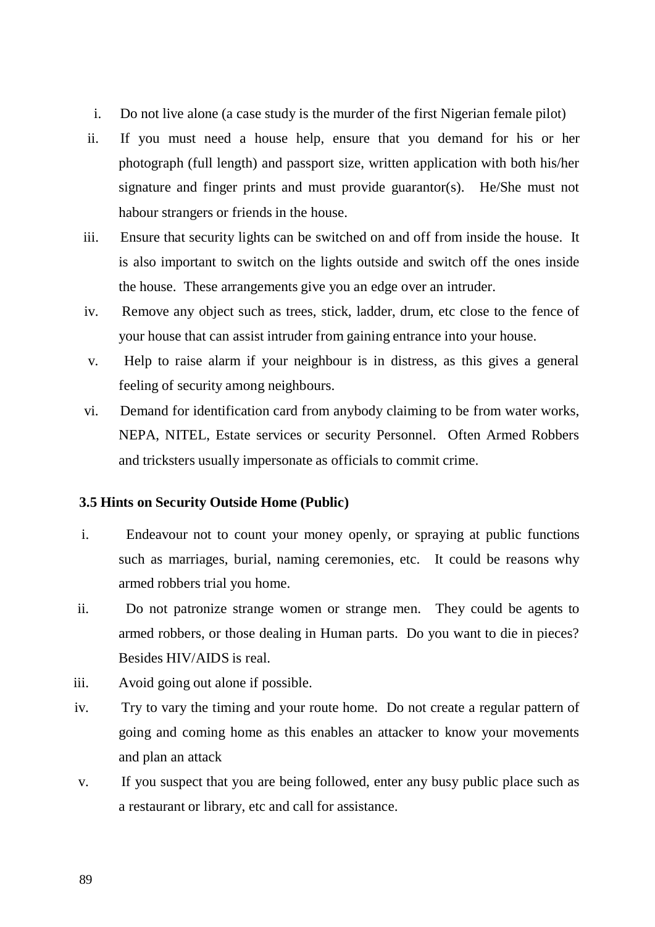- i. Do not live alone (a case study is the murder of the first Nigerian female pilot)
- ii. If you must need a house help, ensure that you demand for his or her photograph (full length) and passport size, written application with both his/her signature and finger prints and must provide guarantor(s). He/She must not habour strangers or friends in the house.
- iii. Ensure that security lights can be switched on and off from inside the house. It is also important to switch on the lights outside and switch off the ones inside the house. These arrangements give you an edge over an intruder.
- iv. Remove any object such as trees, stick, ladder, drum, etc close to the fence of your house that can assist intruder from gaining entrance into your house.
- v. Help to raise alarm if your neighbour is in distress, as this gives a general feeling of security among neighbours.
- vi. Demand for identification card from anybody claiming to be from water works, NEPA, NITEL, Estate services or security Personnel. Often Armed Robbers and tricksters usually impersonate as officials to commit crime.

#### **3.5 Hints on Security Outside Home (Public)**

- i. Endeavour not to count your money openly, or spraying at public functions such as marriages, burial, naming ceremonies, etc. It could be reasons why armed robbers trial you home.
- ii. Do not patronize strange women or strange men. They could be agents to armed robbers, or those dealing in Human parts. Do you want to die in pieces? Besides HIV/AIDS is real.
- iii. Avoid going out alone if possible.
- iv. Try to vary the timing and your route home. Do not create a regular pattern of going and coming home as this enables an attacker to know your movements and plan an attack
- v. If you suspect that you are being followed, enter any busy public place such as a restaurant or library, etc and call for assistance.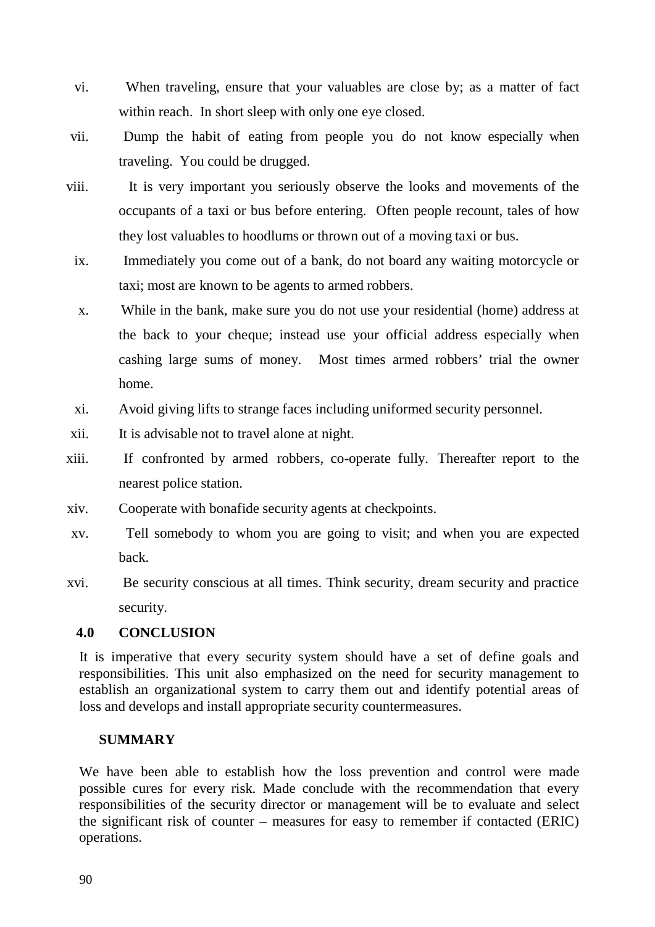- vi. When traveling, ensure that your valuables are close by; as a matter of fact within reach. In short sleep with only one eye closed.
- vii. Dump the habit of eating from people you do not know especially when traveling. You could be drugged.
- viii. It is very important you seriously observe the looks and movements of the occupants of a taxi or bus before entering. Often people recount, tales of how they lost valuables to hoodlums or thrown out of a moving taxi or bus.
	- ix. Immediately you come out of a bank, do not board any waiting motorcycle or taxi; most are known to be agents to armed robbers.
	- x. While in the bank, make sure you do not use your residential (home) address at the back to your cheque; instead use your official address especially when cashing large sums of money. Most times armed robbers' trial the owner home.
- xi. Avoid giving lifts to strange faces including uniformed security personnel.
- xii. It is advisable not to travel alone at night.
- xiii. If confronted by armed robbers, co-operate fully. Thereafter report to the nearest police station.
- xiv. Cooperate with bonafide security agents at checkpoints.
- xv. Tell somebody to whom you are going to visit; and when you are expected back.
- xvi. Be security conscious at all times. Think security, dream security and practice security.

#### **4.0 CONCLUSION**

It is imperative that every security system should have a set of define goals and responsibilities. This unit also emphasized on the need for security management to establish an organizational system to carry them out and identify potential areas of loss and develops and install appropriate security countermeasures.

#### **SUMMARY**

We have been able to establish how the loss prevention and control were made possible cures for every risk. Made conclude with the recommendation that every responsibilities of the security director or management will be to evaluate and select the significant risk of counter – measures for easy to remember if contacted (ERIC) operations.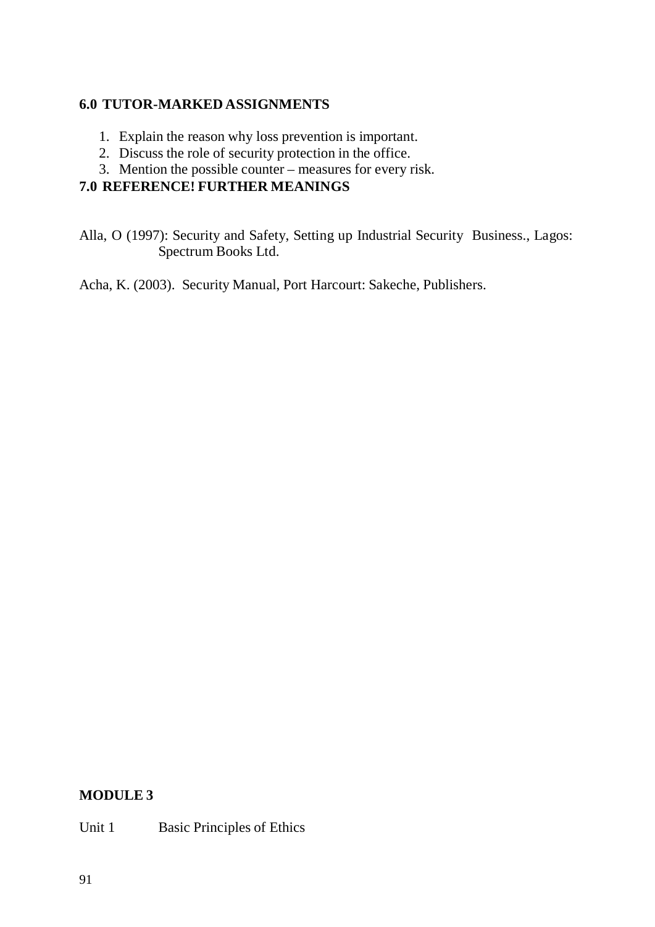#### **6.0 TUTOR-MARKED ASSIGNMENTS**

- 1. Explain the reason why loss prevention is important.
- 2. Discuss the role of security protection in the office.
- 3. Mention the possible counter measures for every risk.

# **7.0 REFERENCE! FURTHER MEANINGS**

Alla, O (1997): Security and Safety, Setting up Industrial Security Business., Lagos: Spectrum Books Ltd.

Acha, K. (2003). Security Manual, Port Harcourt: Sakeche, Publishers.

#### **MODULE 3**

Unit 1 Basic Principles of Ethics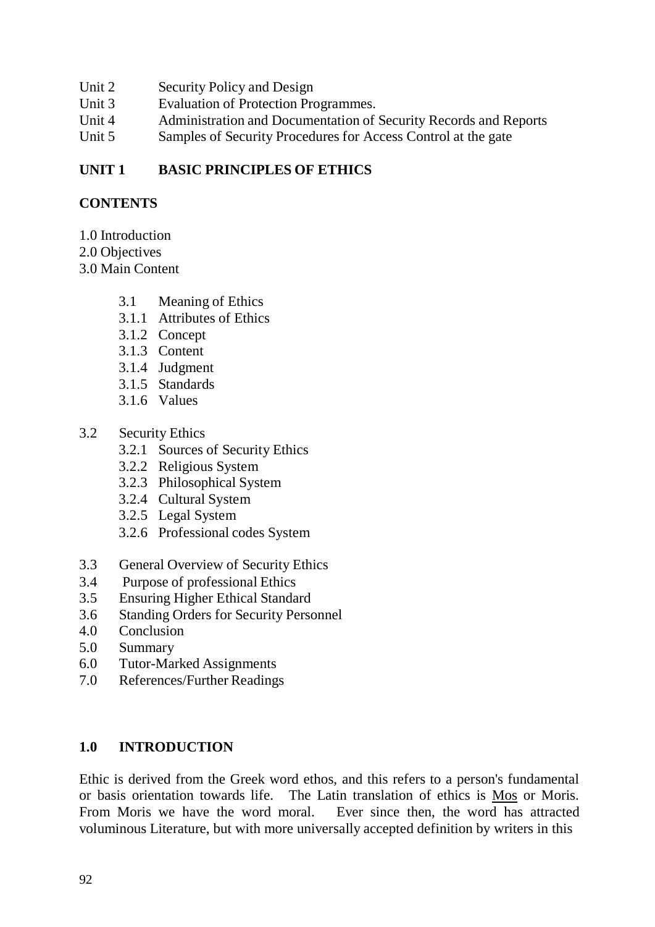- Unit 2 Security Policy and Design
- Unit 3 Evaluation of Protection Programmes.
- Unit 4 Administration and Documentation of Security Records and Reports
- Unit 5 Samples of Security Procedures for Access Control at the gate

## **UNIT 1 BASIC PRINCIPLES OF ETHICS**

#### **CONTENTS**

- 1.0 Introduction
- 2.0 Objectives
- 3.0 Main Content
	- 3.1 Meaning of Ethics
	- 3.1.1 Attributes of Ethics
	- 3.1.2 Concept
	- 3.1.3 Content
	- 3.1.4 Judgment
	- 3.1.5 Standards
	- 3.1.6 Values
- 3.2 Security Ethics
	- 3.2.1 Sources of Security Ethics
	- 3.2.2 Religious System
	- 3.2.3 Philosophical System
	- 3.2.4 Cultural System
	- 3.2.5 Legal System
	- 3.2.6 Professional codes System
- 3.3 General Overview of Security Ethics
- 3.4 Purpose of professional Ethics
- 3.5 Ensuring Higher Ethical Standard
- 3.6 Standing Orders for Security Personnel
- 4.0 Conclusion
- 5.0 Summary
- 6.0 Tutor-Marked Assignments
- 7.0 References/Further Readings

# **1.0 INTRODUCTION**

Ethic is derived from the Greek word ethos, and this refers to a person's fundamental or basis orientation towards life. The Latin translation of ethics is Mos or Moris. From Moris we have the word moral. Ever since then, the word has attracted voluminous Literature, but with more universally accepted definition by writers in this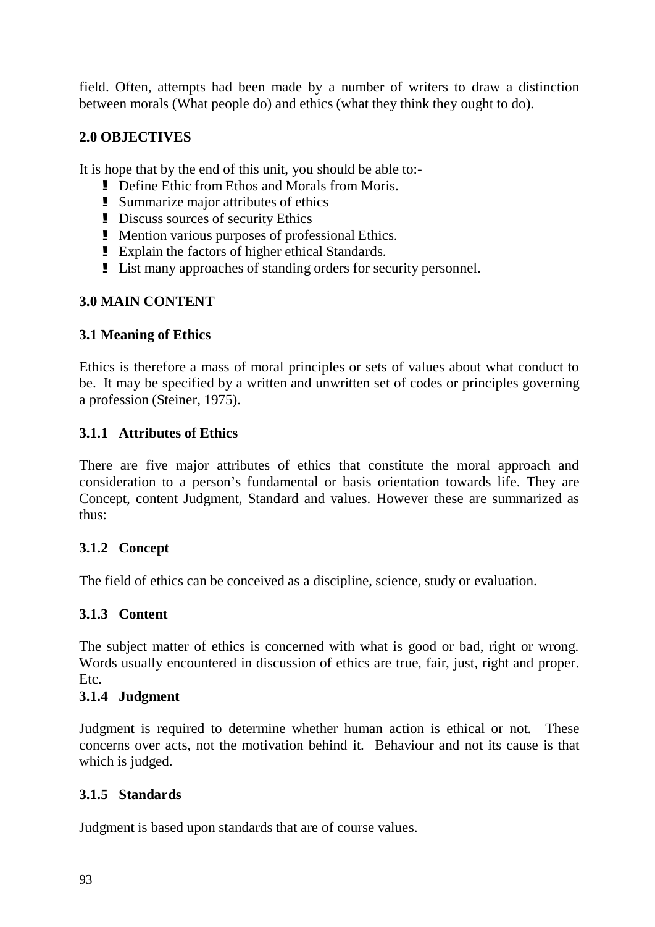field. Often, attempts had been made by a number of writers to draw a distinction between morals (What people do) and ethics (what they think they ought to do).

# **2.0 OBJECTIVES**

It is hope that by the end of this unit, you should be able to:-

- Shope that by the end of this unit, you should be able<br>
Define Ethic from Ethos and Morals from Moris.<br>
Summarize major attributes of othics. **1** Define Ethic from Ethos and Morals<br> **1** Summarize major attributes of ethics<br> **1** Discuss sources of equality Ethics
- **E** Summarize major attributes of ethics<br> **E** Discuss sources of security Ethics
- 
- **1** Discuss sources of security Ethics<br> **1** Mention various purposes of professional Ethics.<br> **1** Evaluin the fectors of bisher athical Standards. I Mention various purposes of professional Ethic<br>
Explain the factors of higher ethical Standards.
- 
- <p>■ Explain the factors of higher ethical Standards.</p>\n<p>■ List many approaches of standing orders for security personnel.</p>

# **3.0 MAIN CONTENT**

### **3.1 Meaning of Ethics**

Ethics is therefore a mass of moral principles or sets of values about what conduct to be. It may be specified by a written and unwritten set of codes or principles governing a profession (Steiner, 1975).

### **3.1.1 Attributes of Ethics**

There are five major attributes of ethics that constitute the moral approach and consideration to a person's fundamental or basis orientation towards life. They are Concept, content Judgment, Standard and values. However these are summarized as thus:

# **3.1.2 Concept**

The field of ethics can be conceived as a discipline, science, study or evaluation.

# **3.1.3 Content**

The subject matter of ethics is concerned with what is good or bad, right or wrong. Words usually encountered in discussion of ethics are true, fair, just, right and proper. Etc.

#### **3.1.4 Judgment**

Judgment is required to determine whether human action is ethical or not. These concerns over acts, not the motivation behind it. Behaviour and not its cause is that which is judged.

# **3.1.5 Standards**

Judgment is based upon standards that are of course values.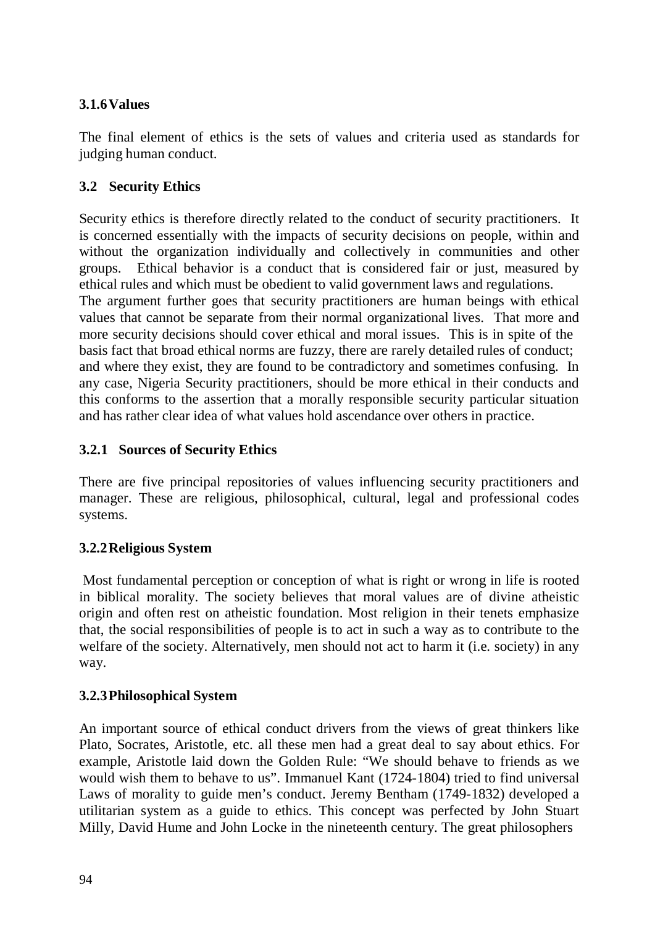# **3.1.6Values**

The final element of ethics is the sets of values and criteria used as standards for judging human conduct.

### **3.2 Security Ethics**

Security ethics is therefore directly related to the conduct of security practitioners. It is concerned essentially with the impacts of security decisions on people, within and without the organization individually and collectively in communities and other groups. Ethical behavior is a conduct that is considered fair or just, measured by ethical rules and which must be obedient to valid government laws and regulations. The argument further goes that security practitioners are human beings with ethical values that cannot be separate from their normal organizational lives. That more and more security decisions should cover ethical and moral issues. This is in spite of the basis fact that broad ethical norms are fuzzy, there are rarely detailed rules of conduct; and where they exist, they are found to be contradictory and sometimes confusing. In any case, Nigeria Security practitioners, should be more ethical in their conducts and this conforms to the assertion that a morally responsible security particular situation and has rather clear idea of what values hold ascendance over others in practice.

#### **3.2.1 Sources of Security Ethics**

There are five principal repositories of values influencing security practitioners and manager. These are religious, philosophical, cultural, legal and professional codes systems.

#### **3.2.2Religious System**

Most fundamental perception or conception of what is right or wrong in life is rooted in biblical morality. The society believes that moral values are of divine atheistic origin and often rest on atheistic foundation. Most religion in their tenets emphasize that, the social responsibilities of people is to act in such a way as to contribute to the welfare of the society. Alternatively, men should not act to harm it (*i.e.* society) in any way.

#### **3.2.3Philosophical System**

An important source of ethical conduct drivers from the views of great thinkers like Plato, Socrates, Aristotle, etc. all these men had a great deal to say about ethics. For example, Aristotle laid down the Golden Rule: "We should behave to friends as we would wish them to behave to us". Immanuel Kant (1724-1804) tried to find universal Laws of morality to guide men's conduct. Jeremy Bentham (1749-1832) developed a utilitarian system as a guide to ethics. This concept was perfected by John Stuart Milly, David Hume and John Locke in the nineteenth century. The great philosophers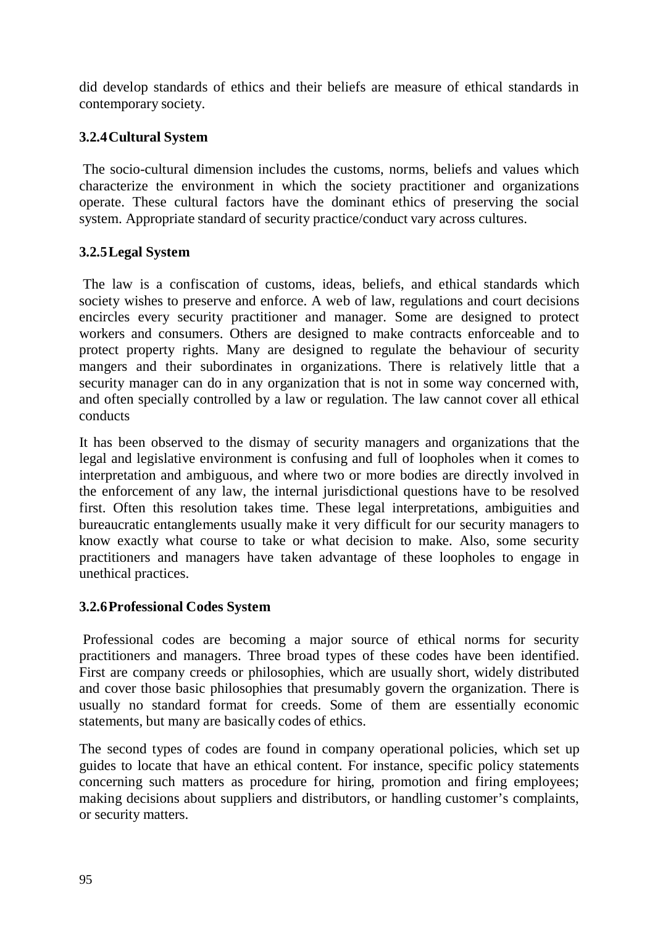did develop standards of ethics and their beliefs are measure of ethical standards in contemporary society.

# **3.2.4Cultural System**

The socio-cultural dimension includes the customs, norms, beliefs and values which characterize the environment in which the society practitioner and organizations operate. These cultural factors have the dominant ethics of preserving the social system. Appropriate standard of security practice/conduct vary across cultures.

# **3.2.5Legal System**

The law is a confiscation of customs, ideas, beliefs, and ethical standards which society wishes to preserve and enforce. A web of law, regulations and court decisions encircles every security practitioner and manager. Some are designed to protect workers and consumers. Others are designed to make contracts enforceable and to protect property rights. Many are designed to regulate the behaviour of security mangers and their subordinates in organizations. There is relatively little that a security manager can do in any organization that is not in some way concerned with, and often specially controlled by a law or regulation. The law cannot cover all ethical conducts

It has been observed to the dismay of security managers and organizations that the legal and legislative environment is confusing and full of loopholes when it comes to interpretation and ambiguous, and where two or more bodies are directly involved in the enforcement of any law, the internal jurisdictional questions have to be resolved first. Often this resolution takes time. These legal interpretations, ambiguities and bureaucratic entanglements usually make it very difficult for our security managers to know exactly what course to take or what decision to make. Also, some security practitioners and managers have taken advantage of these loopholes to engage in unethical practices.

# **3.2.6Professional Codes System**

Professional codes are becoming a major source of ethical norms for security practitioners and managers. Three broad types of these codes have been identified. First are company creeds or philosophies, which are usually short, widely distributed and cover those basic philosophies that presumably govern the organization. There is usually no standard format for creeds. Some of them are essentially economic statements, but many are basically codes of ethics.

The second types of codes are found in company operational policies, which set up guides to locate that have an ethical content. For instance, specific policy statements concerning such matters as procedure for hiring, promotion and firing employees; making decisions about suppliers and distributors, or handling customer's complaints, or security matters.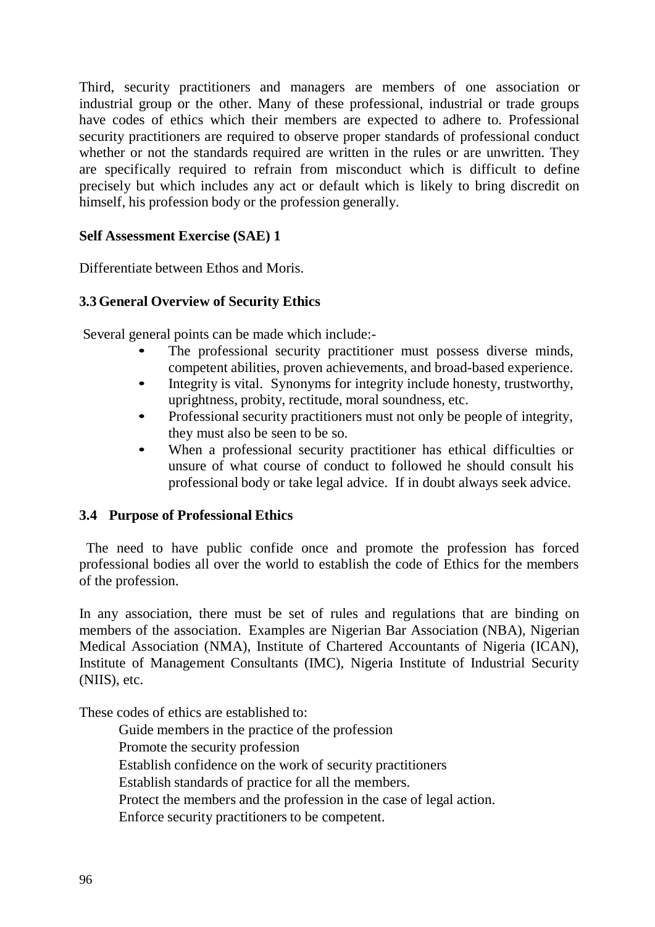Third, security practitioners and managers are members of one association or industrial group or the other. Many of these professional, industrial or trade groups have codes of ethics which their members are expected to adhere to. Professional security practitioners are required to observe proper standards of professional conduct whether or not the standards required are written in the rules or are unwritten. They are specifically required to refrain from misconduct which is difficult to define precisely but which includes any act or default which is likely to bring discredit on himself, his profession body or the profession generally.

#### **Self Assessment Exercise (SAE) 1**

Differentiate between Ethos and Moris.

### **3.3 General Overview of Security Ethics**

Several general points can be made which include:-

- The professional security practitioner must possess diverse minds, competent abilities, proven achievements, and broad-based experience.
- Integrity is vital. Synonyms for integrity include honesty, trustworthy, uprightness, probity, rectitude, moral soundness, etc.
- Professional security practitioners must not only be people of integrity, they must also be seen to be so.
- When a professional security practitioner has ethical difficulties or unsure of what course of conduct to followed he should consult his professional body or take legal advice. If in doubt always seek advice.

#### **3.4 Purpose of Professional Ethics**

The need to have public confide once and promote the profession has forced professional bodies all over the world to establish the code of Ethics for the members of the profession.

In any association, there must be set of rules and regulations that are binding on members of the association. Examples are Nigerian Bar Association (NBA), Nigerian Medical Association (NMA), Institute of Chartered Accountants of Nigeria (ICAN), Institute of Management Consultants (IMC), Nigeria Institute of Industrial Security (NIIS), etc.

These codes of ethics are established to:

Guide members in the practice of the profession Promote the security profession Establish confidence on the work of security practitioners Establish standards of practice for all the members. Protect the members and the profession in the case of legal action. Enforce security practitioners to be competent.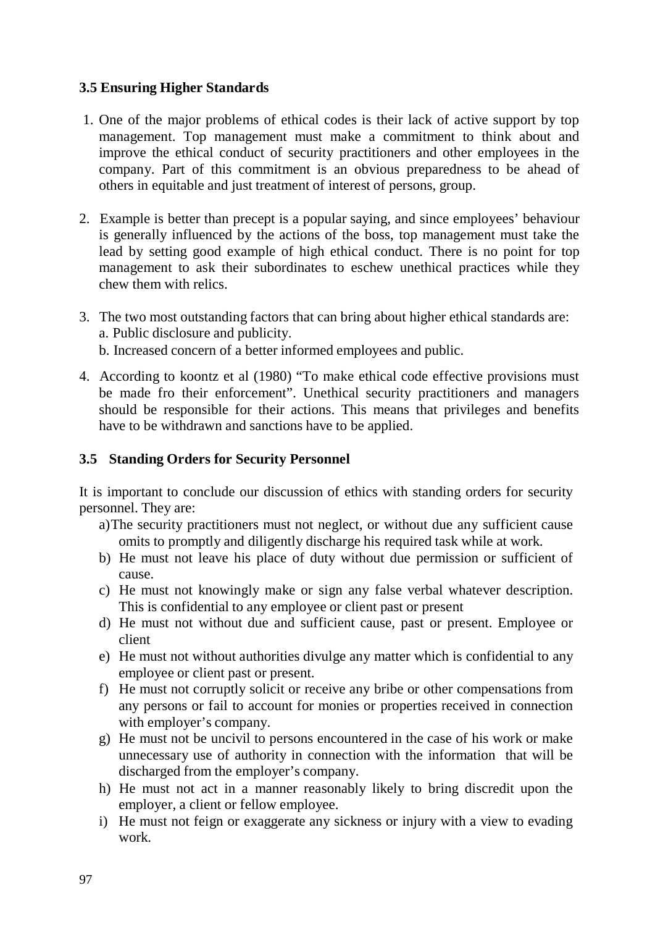#### **3.5 Ensuring Higher Standards**

- 1. One of the major problems of ethical codes is their lack of active support by top management. Top management must make a commitment to think about and improve the ethical conduct of security practitioners and other employees in the company. Part of this commitment is an obvious preparedness to be ahead of others in equitable and just treatment of interest of persons, group.
- 2. Example is better than precept is a popular saying, and since employees' behaviour is generally influenced by the actions of the boss, top management must take the lead by setting good example of high ethical conduct. There is no point for top management to ask their subordinates to eschew unethical practices while they chew them with relics.
- 3. The two most outstanding factors that can bring about higher ethical standards are: a. Public disclosure and publicity. b. Increased concern of a better informed employees and public.
- 4. According to koontz et al (1980) "To make ethical code effective provisions must be made fro their enforcement". Unethical security practitioners and managers should be responsible for their actions. This means that privileges and benefits have to be withdrawn and sanctions have to be applied.

#### **3.5 Standing Orders for Security Personnel**

It is important to conclude our discussion of ethics with standing orders for security personnel. They are:

- a)The security practitioners must not neglect, or without due any sufficient cause omits to promptly and diligently discharge his required task while at work.
- b) He must not leave his place of duty without due permission or sufficient of cause.
- c) He must not knowingly make or sign any false verbal whatever description. This is confidential to any employee or client past or present
- d) He must not without due and sufficient cause, past or present. Employee or client
- e) He must not without authorities divulge any matter which is confidential to any employee or client past or present.
- f) He must not corruptly solicit or receive any bribe or other compensations from any persons or fail to account for monies or properties received in connection with employer's company.
- g) He must not be uncivil to persons encountered in the case of his work or make unnecessary use of authority in connection with the information that will be discharged from the employer's company.
- h) He must not act in a manner reasonably likely to bring discredit upon the employer, a client or fellow employee.
- i) He must not feign or exaggerate any sickness or injury with a view to evading work.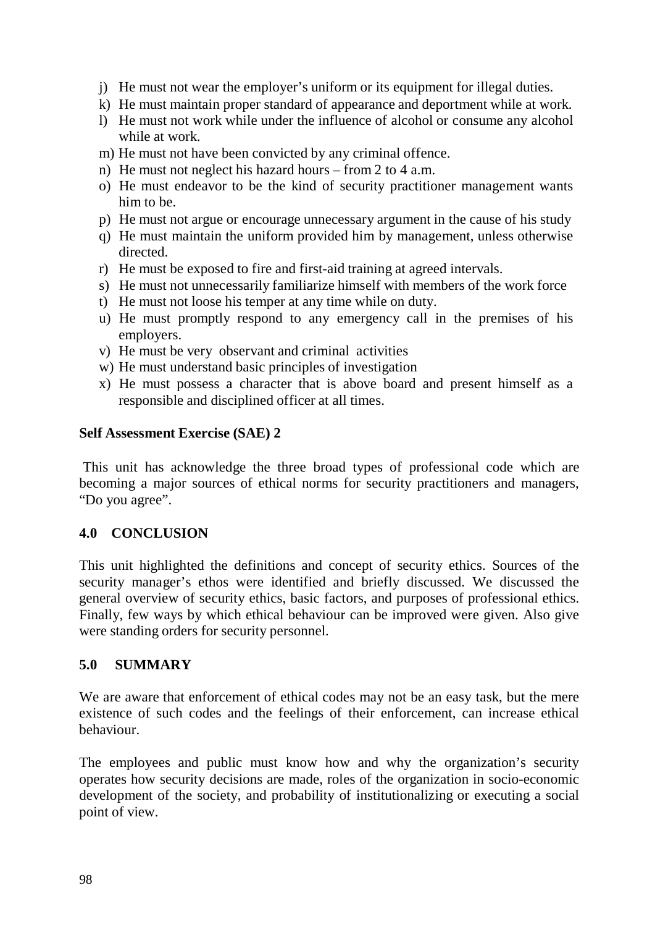- j) He must not wear the employer's uniform or its equipment for illegal duties.
- k) He must maintain proper standard of appearance and deportment while at work.
- l) He must not work while under the influence of alcohol or consume any alcohol while at work.
- m) He must not have been convicted by any criminal offence.
- n) He must not neglect his hazard hours from 2 to 4 a.m.
- o) He must endeavor to be the kind of security practitioner management wants him to be.
- p) He must not argue or encourage unnecessary argument in the cause of his study
- q) He must maintain the uniform provided him by management, unless otherwise directed.
- r) He must be exposed to fire and first-aid training at agreed intervals.
- s) He must not unnecessarily familiarize himself with members of the work force
- t) He must not loose his temper at any time while on duty.
- u) He must promptly respond to any emergency call in the premises of his employers.
- v) He must be very observant and criminal activities
- w) He must understand basic principles of investigation
- x) He must possess a character that is above board and present himself as a responsible and disciplined officer at all times.

#### **Self Assessment Exercise (SAE) 2**

This unit has acknowledge the three broad types of professional code which are becoming a major sources of ethical norms for security practitioners and managers, "Do you agree".

#### **4.0 CONCLUSION**

This unit highlighted the definitions and concept of security ethics. Sources of the security manager's ethos were identified and briefly discussed. We discussed the general overview of security ethics, basic factors, and purposes of professional ethics. Finally, few ways by which ethical behaviour can be improved were given. Also give were standing orders for security personnel.

#### **5.0 SUMMARY**

We are aware that enforcement of ethical codes may not be an easy task, but the mere existence of such codes and the feelings of their enforcement, can increase ethical behaviour.

The employees and public must know how and why the organization's security operates how security decisions are made, roles of the organization in socio-economic development of the society, and probability of institutionalizing or executing a social point of view.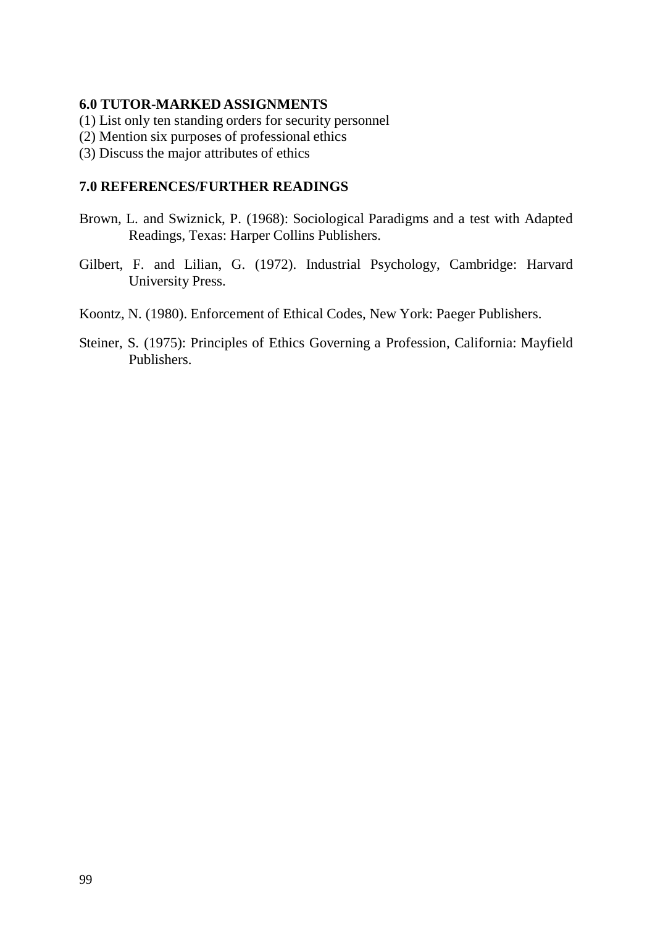#### **6.0 TUTOR-MARKED ASSIGNMENTS**

- (1) List only ten standing orders for security personnel
- (2) Mention six purposes of professional ethics
- (3) Discuss the major attributes of ethics

#### **7.0 REFERENCES/FURTHER READINGS**

- Brown, L. and Swiznick, P. (1968): Sociological Paradigms and a test with Adapted Readings, Texas: Harper Collins Publishers.
- Gilbert, F. and Lilian, G. (1972). Industrial Psychology, Cambridge: Harvard University Press.
- Koontz, N. (1980). Enforcement of Ethical Codes, New York: Paeger Publishers.
- Steiner, S. (1975): Principles of Ethics Governing a Profession, California: Mayfield Publishers.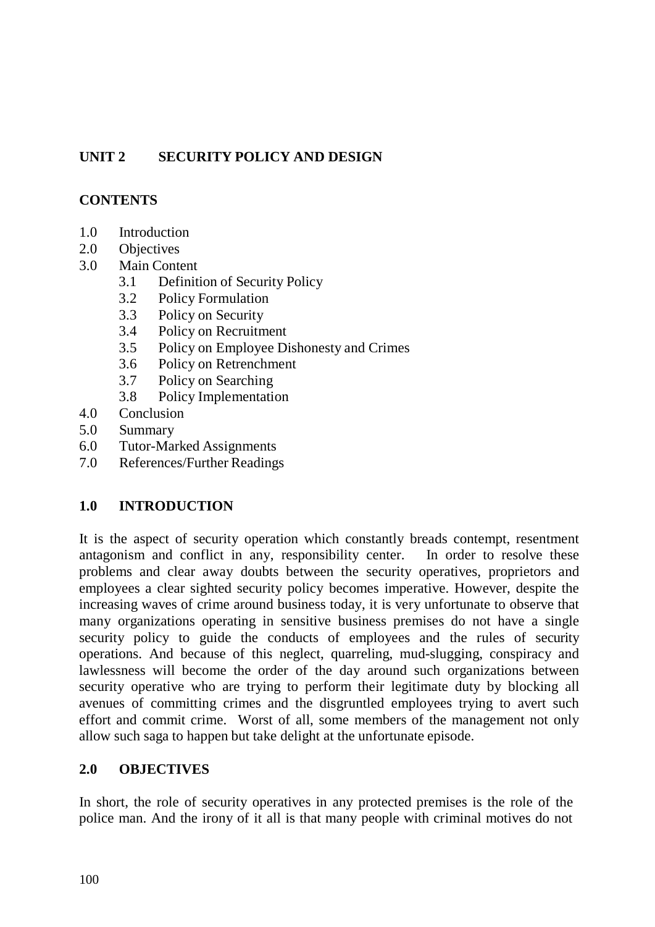# **UNIT 2 SECURITY POLICY AND DESIGN**

# **CONTENTS**

- 1.0 Introduction
- 2.0 Objectives
- 3.0 Main Content
	- 3.1 Definition of Security Policy
	- 3.2 Policy Formulation
	- 3.3 Policy on Security
	- 3.4 Policy on Recruitment
	- 3.5 Policy on Employee Dishonesty and Crimes
	- 3.6 Policy on Retrenchment
	- 3.7 Policy on Searching
	- 3.8 Policy Implementation
- 4.0 Conclusion
- 5.0 Summary
- 6.0 Tutor-Marked Assignments
- 7.0 References/Further Readings

# **1.0 INTRODUCTION**

It is the aspect of security operation which constantly breads contempt, resentment antagonism and conflict in any, responsibility center. In order to resolve these problems and clear away doubts between the security operatives, proprietors and employees a clear sighted security policy becomes imperative. However, despite the increasing waves of crime around business today, it is very unfortunate to observe that many organizations operating in sensitive business premises do not have a single security policy to guide the conducts of employees and the rules of security operations. And because of this neglect, quarreling, mud-slugging, conspiracy and lawlessness will become the order of the day around such organizations between security operative who are trying to perform their legitimate duty by blocking all avenues of committing crimes and the disgruntled employees trying to avert such effort and commit crime. Worst of all, some members of the management not only allow such saga to happen but take delight at the unfortunate episode.

# **2.0 OBJECTIVES**

In short, the role of security operatives in any protected premises is the role of the police man. And the irony of it all is that many people with criminal motives do not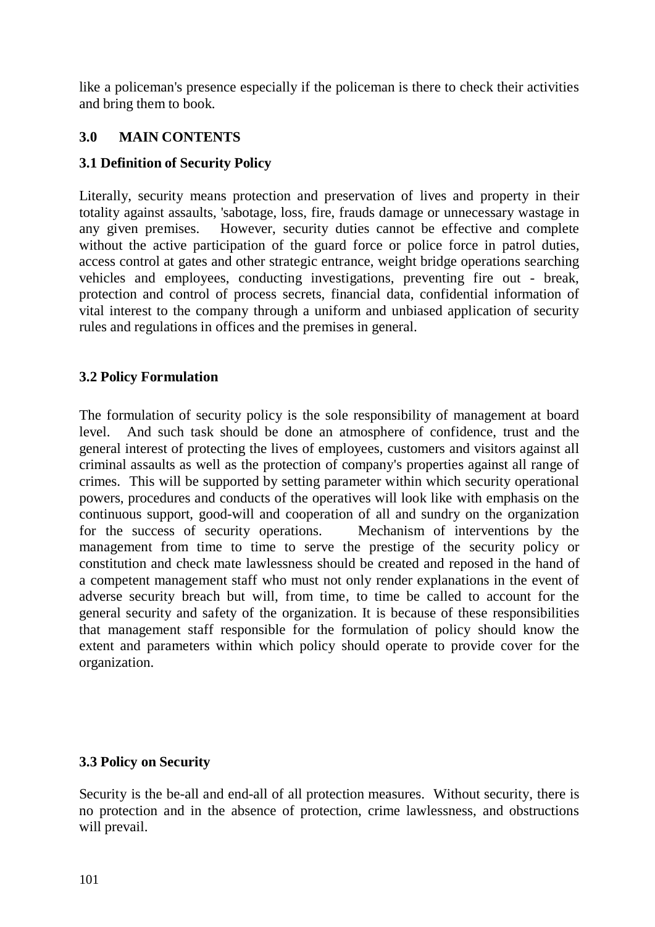like a policeman's presence especially if the policeman is there to check their activities and bring them to book.

# **3.0 MAIN CONTENTS**

# **3.1 Definition of Security Policy**

Literally, security means protection and preservation of lives and property in their totality against assaults, 'sabotage, loss, fire, frauds damage or unnecessary wastage in any given premises. However, security duties cannot be effective and complete without the active participation of the guard force or police force in patrol duties, access control at gates and other strategic entrance, weight bridge operations searching vehicles and employees, conducting investigations, preventing fire out - break, protection and control of process secrets, financial data, confidential information of vital interest to the company through a uniform and unbiased application of security rules and regulations in offices and the premises in general.

# **3.2 Policy Formulation**

The formulation of security policy is the sole responsibility of management at board level. And such task should be done an atmosphere of confidence, trust and the general interest of protecting the lives of employees, customers and visitors against all criminal assaults as well as the protection of company's properties against all range of crimes. This will be supported by setting parameter within which security operational powers, procedures and conducts of the operatives will look like with emphasis on the continuous support, good-will and cooperation of all and sundry on the organization for the success of security operations. Mechanism of interventions by the management from time to time to serve the prestige of the security policy or constitution and check mate lawlessness should be created and reposed in the hand of a competent management staff who must not only render explanations in the event of adverse security breach but will, from time, to time be called to account for the general security and safety of the organization. It is because of these responsibilities that management staff responsible for the formulation of policy should know the extent and parameters within which policy should operate to provide cover for the organization.

# **3.3 Policy on Security**

Security is the be-all and end-all of all protection measures. Without security, there is no protection and in the absence of protection, crime lawlessness, and obstructions will prevail.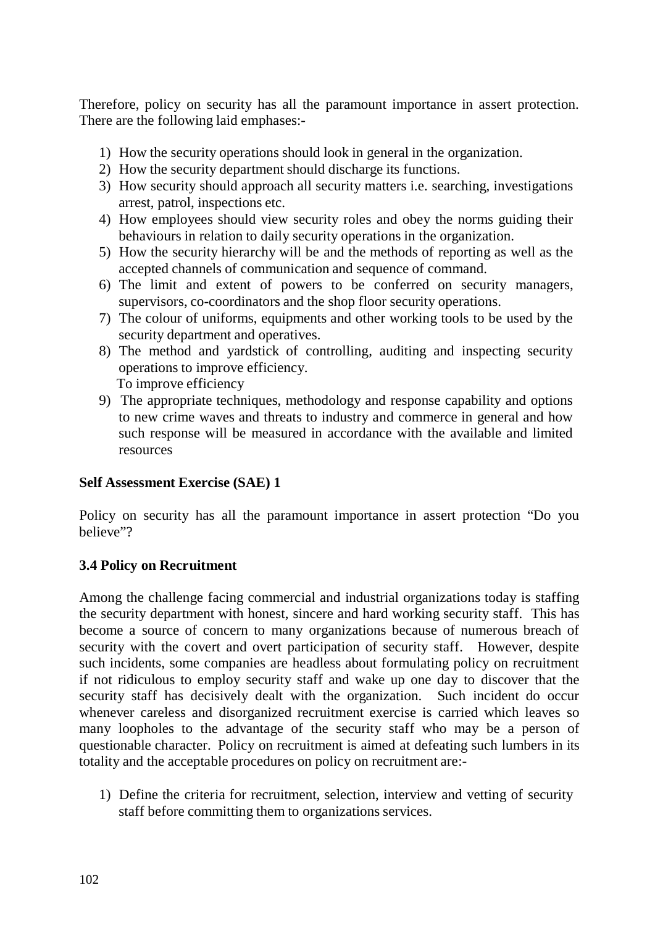Therefore, policy on security has all the paramount importance in assert protection. There are the following laid emphases:-

- 1) How the security operations should look in general in the organization.
- 2) How the security department should discharge its functions.
- 3) How security should approach all security matters i.e. searching, investigations arrest, patrol, inspections etc.
- 4) How employees should view security roles and obey the norms guiding their behaviours in relation to daily security operations in the organization.
- 5) How the security hierarchy will be and the methods of reporting as well as the accepted channels of communication and sequence of command.
- 6) The limit and extent of powers to be conferred on security managers, supervisors, co-coordinators and the shop floor security operations.
- 7) The colour of uniforms, equipments and other working tools to be used by the security department and operatives.
- 8) The method and yardstick of controlling, auditing and inspecting security operations to improve efficiency.

To improve efficiency

9) The appropriate techniques, methodology and response capability and options to new crime waves and threats to industry and commerce in general and how such response will be measured in accordance with the available and limited resources

#### **Self Assessment Exercise (SAE) 1**

Policy on security has all the paramount importance in assert protection "Do you believe"?

# **3.4 Policy on Recruitment**

Among the challenge facing commercial and industrial organizations today is staffing the security department with honest, sincere and hard working security staff. This has become a source of concern to many organizations because of numerous breach of security with the covert and overt participation of security staff. However, despite such incidents, some companies are headless about formulating policy on recruitment if not ridiculous to employ security staff and wake up one day to discover that the security staff has decisively dealt with the organization. Such incident do occur whenever careless and disorganized recruitment exercise is carried which leaves so many loopholes to the advantage of the security staff who may be a person of questionable character. Policy on recruitment is aimed at defeating such lumbers in its totality and the acceptable procedures on policy on recruitment are:-

1) Define the criteria for recruitment, selection, interview and vetting of security staff before committing them to organizations services.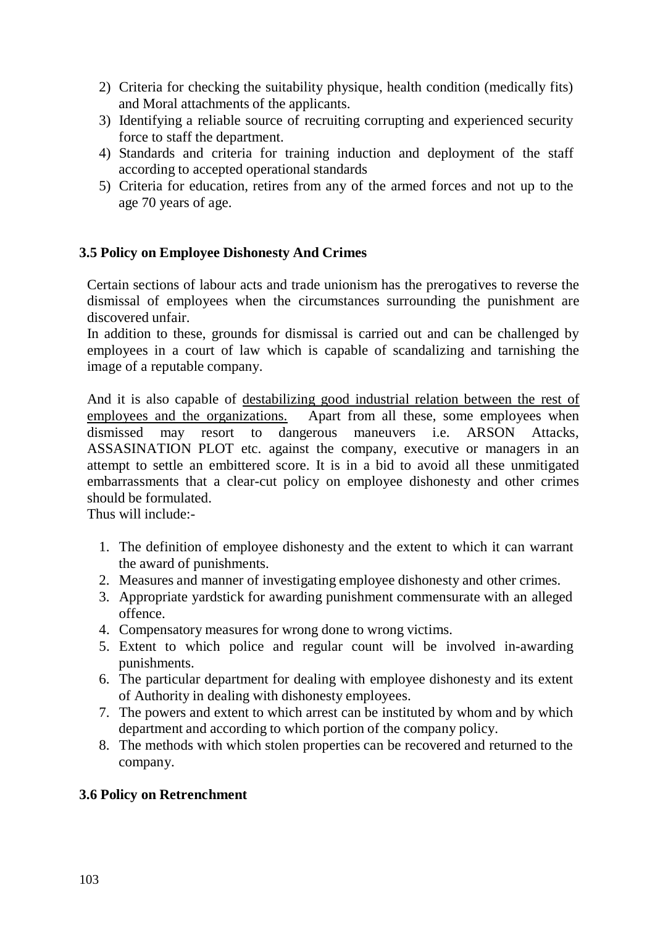- 2) Criteria for checking the suitability physique, health condition (medically fits) and Moral attachments of the applicants.
- 3) Identifying a reliable source of recruiting corrupting and experienced security force to staff the department.
- 4) Standards and criteria for training induction and deployment of the staff according to accepted operational standards
- 5) Criteria for education, retires from any of the armed forces and not up to the age 70 years of age.

### **3.5 Policy on Employee Dishonesty And Crimes**

Certain sections of labour acts and trade unionism has the prerogatives to reverse the dismissal of employees when the circumstances surrounding the punishment are discovered unfair.

In addition to these, grounds for dismissal is carried out and can be challenged by employees in a court of law which is capable of scandalizing and tarnishing the image of a reputable company.

And it is also capable of destabilizing good industrial relation between the rest of employees and the organizations. Apart from all these, some employees when dismissed may resort to dangerous maneuvers i.e. ARSON Attacks, ASSASINATION PLOT etc. against the company, executive or managers in an attempt to settle an embittered score. It is in a bid to avoid all these unmitigated embarrassments that a clear-cut policy on employee dishonesty and other crimes should be formulated.

Thus will include:-

- 1. The definition of employee dishonesty and the extent to which it can warrant the award of punishments.
- 2. Measures and manner of investigating employee dishonesty and other crimes.
- 3. Appropriate yardstick for awarding punishment commensurate with an alleged offence.
- 4. Compensatory measures for wrong done to wrong victims.
- 5. Extent to which police and regular count will be involved in-awarding punishments.
- 6. The particular department for dealing with employee dishonesty and its extent of Authority in dealing with dishonesty employees.
- 7. The powers and extent to which arrest can be instituted by whom and by which department and according to which portion of the company policy.
- 8. The methods with which stolen properties can be recovered and returned to the company.

#### **3.6 Policy on Retrenchment**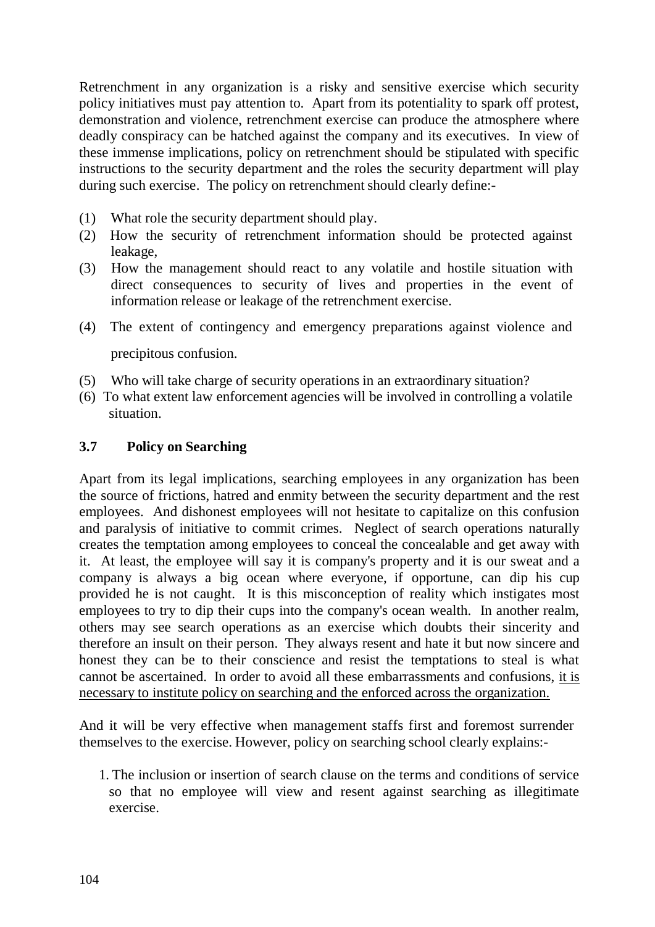Retrenchment in any organization is a risky and sensitive exercise which security policy initiatives must pay attention to. Apart from its potentiality to spark off protest, demonstration and violence, retrenchment exercise can produce the atmosphere where deadly conspiracy can be hatched against the company and its executives. In view of these immense implications, policy on retrenchment should be stipulated with specific instructions to the security department and the roles the security department will play during such exercise. The policy on retrenchment should clearly define:-

- (1) What role the security department should play.
- (2) How the security of retrenchment information should be protected against leakage,
- (3) How the management should react to any volatile and hostile situation with direct consequences to security of lives and properties in the event of information release or leakage of the retrenchment exercise.
- (4) The extent of contingency and emergency preparations against violence and precipitous confusion.
- (5) Who will take charge of security operations in an extraordinary situation?
- (6) To what extent law enforcement agencies will be involved in controlling a volatile situation.

#### **3.7 Policy on Searching**

Apart from its legal implications, searching employees in any organization has been the source of frictions, hatred and enmity between the security department and the rest employees. And dishonest employees will not hesitate to capitalize on this confusion and paralysis of initiative to commit crimes. Neglect of search operations naturally creates the temptation among employees to conceal the concealable and get away with it. At least, the employee will say it is company's property and it is our sweat and a company is always a big ocean where everyone, if opportune, can dip his cup provided he is not caught. It is this misconception of reality which instigates most employees to try to dip their cups into the company's ocean wealth. In another realm, others may see search operations as an exercise which doubts their sincerity and therefore an insult on their person. They always resent and hate it but now sincere and honest they can be to their conscience and resist the temptations to steal is what cannot be ascertained. In order to avoid all these embarrassments and confusions, it is necessary to institute policy on searching and the enforced across the organization.

And it will be very effective when management staffs first and foremost surrender themselves to the exercise. However, policy on searching school clearly explains:-

1. The inclusion or insertion of search clause on the terms and conditions of service so that no employee will view and resent against searching as illegitimate exercise.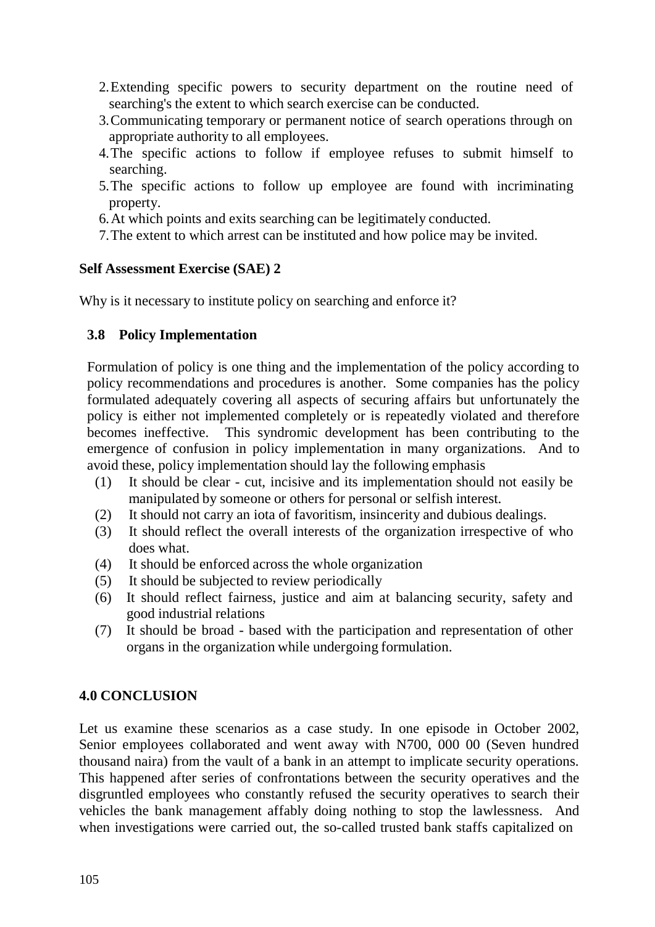- 2.Extending specific powers to security department on the routine need of searching's the extent to which search exercise can be conducted.
- 3.Communicating temporary or permanent notice of search operations through on appropriate authority to all employees.
- 4.The specific actions to follow if employee refuses to submit himself to searching.
- 5.The specific actions to follow up employee are found with incriminating property.
- 6.At which points and exits searching can be legitimately conducted.
- 7.The extent to which arrest can be instituted and how police may be invited.

#### **Self Assessment Exercise (SAE) 2**

Why is it necessary to institute policy on searching and enforce it?

#### **3.8 Policy Implementation**

Formulation of policy is one thing and the implementation of the policy according to policy recommendations and procedures is another. Some companies has the policy formulated adequately covering all aspects of securing affairs but unfortunately the policy is either not implemented completely or is repeatedly violated and therefore becomes ineffective. This syndromic development has been contributing to the emergence of confusion in policy implementation in many organizations. And to avoid these, policy implementation should lay the following emphasis

- (1) It should be clear cut, incisive and its implementation should not easily be manipulated by someone or others for personal or selfish interest.
- (2) It should not carry an iota of favoritism, insincerity and dubious dealings.
- (3) It should reflect the overall interests of the organization irrespective of who does what.
- (4) It should be enforced across the whole organization
- (5) It should be subjected to review periodically
- (6) It should reflect fairness, justice and aim at balancing security, safety and good industrial relations
- (7) It should be broad based with the participation and representation of other organs in the organization while undergoing formulation.

#### **4.0 CONCLUSION**

Let us examine these scenarios as a case study. In one episode in October 2002, Senior employees collaborated and went away with N700, 000 00 (Seven hundred thousand naira) from the vault of a bank in an attempt to implicate security operations. This happened after series of confrontations between the security operatives and the disgruntled employees who constantly refused the security operatives to search their vehicles the bank management affably doing nothing to stop the lawlessness. And when investigations were carried out, the so-called trusted bank staffs capitalized on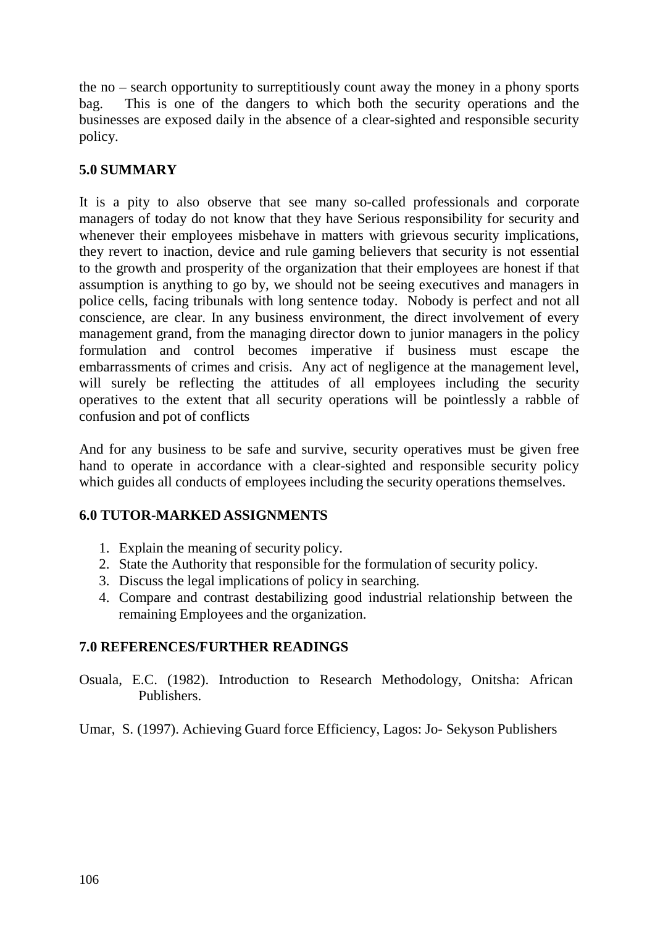the no – search opportunity to surreptitiously count away the money in a phony sports bag. This is one of the dangers to which both the security operations and the businesses are exposed daily in the absence of a clear-sighted and responsible security policy.

## **5.0 SUMMARY**

It is a pity to also observe that see many so-called professionals and corporate managers of today do not know that they have Serious responsibility for security and whenever their employees misbehave in matters with grievous security implications, they revert to inaction, device and rule gaming believers that security is not essential to the growth and prosperity of the organization that their employees are honest if that assumption is anything to go by, we should not be seeing executives and managers in police cells, facing tribunals with long sentence today. Nobody is perfect and not all conscience, are clear. In any business environment, the direct involvement of every management grand, from the managing director down to junior managers in the policy formulation and control becomes imperative if business must escape the embarrassments of crimes and crisis. Any act of negligence at the management level, will surely be reflecting the attitudes of all employees including the security operatives to the extent that all security operations will be pointlessly a rabble of confusion and pot of conflicts

And for any business to be safe and survive, security operatives must be given free hand to operate in accordance with a clear-sighted and responsible security policy which guides all conducts of employees including the security operations themselves.

# **6.0 TUTOR-MARKED ASSIGNMENTS**

- 1. Explain the meaning of security policy.
- 2. State the Authority that responsible for the formulation of security policy.
- 3. Discuss the legal implications of policy in searching.
- 4. Compare and contrast destabilizing good industrial relationship between the remaining Employees and the organization.

# **7.0 REFERENCES/FURTHER READINGS**

Osuala, E.C. (1982). Introduction to Research Methodology, Onitsha: African Publishers.

Umar, S. (1997). Achieving Guard force Efficiency, Lagos: Jo- Sekyson Publishers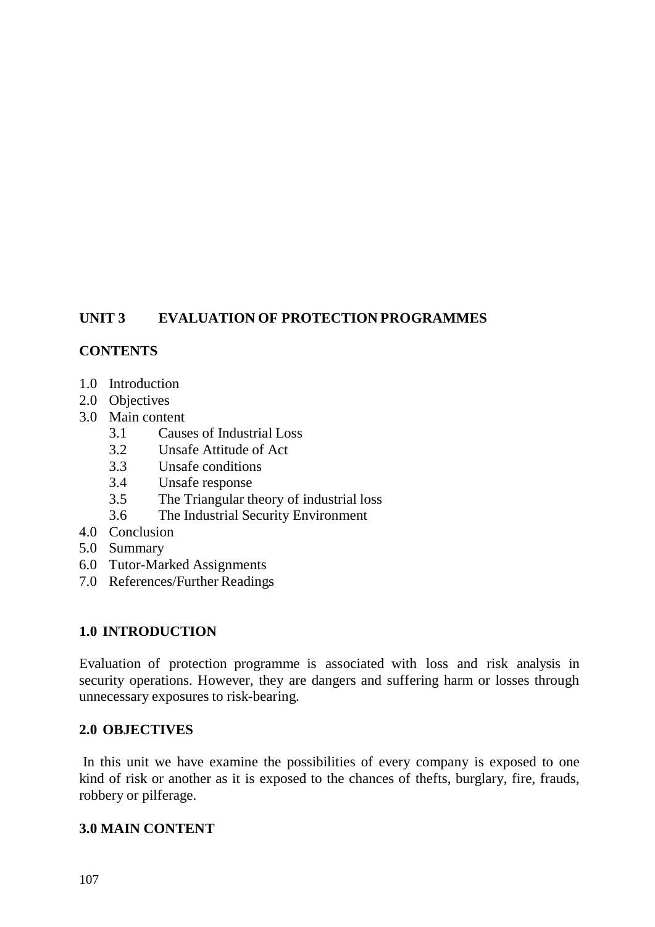# **UNIT 3 EVALUATION OF PROTECTION PROGRAMMES**

### **CONTENTS**

- 1.0 Introduction
- 2.0 Objectives
- 3.0 Main content
	- 3.1 Causes of Industrial Loss
	- 3.2 Unsafe Attitude of Act
	- 3.3 Unsafe conditions
	- 3.4 Unsafe response
	- 3.5 The Triangular theory of industrial loss
	- 3.6 The Industrial Security Environment
- 4.0 Conclusion
- 5.0 Summary
- 6.0 Tutor-Marked Assignments
- 7.0 References/Further Readings

#### **1.0 INTRODUCTION**

Evaluation of protection programme is associated with loss and risk analysis in security operations. However, they are dangers and suffering harm or losses through unnecessary exposures to risk-bearing.

#### **2.0 OBJECTIVES**

In this unit we have examine the possibilities of every company is exposed to one kind of risk or another as it is exposed to the chances of thefts, burglary, fire, frauds, robbery or pilferage.

#### **3.0 MAIN CONTENT**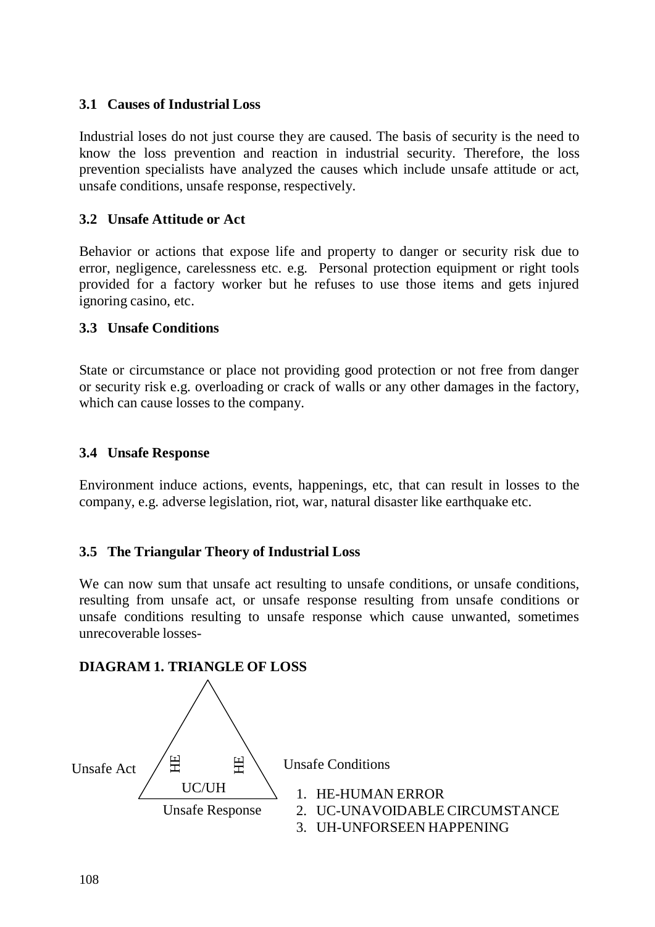#### **3.1 Causes of Industrial Loss**

Industrial loses do not just course they are caused. The basis of security is the need to know the loss prevention and reaction in industrial security. Therefore, the loss prevention specialists have analyzed the causes which include unsafe attitude or act, unsafe conditions, unsafe response, respectively.

### **3.2 Unsafe Attitude or Act**

Behavior or actions that expose life and property to danger or security risk due to error, negligence, carelessness etc. e.g. Personal protection equipment or right tools provided for a factory worker but he refuses to use those items and gets injured ignoring casino, etc.

#### **3.3 Unsafe Conditions**

State or circumstance or place not providing good protection or not free from danger or security risk e.g. overloading or crack of walls or any other damages in the factory, which can cause losses to the company.

#### **3.4 Unsafe Response**

Environment induce actions, events, happenings, etc, that can result in losses to the company, e.g. adverse legislation, riot, war, natural disaster like earthquake etc.

#### **3.5 The Triangular Theory of Industrial Loss**

We can now sum that unsafe act resulting to unsafe conditions, or unsafe conditions, resulting from unsafe act, or unsafe response resulting from unsafe conditions or unsafe conditions resulting to unsafe response which cause unwanted, sometimes unrecoverable losses-



#### **DIAGRAM 1. TRIANGLE OF LOSS**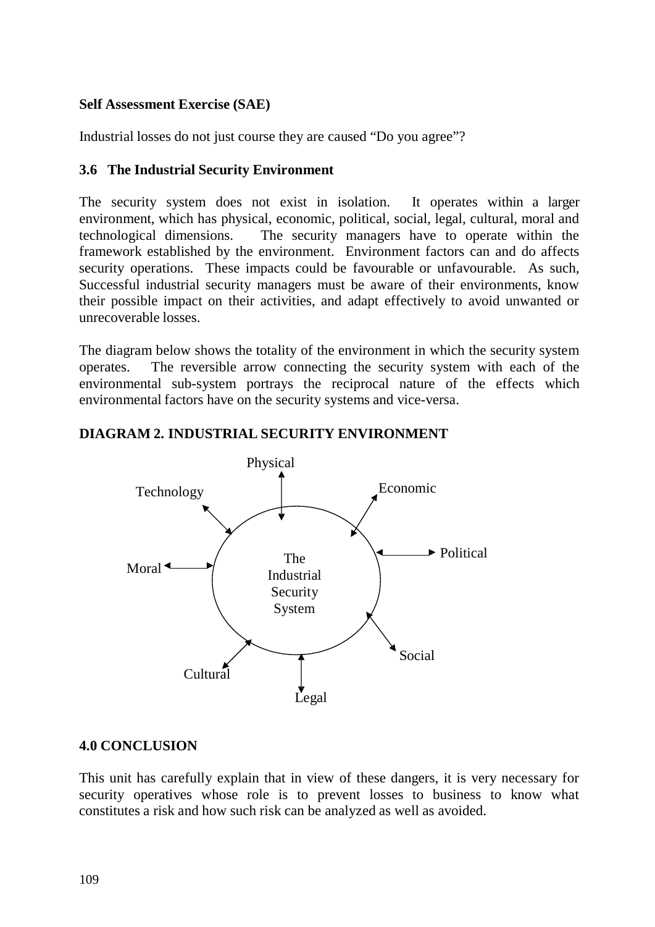## **Self Assessment Exercise (SAE)**

Industrial losses do not just course they are caused "Do you agree"?

## **3.6 The Industrial Security Environment**

The security system does not exist in isolation. It operates within a larger environment, which has physical, economic, political, social, legal, cultural, moral and technological dimensions. The security managers have to operate within the framework established by the environment. Environment factors can and do affects security operations. These impacts could be favourable or unfavourable. As such, Successful industrial security managers must be aware of their environments, know their possible impact on their activities, and adapt effectively to avoid unwanted or unrecoverable losses.

The diagram below shows the totality of the environment in which the security system operates. The reversible arrow connecting the security system with each of the environmental sub-system portrays the reciprocal nature of the effects which environmental factors have on the security systems and vice-versa.



## **DIAGRAM 2. INDUSTRIAL SECURITY ENVIRONMENT**

### **4.0 CONCLUSION**

This unit has carefully explain that in view of these dangers, it is very necessary for security operatives whose role is to prevent losses to business to know what constitutes a risk and how such risk can be analyzed as well as avoided.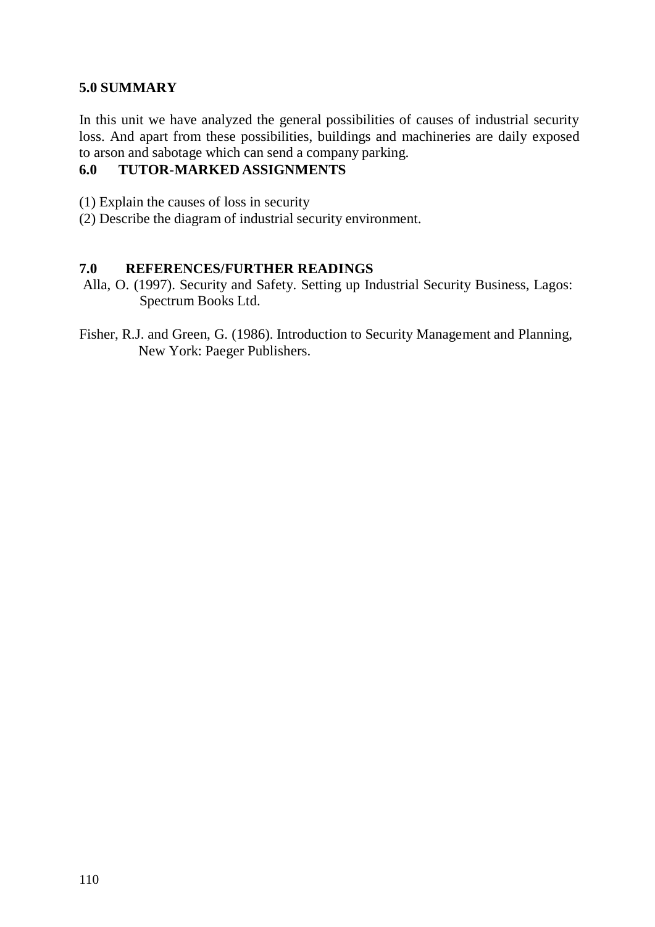## **5.0 SUMMARY**

In this unit we have analyzed the general possibilities of causes of industrial security loss. And apart from these possibilities, buildings and machineries are daily exposed to arson and sabotage which can send a company parking.

### **6.0 TUTOR-MARKED ASSIGNMENTS**

- (1) Explain the causes of loss in security
- (2) Describe the diagram of industrial security environment.

#### **7.0 REFERENCES/FURTHER READINGS**

- Alla, O. (1997). Security and Safety. Setting up Industrial Security Business, Lagos: Spectrum Books Ltd.
- Fisher, R.J. and Green, G. (1986). Introduction to Security Management and Planning, New York: Paeger Publishers.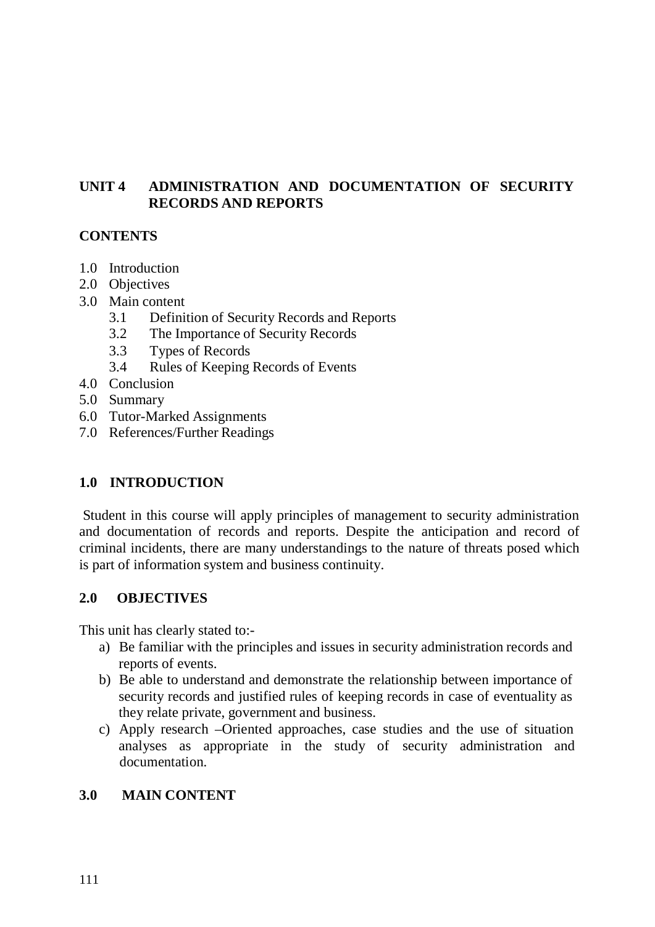# **UNIT 4 ADMINISTRATION AND DOCUMENTATION OF SECURITY RECORDS AND REPORTS**

## **CONTENTS**

- 1.0 Introduction
- 2.0 Objectives
- 3.0 Main content
	- 3.1 Definition of Security Records and Reports
	- 3.2 The Importance of Security Records
	- 3.3 Types of Records
	- 3.4 Rules of Keeping Records of Events
- 4.0 Conclusion
- 5.0 Summary
- 6.0 Tutor-Marked Assignments
- 7.0 References/Further Readings

### **1.0 INTRODUCTION**

Student in this course will apply principles of management to security administration and documentation of records and reports. Despite the anticipation and record of criminal incidents, there are many understandings to the nature of threats posed which is part of information system and business continuity.

#### **2.0 OBJECTIVES**

This unit has clearly stated to:-

- a) Be familiar with the principles and issues in security administration records and reports of events.
- b) Be able to understand and demonstrate the relationship between importance of security records and justified rules of keeping records in case of eventuality as they relate private, government and business.
- c) Apply research –Oriented approaches, case studies and the use of situation analyses as appropriate in the study of security administration and documentation.

### **3.0 MAIN CONTENT**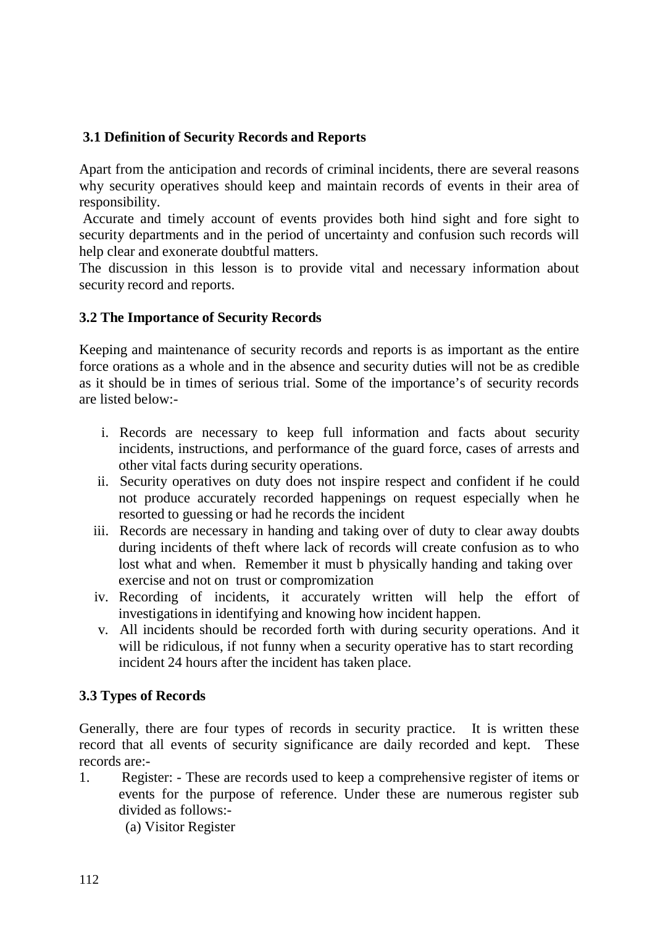# **3.1 Definition of Security Records and Reports**

Apart from the anticipation and records of criminal incidents, there are several reasons why security operatives should keep and maintain records of events in their area of responsibility.

Accurate and timely account of events provides both hind sight and fore sight to security departments and in the period of uncertainty and confusion such records will help clear and exonerate doubtful matters.

The discussion in this lesson is to provide vital and necessary information about security record and reports.

# **3.2 The Importance of Security Records**

Keeping and maintenance of security records and reports is as important as the entire force orations as a whole and in the absence and security duties will not be as credible as it should be in times of serious trial. Some of the importance's of security records are listed below:-

- i. Records are necessary to keep full information and facts about security incidents, instructions, and performance of the guard force, cases of arrests and other vital facts during security operations.
- ii. Security operatives on duty does not inspire respect and confident if he could not produce accurately recorded happenings on request especially when he resorted to guessing or had he records the incident
- iii. Records are necessary in handing and taking over of duty to clear away doubts during incidents of theft where lack of records will create confusion as to who lost what and when. Remember it must b physically handing and taking over exercise and not on trust or compromization
- iv. Recording of incidents, it accurately written will help the effort of investigations in identifying and knowing how incident happen.
- v. All incidents should be recorded forth with during security operations. And it will be ridiculous, if not funny when a security operative has to start recording incident 24 hours after the incident has taken place.

# **3.3 Types of Records**

Generally, there are four types of records in security practice. It is written these record that all events of security significance are daily recorded and kept. These records are:-

1. Register: - These are records used to keep a comprehensive register of items or events for the purpose of reference. Under these are numerous register sub divided as follows:-

(a) Visitor Register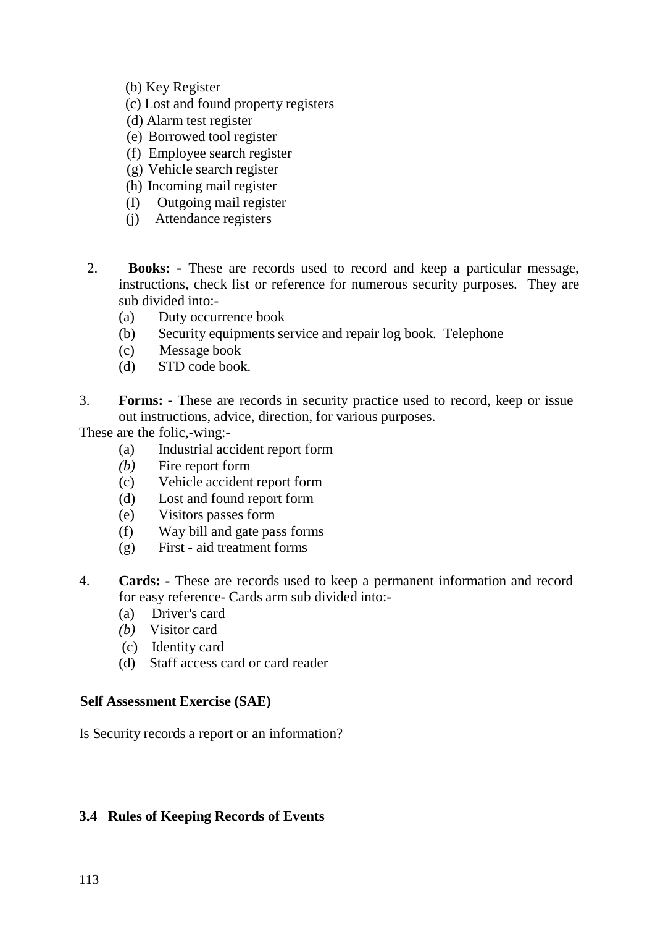- (b) Key Register
- (c) Lost and found property registers
- (d) Alarm test register
- (e) Borrowed tool register
- (f) Employee search register
- (g) Vehicle search register
- (h) Incoming mail register
- (I) Outgoing mail register
- (j) Attendance registers
- 2. **Books: -** These are records used to record and keep a particular message, instructions, check list or reference for numerous security purposes. They are sub divided into:-
	- (a) Duty occurrence book
	- (b) Security equipments service and repair log book. Telephone
	- (c) Message book
	- (d) STD code book.
- 3. **Forms: -** These are records in security practice used to record, keep or issue out instructions, advice, direction, for various purposes.

These are the folic,-wing:-

- (a) Industrial accident report form
- *(b)* Fire report form
- (c) Vehicle accident report form
- (d) Lost and found report form
- (e) Visitors passes form
- (f) Way bill and gate pass forms
- (g) First aid treatment forms
- 4. **Cards: -** These are records used to keep a permanent information and record for easy reference- Cards arm sub divided into:-
	- (a) Driver's card
	- *(b)* Visitor card
	- (c) Identity card
	- (d) Staff access card or card reader

#### **Self Assessment Exercise (SAE)**

Is Security records a report or an information?

### **3.4 Rules of Keeping Records of Events**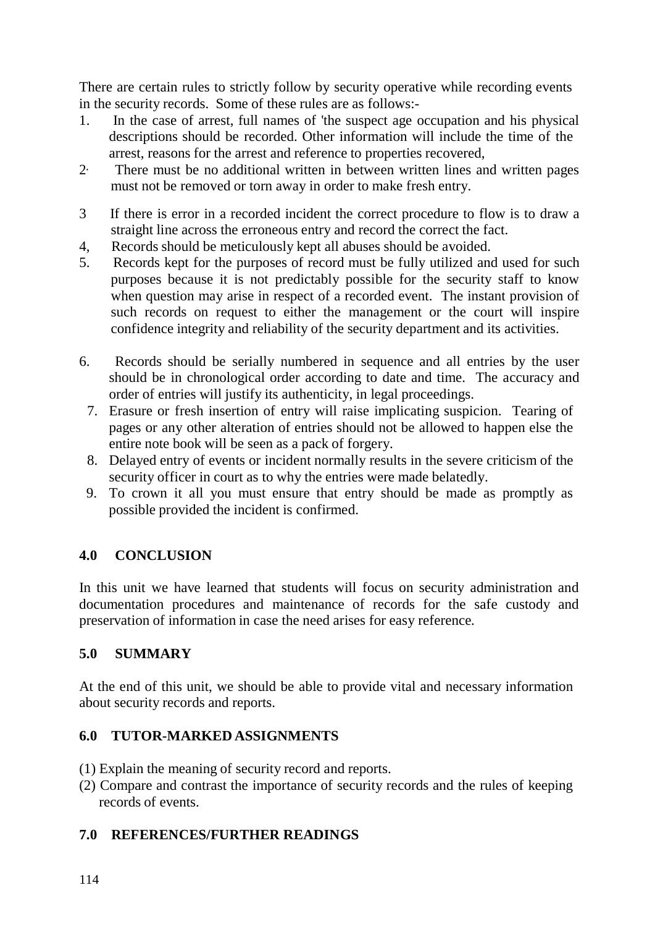There are certain rules to strictly follow by security operative while recording events in the security records. Some of these rules are as follows:-

- 1. In the case of arrest, full names of 'the suspect age occupation and his physical descriptions should be recorded. Other information will include the time of the arrest, reasons for the arrest and reference to properties recovered,
- 2· There must be no additional written in between written lines and written pages must not be removed or torn away in order to make fresh entry.
- 3 If there is error in a recorded incident the correct procedure to flow is to draw a straight line across the erroneous entry and record the correct the fact.
- 4, Records should be meticulously kept all abuses should be avoided.
- 5. Records kept for the purposes of record must be fully utilized and used for such purposes because it is not predictably possible for the security staff to know when question may arise in respect of a recorded event. The instant provision of such records on request to either the management or the court will inspire confidence integrity and reliability of the security department and its activities.
- 6. Records should be serially numbered in sequence and all entries by the user should be in chronological order according to date and time. The accuracy and order of entries will justify its authenticity, in legal proceedings.
	- 7. Erasure or fresh insertion of entry will raise implicating suspicion. Tearing of pages or any other alteration of entries should not be allowed to happen else the entire note book will be seen as a pack of forgery.
	- 8. Delayed entry of events or incident normally results in the severe criticism of the security officer in court as to why the entries were made belatedly.
	- 9. To crown it all you must ensure that entry should be made as promptly as possible provided the incident is confirmed.

# **4.0 CONCLUSION**

In this unit we have learned that students will focus on security administration and documentation procedures and maintenance of records for the safe custody and preservation of information in case the need arises for easy reference.

# **5.0 SUMMARY**

At the end of this unit, we should be able to provide vital and necessary information about security records and reports.

# **6.0 TUTOR-MARKED ASSIGNMENTS**

- (1) Explain the meaning of security record and reports.
- (2) Compare and contrast the importance of security records and the rules of keeping records of events.

# **7.0 REFERENCES/FURTHER READINGS**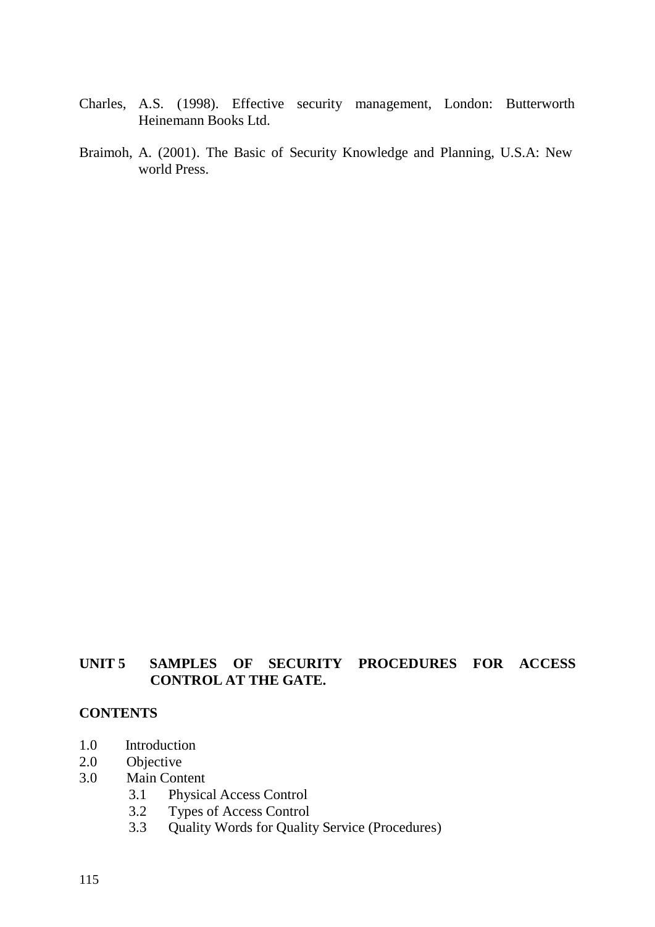- Charles, A.S. (1998). Effective security management, London: Butterworth Heinemann Books Ltd.
- Braimoh, A. (2001). The Basic of Security Knowledge and Planning, U.S.A: New world Press.

### **UNIT 5 SAMPLES OF SECURITY PROCEDURES FOR ACCESS CONTROL AT THE GATE.**

#### **CONTENTS**

- 1.0 Introduction
- 2.0 Objective
- 3.0 Main Content
	- 3.1 Physical Access Control
	- 3.2 Types of Access Control<br>3.3 Ouality Words for Oualit
	- Quality Words for Quality Service (Procedures)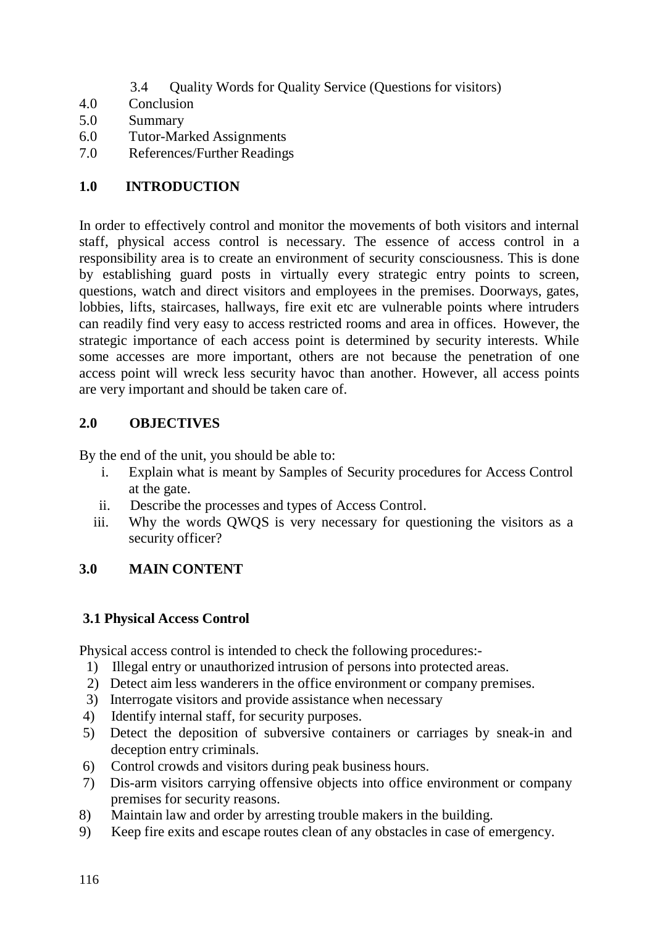- 3.4 Quality Words for Quality Service (Questions for visitors)
- 4.0 Conclusion
- 5.0 Summary
- 6.0 Tutor-Marked Assignments
- 7.0 References/Further Readings

# **1.0 INTRODUCTION**

In order to effectively control and monitor the movements of both visitors and internal staff, physical access control is necessary. The essence of access control in a responsibility area is to create an environment of security consciousness. This is done by establishing guard posts in virtually every strategic entry points to screen, questions, watch and direct visitors and employees in the premises. Doorways, gates, lobbies, lifts, staircases, hallways, fire exit etc are vulnerable points where intruders can readily find very easy to access restricted rooms and area in offices. However, the strategic importance of each access point is determined by security interests. While some accesses are more important, others are not because the penetration of one access point will wreck less security havoc than another. However, all access points are very important and should be taken care of.

## **2.0 OBJECTIVES**

By the end of the unit, you should be able to:

- i. Explain what is meant by Samples of Security procedures for Access Control at the gate.
- ii. Describe the processes and types of Access Control.
- iii. Why the words QWQS is very necessary for questioning the visitors as a security officer?

### **3.0 MAIN CONTENT**

### **3.1 Physical Access Control**

Physical access control is intended to check the following procedures:-

- 1) Illegal entry or unauthorized intrusion of persons into protected areas.
- 2) Detect aim less wanderers in the office environment or company premises.
- 3) Interrogate visitors and provide assistance when necessary
- 4) Identify internal staff, for security purposes.
- 5) Detect the deposition of subversive containers or carriages by sneak-in and deception entry criminals.
- 6) Control crowds and visitors during peak business hours.
- 7) Dis-arm visitors carrying offensive objects into office environment or company premises for security reasons.
- 8) Maintain law and order by arresting trouble makers in the building.
- 9) Keep fire exits and escape routes clean of any obstacles in case of emergency.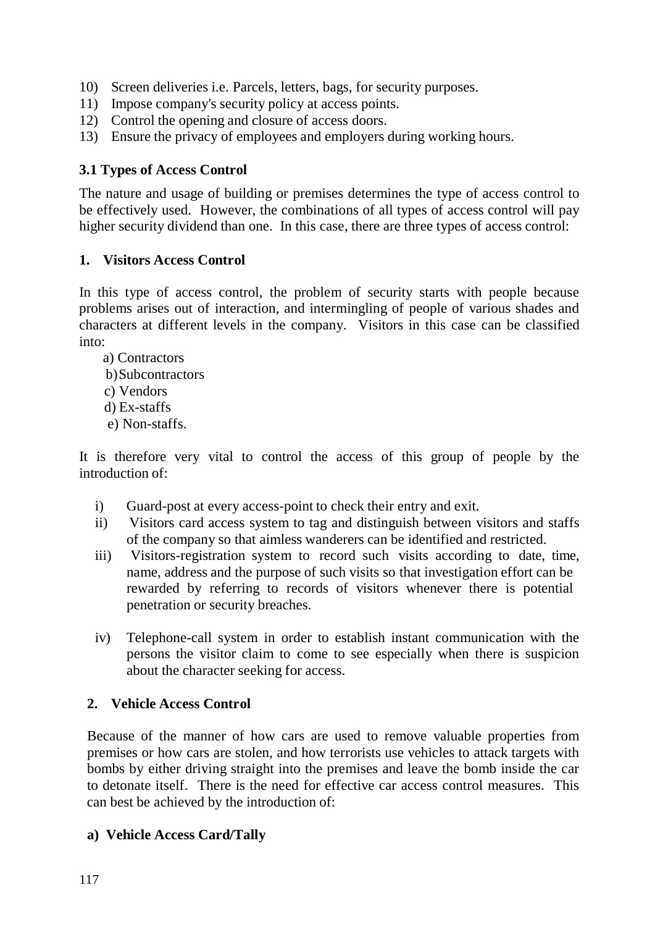- 10) Screen deliveries i.e. Parcels, letters, bags, for security purposes.
- 11) Impose company's security policy at access points.
- 12) Control the opening and closure of access doors.
- 13) Ensure the privacy of employees and employers during working hours.

## **3.1 Types of Access Control**

The nature and usage of building or premises determines the type of access control to be effectively used. However, the combinations of all types of access control will pay higher security dividend than one. In this case, there are three types of access control:

# **1. Visitors Access Control**

In this type of access control, the problem of security starts with people because problems arises out of interaction, and intermingling of people of various shades and characters at different levels in the company. Visitors in this case can be classified into:

a) Contractors b)Subcontractors c) Vendors d) Ex-staffs e) Non-staffs.

It is therefore very vital to control the access of this group of people by the introduction of:

- i) Guard-post at every access-point to check their entry and exit.
- ii) Visitors card access system to tag and distinguish between visitors and staffs of the company so that aimless wanderers can be identified and restricted.
- iii) Visitors-registration system to record such visits according to date, time, name, address and the purpose of such visits so that investigation effort can be rewarded by referring to records of visitors whenever there is potential penetration or security breaches.
- iv) Telephone-call system in order to establish instant communication with the persons the visitor claim to come to see especially when there is suspicion about the character seeking for access.

# **2. Vehicle Access Control**

Because of the manner of how cars are used to remove valuable properties from premises or how cars are stolen, and how terrorists use vehicles to attack targets with bombs by either driving straight into the premises and leave the bomb inside the car to detonate itself. There is the need for effective car access control measures. This can best be achieved by the introduction of:

# **a) Vehicle Access Card/Tally**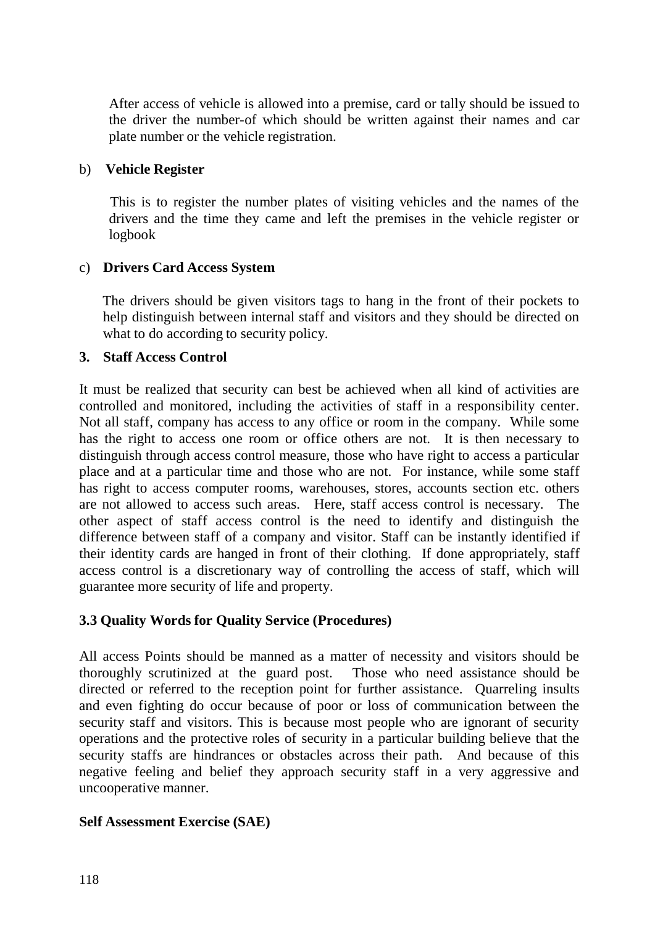After access of vehicle is allowed into a premise, card or tally should be issued to the driver the number-of which should be written against their names and car plate number or the vehicle registration.

### b) **Vehicle Register**

This is to register the number plates of visiting vehicles and the names of the drivers and the time they came and left the premises in the vehicle register or logbook

## c) **Drivers Card Access System**

The drivers should be given visitors tags to hang in the front of their pockets to help distinguish between internal staff and visitors and they should be directed on what to do according to security policy.

### **3. Staff Access Control**

It must be realized that security can best be achieved when all kind of activities are controlled and monitored, including the activities of staff in a responsibility center. Not all staff, company has access to any office or room in the company. While some has the right to access one room or office others are not. It is then necessary to distinguish through access control measure, those who have right to access a particular place and at a particular time and those who are not. For instance, while some staff has right to access computer rooms, warehouses, stores, accounts section etc. others are not allowed to access such areas. Here, staff access control is necessary. The other aspect of staff access control is the need to identify and distinguish the difference between staff of a company and visitor. Staff can be instantly identified if their identity cards are hanged in front of their clothing. If done appropriately, staff access control is a discretionary way of controlling the access of staff, which will guarantee more security of life and property.

# **3.3 Quality Words for Quality Service (Procedures)**

All access Points should be manned as a matter of necessity and visitors should be thoroughly scrutinized at the guard post. Those who need assistance should be directed or referred to the reception point for further assistance. Quarreling insults and even fighting do occur because of poor or loss of communication between the security staff and visitors. This is because most people who are ignorant of security operations and the protective roles of security in a particular building believe that the security staffs are hindrances or obstacles across their path. And because of this negative feeling and belief they approach security staff in a very aggressive and uncooperative manner.

### **Self Assessment Exercise (SAE)**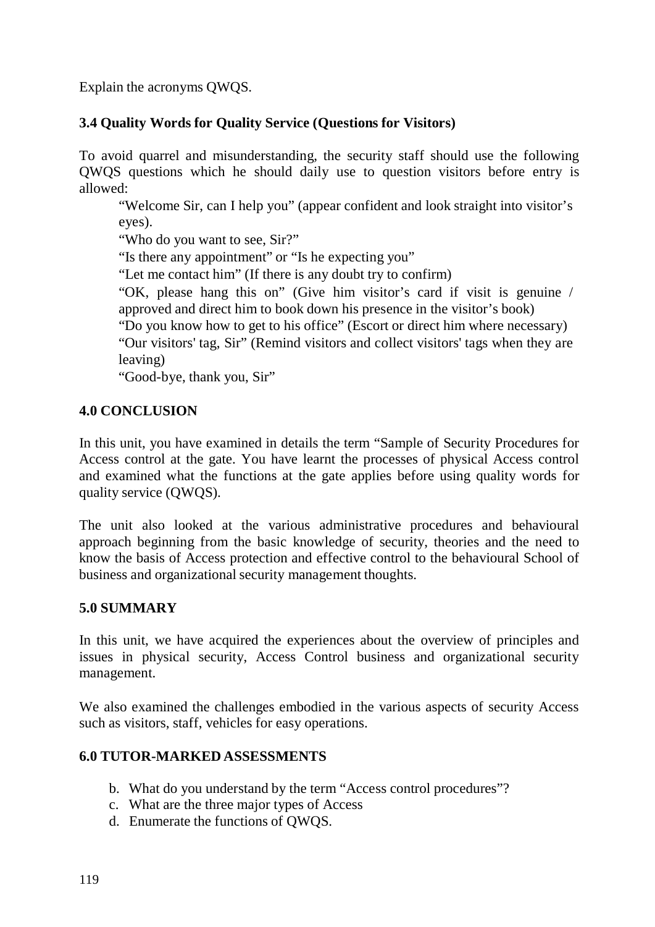Explain the acronyms QWQS.

# **3.4 Quality Words for Quality Service (Questions for Visitors)**

To avoid quarrel and misunderstanding, the security staff should use the following QWQS questions which he should daily use to question visitors before entry is allowed:

"Welcome Sir, can I help you" (appear confident and look straight into visitor's eyes).

"Who do you want to see, Sir?"

"Is there any appointment" or "Is he expecting you"

"Let me contact him" (If there is any doubt try to confirm)

"OK, please hang this on" (Give him visitor's card if visit is genuine / approved and direct him to book down his presence in the visitor's book)

"Do you know how to get to his office" (Escort or direct him where necessary) "Our visitors' tag, Sir" (Remind visitors and collect visitors' tags when they are leaving)

"Good-bye, thank you, Sir"

## **4.0 CONCLUSION**

In this unit, you have examined in details the term "Sample of Security Procedures for Access control at the gate. You have learnt the processes of physical Access control and examined what the functions at the gate applies before using quality words for quality service (QWQS).

The unit also looked at the various administrative procedures and behavioural approach beginning from the basic knowledge of security, theories and the need to know the basis of Access protection and effective control to the behavioural School of business and organizational security management thoughts.

### **5.0 SUMMARY**

In this unit, we have acquired the experiences about the overview of principles and issues in physical security, Access Control business and organizational security management.

We also examined the challenges embodied in the various aspects of security Access such as visitors, staff, vehicles for easy operations.

### **6.0 TUTOR-MARKED ASSESSMENTS**

- b. What do you understand by the term "Access control procedures"?
- c. What are the three major types of Access
- d. Enumerate the functions of QWQS.